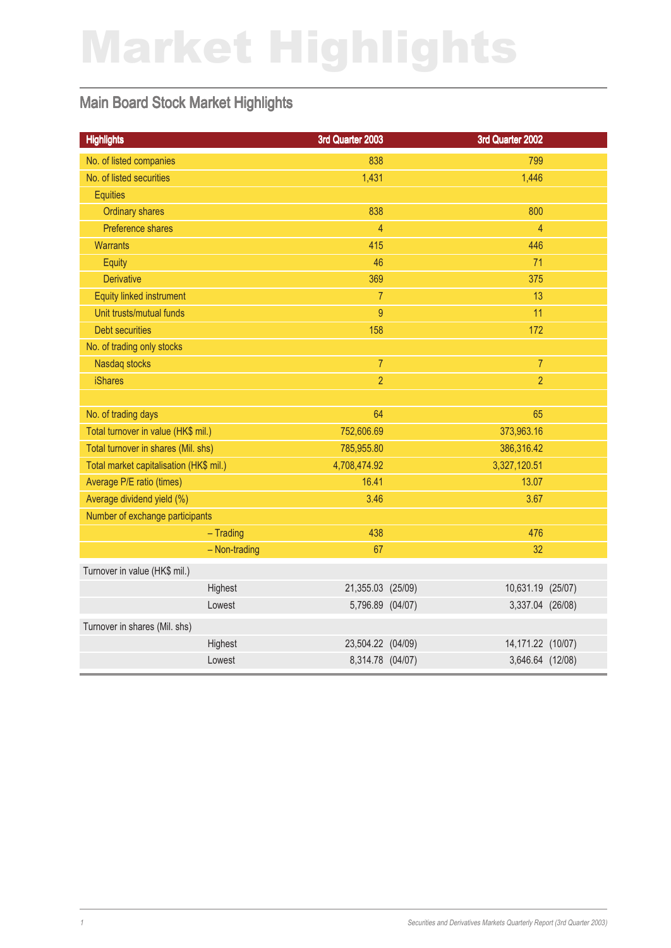# Market Highlights

### Main Board Stock Market Highlights

| <b>Highlights</b>                       | 3rd Quarter 2003  | 3rd Quarter 2002  |  |
|-----------------------------------------|-------------------|-------------------|--|
| No. of listed companies                 | 838               | 799               |  |
| No. of listed securities                | 1,431             | 1,446             |  |
| <b>Equities</b>                         |                   |                   |  |
| <b>Ordinary shares</b>                  | 838               | 800               |  |
| Preference shares                       | $\overline{4}$    | $\overline{4}$    |  |
| <b>Warrants</b>                         | 415               | 446               |  |
| Equity                                  | 46                | 71                |  |
| <b>Derivative</b>                       | 369               | 375               |  |
| <b>Equity linked instrument</b>         | $\overline{7}$    | 13                |  |
| Unit trusts/mutual funds                | 9                 | 11                |  |
| <b>Debt securities</b>                  | 158               | 172               |  |
| No. of trading only stocks              |                   |                   |  |
| Nasdaq stocks                           | $\overline{7}$    | $\overline{7}$    |  |
| <b>iShares</b>                          | $\overline{2}$    | $\overline{2}$    |  |
|                                         |                   |                   |  |
| No. of trading days                     | 64                | 65                |  |
| Total turnover in value (HK\$ mil.)     | 752,606.69        | 373,963.16        |  |
| Total turnover in shares (Mil. shs)     | 785,955.80        | 386,316.42        |  |
| Total market capitalisation (HK\$ mil.) | 4,708,474.92      | 3,327,120.51      |  |
| Average P/E ratio (times)               | 16.41             | 13.07             |  |
| Average dividend yield (%)              | 3.46              | 3.67              |  |
| Number of exchange participants         |                   |                   |  |
| $-$ Trading                             | 438               | 476               |  |
| - Non-trading                           | 67                | 32                |  |
| Turnover in value (HK\$ mil.)           |                   |                   |  |
| Highest                                 | 21,355.03 (25/09) | 10,631.19 (25/07) |  |
| Lowest                                  | 5,796.89 (04/07)  | 3,337.04 (26/08)  |  |
| Turnover in shares (Mil. shs)           |                   |                   |  |
| Highest                                 | 23,504.22 (04/09) | 14,171.22 (10/07) |  |
| Lowest                                  | 8,314.78 (04/07)  | 3,646.64 (12/08)  |  |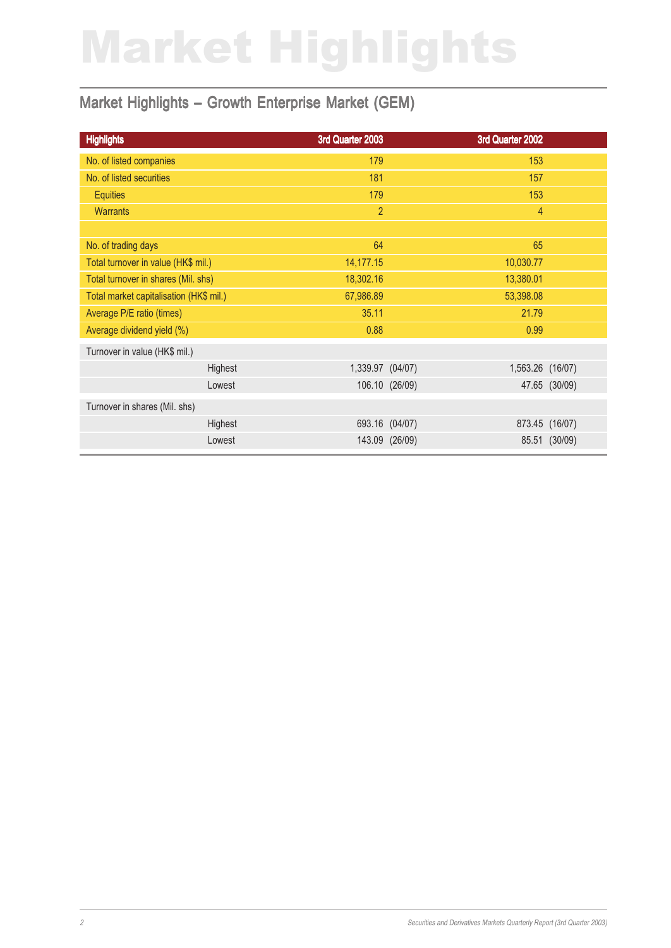# Market Highlights

### Market Highlights – Growth Enterprise Market (GEM)

| <b>Highlights</b>                       | 3rd Quarter 2003 |                | 3rd Quarter 2002 |                |
|-----------------------------------------|------------------|----------------|------------------|----------------|
| No. of listed companies                 | 179              |                | 153              |                |
| No. of listed securities                | 181              |                | 157              |                |
| <b>Equities</b>                         | 179              |                | 153              |                |
| <b>Warrants</b>                         | $\overline{2}$   |                | $\overline{4}$   |                |
|                                         |                  |                |                  |                |
| No. of trading days                     | 64               |                | 65               |                |
| Total turnover in value (HK\$ mil.)     | 14,177.15        |                | 10,030.77        |                |
| Total turnover in shares (Mil. shs)     | 18,302.16        |                | 13,380.01        |                |
| Total market capitalisation (HK\$ mil.) | 67,986.89        |                | 53,398.08        |                |
| Average P/E ratio (times)               | 35.11            |                | 21.79            |                |
| Average dividend yield (%)              | 0.88             |                | 0.99             |                |
| Turnover in value (HK\$ mil.)           |                  |                |                  |                |
| Highest                                 | 1,339.97 (04/07) |                | 1,563.26 (16/07) |                |
| Lowest                                  |                  | 106.10 (26/09) |                  | 47.65 (30/09)  |
| Turnover in shares (Mil. shs)           |                  |                |                  |                |
| Highest                                 | 693.16 (04/07)   |                |                  | 873.45 (16/07) |
| Lowest                                  |                  | 143.09 (26/09) |                  | 85.51 (30/09)  |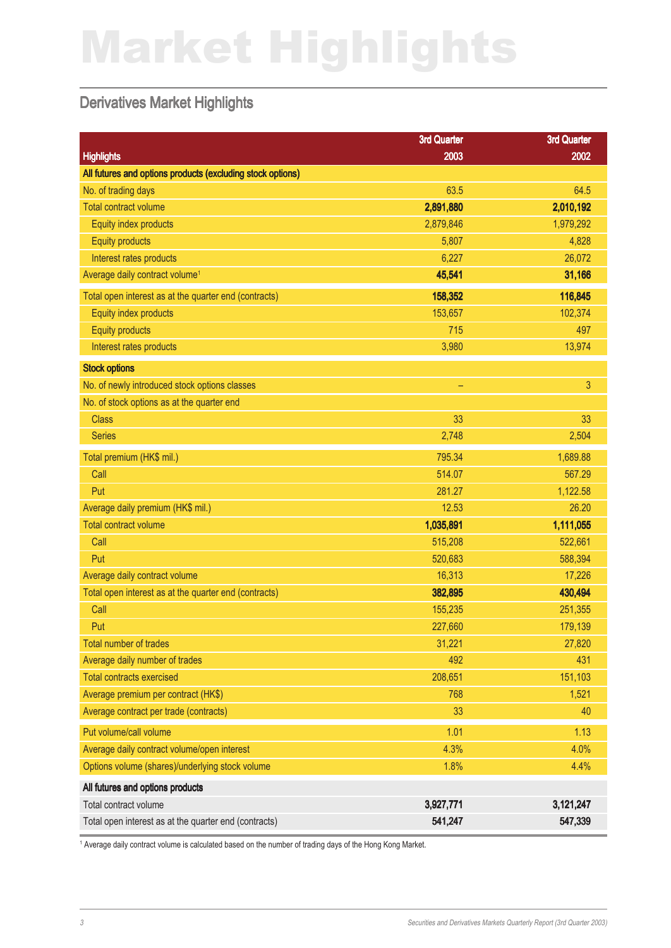# Market Highlights

#### Derivatives Market Highlights

|                                                            | <b>3rd Quarter</b> | <b>3rd Quarter</b> |
|------------------------------------------------------------|--------------------|--------------------|
| <b>Highlights</b>                                          | 2003               | 2002               |
| All futures and options products (excluding stock options) |                    |                    |
| No. of trading days                                        | 63.5               | 64.5               |
| <b>Total contract volume</b>                               | 2,891,880          | 2,010,192          |
| Equity index products                                      | 2,879,846          | 1,979,292          |
| <b>Equity products</b>                                     | 5,807              | 4,828              |
| Interest rates products                                    | 6,227              | 26,072             |
| Average daily contract volume <sup>1</sup>                 | 45,541             | 31,166             |
| Total open interest as at the quarter end (contracts)      | 158,352            | 116,845            |
| Equity index products                                      | 153,657            | 102,374            |
| <b>Equity products</b>                                     | 715                | 497                |
| Interest rates products                                    | 3,980              | 13,974             |
| <b>Stock options</b>                                       |                    |                    |
| No. of newly introduced stock options classes              | -                  | $\mathbf{3}$       |
| No. of stock options as at the quarter end                 |                    |                    |
| <b>Class</b>                                               | 33                 | 33                 |
| <b>Series</b>                                              | 2,748              | 2,504              |
| Total premium (HK\$ mil.)                                  | 795.34             | 1,689.88           |
| Call                                                       | 514.07             | 567.29             |
| Put                                                        | 281.27             | 1,122.58           |
| Average daily premium (HK\$ mil.)                          | 12.53              | 26.20              |
| <b>Total contract volume</b>                               | 1,035,891          | 1,111,055          |
| Call                                                       | 515,208            | 522,661            |
| Put                                                        | 520,683            | 588,394            |
| Average daily contract volume                              | 16,313             | 17,226             |
| Total open interest as at the quarter end (contracts)      | 382,895            | 430,494            |
| Call                                                       | 155,235            | 251,355            |
| Put                                                        | 227,660            | 179,139            |
| Total number of trades                                     | 31,221             | 27,820             |
| Average daily number of trades                             | 492                | 431                |
| <b>Total contracts exercised</b>                           | 208,651            | 151,103            |
| Average premium per contract (HK\$)                        | 768                | 1,521              |
| Average contract per trade (contracts)                     | 33                 | 40                 |
| Put volume/call volume                                     | 1.01               | 1.13               |
| Average daily contract volume/open interest                | 4.3%               | 4.0%               |
| Options volume (shares)/underlying stock volume            | 1.8%               | 4.4%               |
| All futures and options products                           |                    |                    |
| Total contract volume                                      | 3,927,771          | 3,121,247          |
| Total open interest as at the quarter end (contracts)      | 541,247            | 547,339            |

1 Average daily contract volume is calculated based on the number of trading days of the Hong Kong Market.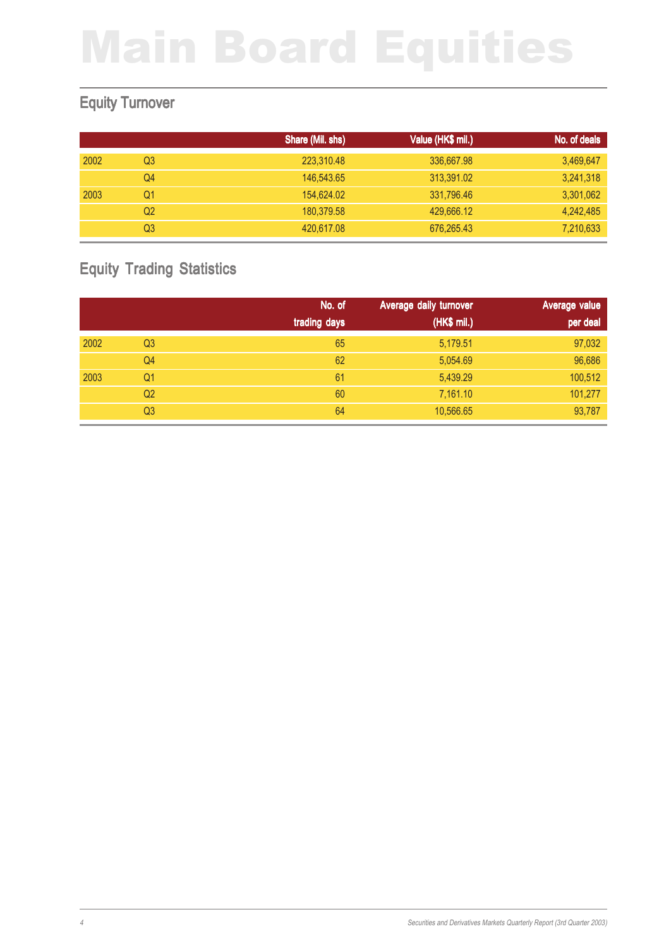### Equity Turnover

|      |    | Share (Mil. shs) | Value (HK\$ mil.) | No. of deals |
|------|----|------------------|-------------------|--------------|
| 2002 | Q3 | 223,310.48       | 336,667.98        | 3,469,647    |
|      | Q4 | 146,543.65       | 313,391.02        | 3,241,318    |
| 2003 | Q1 | 154,624.02       | 331,796.46        | 3,301,062    |
|      | Q2 | 180.379.58       | 429,666.12        | 4,242,485    |
|      | Q3 | 420,617.08       | 676,265.43        | 7,210,633    |

## Equity Trading Statistics

|      |                | No. of       | Average daily turnover | Average value |
|------|----------------|--------------|------------------------|---------------|
|      |                | trading days | (HK\$ mil.)            | per deal      |
| 2002 | Q <sub>3</sub> | 65           | 5,179.51               | 97,032        |
|      | Q4             | 62           | 5,054.69               | 96,686        |
| 2003 | Q1             | 61           | 5,439.29               | 100,512       |
|      | Q <sub>2</sub> | 60           | 7,161.10               | 101,277       |
|      | Q <sub>3</sub> | 64           | 10,566.65              | 93,787        |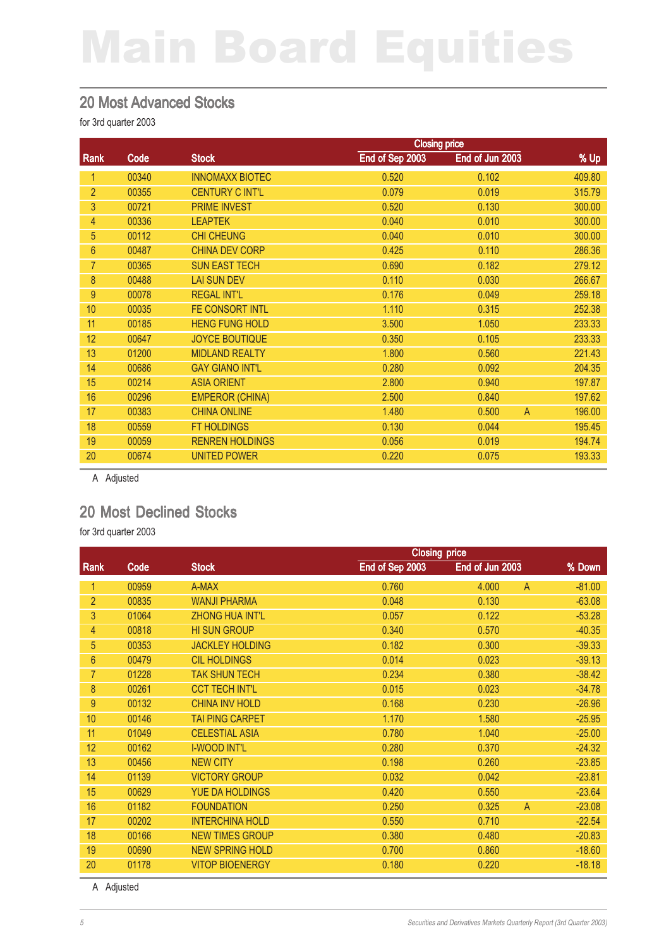#### 20 Most Advanced Stocks

for 3rd quarter 2003

|                |       | <b>Closing price</b>   |                 |                 |                          |
|----------------|-------|------------------------|-----------------|-----------------|--------------------------|
| Rank           | Code  | <b>Stock</b>           | End of Sep 2003 | End of Jun 2003 | % Up                     |
| 1              | 00340 | <b>INNOMAXX BIOTEC</b> | 0.520           | 0.102           | 409.80                   |
| $\overline{2}$ | 00355 | <b>CENTURY C INT'L</b> | 0.079           | 0.019           | 315.79                   |
| 3              | 00721 | <b>PRIME INVEST</b>    | 0.520           | 0.130           | 300.00                   |
| $\overline{4}$ | 00336 | <b>LEAPTEK</b>         | 0.040           | 0.010           | 300.00                   |
| 5              | 00112 | <b>CHI CHEUNG</b>      | 0.040           | 0.010           | 300.00                   |
| $6\phantom{1}$ | 00487 | <b>CHINA DEV CORP</b>  | 0.425           | 0.110           | 286.36                   |
| $\overline{7}$ | 00365 | <b>SUN EAST TECH</b>   | 0.690           | 0.182           | 279.12                   |
| 8              | 00488 | <b>LAI SUN DEV</b>     | 0.110           | 0.030           | 266.67                   |
| $9\,$          | 00078 | <b>REGAL INT'L</b>     | 0.176           | 0.049           | 259.18                   |
| 10             | 00035 | FE CONSORT INTL        | 1.110           | 0.315           | 252.38                   |
| 11             | 00185 | <b>HENG FUNG HOLD</b>  | 3.500           | 1.050           | 233.33                   |
| 12             | 00647 | <b>JOYCE BOUTIQUE</b>  | 0.350           | 0.105           | 233.33                   |
| 13             | 01200 | <b>MIDLAND REALTY</b>  | 1.800           | 0.560           | 221.43                   |
| 14             | 00686 | <b>GAY GIANO INT'L</b> | 0.280           | 0.092           | 204.35                   |
| 15             | 00214 | <b>ASIA ORIENT</b>     | 2.800           | 0.940           | 197.87                   |
| 16             | 00296 | <b>EMPEROR (CHINA)</b> | 2.500           | 0.840           | 197.62                   |
| 17             | 00383 | <b>CHINA ONLINE</b>    | 1.480           | 0.500           | $\overline{A}$<br>196.00 |
| 18             | 00559 | <b>FT HOLDINGS</b>     | 0.130           | 0.044           | 195.45                   |
| 19             | 00059 | <b>RENREN HOLDINGS</b> | 0.056           | 0.019           | 194.74                   |
| 20             | 00674 | <b>UNITED POWER</b>    | 0.220           | 0.075           | 193.33                   |

A Adjusted

#### 20 Most Declined Stocks

for 3rd quarter 2003

|                |       |                        | <b>Closing price</b> |                 |                |          |
|----------------|-------|------------------------|----------------------|-----------------|----------------|----------|
| Rank           | Code  | <b>Stock</b>           | End of Sep 2003      | End of Jun 2003 |                | % Down   |
| 1              | 00959 | A-MAX                  | 0.760                | 4.000           | $\mathsf{A}$   | $-81.00$ |
| $\overline{2}$ | 00835 | <b>WANJI PHARMA</b>    | 0.048                | 0.130           |                | $-63.08$ |
| 3              | 01064 | <b>ZHONG HUA INT'L</b> | 0.057                | 0.122           |                | $-53.28$ |
| 4              | 00818 | <b>HI SUN GROUP</b>    | 0.340                | 0.570           |                | $-40.35$ |
| 5              | 00353 | <b>JACKLEY HOLDING</b> | 0.182                | 0.300           |                | $-39.33$ |
| 6              | 00479 | <b>CIL HOLDINGS</b>    | 0.014                | 0.023           |                | $-39.13$ |
| 7              | 01228 | <b>TAK SHUN TECH</b>   | 0.234                | 0.380           |                | $-38.42$ |
| 8              | 00261 | <b>CCT TECH INT'L</b>  | 0.015                | 0.023           |                | $-34.78$ |
| 9              | 00132 | <b>CHINA INV HOLD</b>  | 0.168                | 0.230           |                | $-26.96$ |
| 10             | 00146 | <b>TAI PING CARPET</b> | 1.170                | 1.580           |                | $-25.95$ |
| 11             | 01049 | <b>CELESTIAL ASIA</b>  | 0.780                | 1.040           |                | $-25.00$ |
| 12             | 00162 | <b>I-WOOD INT'L</b>    | 0.280                | 0.370           |                | $-24.32$ |
| 13             | 00456 | <b>NEW CITY</b>        | 0.198                | 0.260           |                | $-23.85$ |
| 14             | 01139 | <b>VICTORY GROUP</b>   | 0.032                | 0.042           |                | $-23.81$ |
| 15             | 00629 | YUE DA HOLDINGS        | 0.420                | 0.550           |                | $-23.64$ |
| 16             | 01182 | <b>FOUNDATION</b>      | 0.250                | 0.325           | $\overline{A}$ | $-23.08$ |
| 17             | 00202 | <b>INTERCHINA HOLD</b> | 0.550                | 0.710           |                | $-22.54$ |
| 18             | 00166 | <b>NEW TIMES GROUP</b> | 0.380                | 0.480           |                | $-20.83$ |
| 19             | 00690 | <b>NEW SPRING HOLD</b> | 0.700                | 0.860           |                | $-18.60$ |
| 20             | 01178 | <b>VITOP BIOENERGY</b> | 0.180                | 0.220           |                | $-18.18$ |

A Adjusted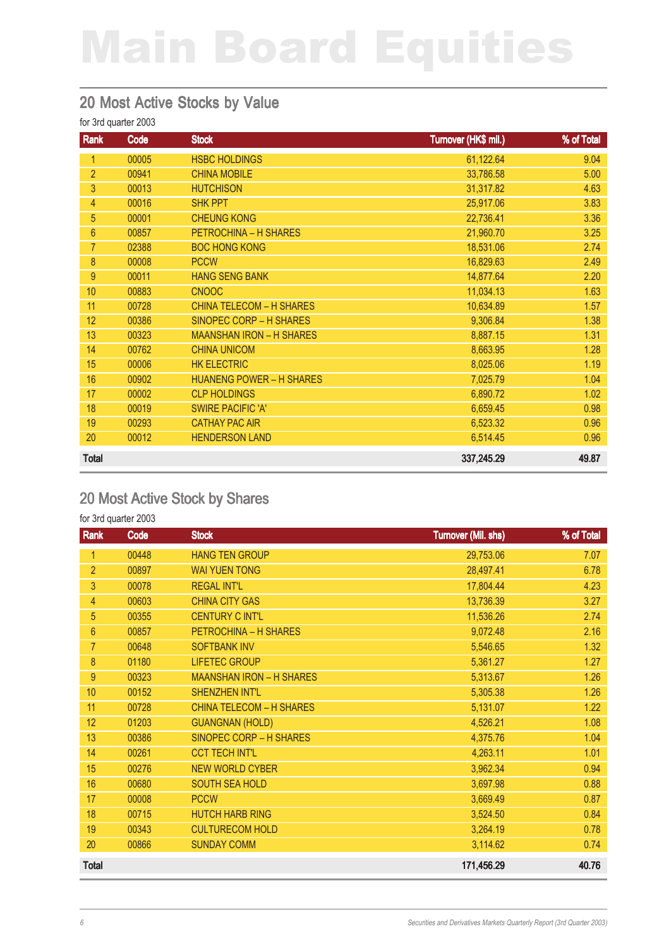#### 20 Most Active Stocks by Value

#### for 3rd quarter 2003

| Rank           | Code  | <b>Stock</b>                    | Turnover (HK\$ mil.) | % of Total |
|----------------|-------|---------------------------------|----------------------|------------|
| 1              | 00005 | <b>HSBC HOLDINGS</b>            | 61,122.64            | 9.04       |
| $\overline{2}$ | 00941 | <b>CHINA MOBILE</b>             | 33,786.58            | 5.00       |
| 3              | 00013 | <b>HUTCHISON</b>                | 31,317.82            | 4.63       |
| 4              | 00016 | <b>SHK PPT</b>                  | 25,917.06            | 3.83       |
| 5              | 00001 | <b>CHEUNG KONG</b>              | 22,736.41            | 3.36       |
| $6\phantom{1}$ | 00857 | PETROCHINA - H SHARES           | 21,960.70            | 3.25       |
| $\overline{7}$ | 02388 | <b>BOC HONG KONG</b>            | 18,531.06            | 2.74       |
| 8              | 00008 | <b>PCCW</b>                     | 16,829.63            | 2.49       |
| 9              | 00011 | <b>HANG SENG BANK</b>           | 14,877.64            | 2.20       |
| 10             | 00883 | <b>CNOOC</b>                    | 11,034.13            | 1.63       |
| 11             | 00728 | <b>CHINA TELECOM - H SHARES</b> | 10,634.89            | 1.57       |
| 12             | 00386 | SINOPEC CORP - H SHARES         | 9,306.84             | 1.38       |
| 13             | 00323 | <b>MAANSHAN IRON - H SHARES</b> | 8,887.15             | 1.31       |
| 14             | 00762 | <b>CHINA UNICOM</b>             | 8,663.95             | 1.28       |
| 15             | 00006 | <b>HK ELECTRIC</b>              | 8,025.06             | 1.19       |
| 16             | 00902 | <b>HUANENG POWER - H SHARES</b> | 7,025.79             | 1.04       |
| 17             | 00002 | <b>CLP HOLDINGS</b>             | 6,890.72             | 1.02       |
| 18             | 00019 | <b>SWIRE PACIFIC 'A'</b>        | 6,659.45             | 0.98       |
| 19             | 00293 | <b>CATHAY PAC AIR</b>           | 6,523.32             | 0.96       |
| 20             | 00012 | <b>HENDERSON LAND</b>           | 6,514.45             | 0.96       |
| <b>Total</b>   |       |                                 | 337,245.29           | 49.87      |

### 20 Most Active Stock by Shares

| Rank           | Code  | <b>Stock</b>                    | <b>Turnover (Mil. shs)</b> | % of Total |
|----------------|-------|---------------------------------|----------------------------|------------|
| 1              | 00448 | <b>HANG TEN GROUP</b>           | 29,753.06                  | 7.07       |
| $\overline{2}$ | 00897 | <b>WAI YUEN TONG</b>            | 28,497.41                  | 6.78       |
| 3              | 00078 | <b>REGAL INT'L</b>              | 17,804.44                  | 4.23       |
| 4              | 00603 | <b>CHINA CITY GAS</b>           | 13,736.39                  | 3.27       |
| 5              | 00355 | <b>CENTURY C INT'L</b>          | 11,536.26                  | 2.74       |
| $6\phantom{1}$ | 00857 | PETROCHINA - H SHARES           | 9,072.48                   | 2.16       |
| 7              | 00648 | <b>SOFTBANK INV</b>             | 5,546.65                   | 1.32       |
| 8              | 01180 | <b>LIFETEC GROUP</b>            | 5,361.27                   | 1.27       |
| 9              | 00323 | <b>MAANSHAN IRON - H SHARES</b> | 5,313.67                   | 1.26       |
| 10             | 00152 | <b>SHENZHEN INT'L</b>           | 5,305.38                   | 1.26       |
| 11             | 00728 | <b>CHINA TELECOM - H SHARES</b> | 5,131.07                   | 1.22       |
| 12             | 01203 | <b>GUANGNAN (HOLD)</b>          | 4,526.21                   | 1.08       |
| 13             | 00386 | SINOPEC CORP - H SHARES         | 4,375.76                   | 1.04       |
| 14             | 00261 | <b>CCT TECH INT'L</b>           | 4,263.11                   | 1.01       |
| 15             | 00276 | <b>NEW WORLD CYBER</b>          | 3,962.34                   | 0.94       |
| 16             | 00680 | <b>SOUTH SEA HOLD</b>           | 3,697.98                   | 0.88       |
| 17             | 00008 | <b>PCCW</b>                     | 3,669.49                   | 0.87       |
| 18             | 00715 | <b>HUTCH HARB RING</b>          | 3,524.50                   | 0.84       |
| 19             | 00343 | <b>CULTURECOM HOLD</b>          | 3,264.19                   | 0.78       |
| 20             | 00866 | <b>SUNDAY COMM</b>              | 3,114.62                   | 0.74       |
| <b>Total</b>   |       |                                 | 171,456.29                 | 40.76      |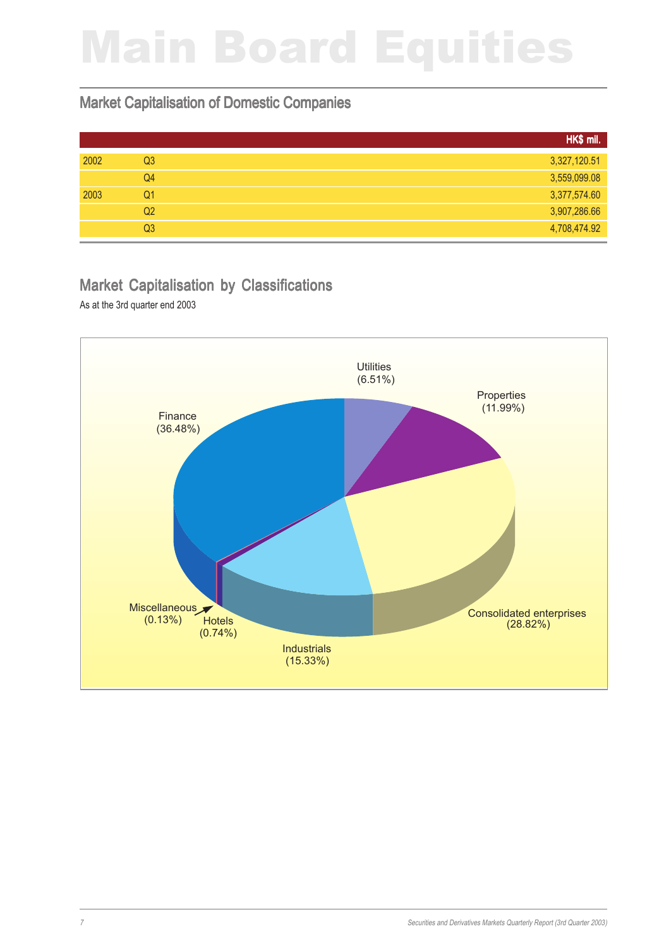#### Market Capitalisation of Domestic Companies

|                | HK\$ mil.    |
|----------------|--------------|
| Q <sub>3</sub> | 3,327,120.51 |
| Q4             | 3,559,099.08 |
| Q1             | 3,377,574.60 |
| Q2             | 3,907,286.66 |
| Q <sub>3</sub> | 4,708,474.92 |
|                |              |

## Market Capitalisation by Classifications

As at the 3rd quarter end 2003

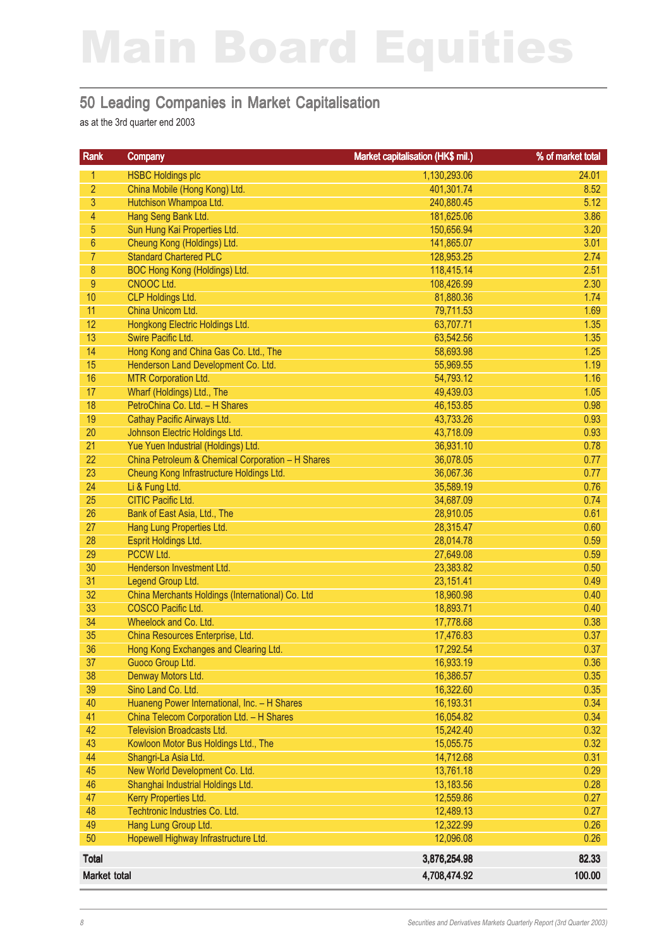#### 50 Leading Companies in Market Capitalisation

as at the 3rd quarter end 2003

| <b>HSBC Holdings plc</b><br>1,130,293.06<br>1<br>$\overline{2}$<br>China Mobile (Hong Kong) Ltd.<br>401,301.74<br>3<br>Hutchison Whampoa Ltd.<br>240,880.45<br>$\overline{4}$<br>Hang Seng Bank Ltd.<br>181,625.06<br>5<br>Sun Hung Kai Properties Ltd.<br>150,656.94<br>$6\phantom{a}$<br>Cheung Kong (Holdings) Ltd.<br>141,865.07<br>$\overline{7}$<br><b>Standard Chartered PLC</b><br>128,953.25<br>$\bf 8$<br>BOC Hong Kong (Holdings) Ltd.<br>118,415.14<br>$9\,$<br>CNOOC Ltd.<br>108,426.99<br>10<br>CLP Holdings Ltd.<br>81,880.36<br>11<br>China Unicom Ltd.<br>79,711.53<br>12<br>Hongkong Electric Holdings Ltd.<br>63,707.71<br>13<br>Swire Pacific Ltd.<br>63,542.56<br>14<br>Hong Kong and China Gas Co. Ltd., The<br>58,693.98<br>15<br>Henderson Land Development Co. Ltd.<br>55,969.55<br>16<br><b>MTR Corporation Ltd.</b><br>54,793.12<br>17<br>Wharf (Holdings) Ltd., The<br>49,439.03<br>18<br>PetroChina Co. Ltd. - H Shares<br>46, 153.85<br>19<br>Cathay Pacific Airways Ltd.<br>43,733.26<br>20<br>Johnson Electric Holdings Ltd.<br>43,718.09<br>21<br>Yue Yuen Industrial (Holdings) Ltd.<br>36,931.10<br>22<br>China Petroleum & Chemical Corporation - H Shares<br>36,078.05<br>23<br>Cheung Kong Infrastructure Holdings Ltd.<br>0.77<br>36,067.36<br>24<br>Li & Fung Ltd.<br>0.76<br>35,589.19<br>25<br><b>CITIC Pacific Ltd.</b><br>34,687.09<br>0.74<br>26<br>Bank of East Asia, Ltd., The<br>28,910.05<br>0.61<br>27<br>Hang Lung Properties Ltd.<br>28,315.47<br>0.60<br>28<br>Esprit Holdings Ltd.<br>28,014.78<br>0.59<br>29<br><b>PCCW Ltd.</b><br>0.59<br>27,649.08<br>30<br>Henderson Investment Ltd.<br>23,383.82<br>0.50<br>31<br>Legend Group Ltd.<br>23,151.41<br>0.49<br>32<br>China Merchants Holdings (International) Co. Ltd<br>18,960.98<br>0.40<br>33<br><b>COSCO Pacific Ltd.</b><br>18,893.71<br>0.40<br>34<br>Wheelock and Co. Ltd.<br>17,778.68<br>0.38<br>35<br>China Resources Enterprise, Ltd.<br>17,476.83<br>0.37<br>36<br>0.37<br>Hong Kong Exchanges and Clearing Ltd.<br>17,292.54<br>37<br>Guoco Group Ltd.<br>16,933.19<br>0.36<br>38<br>Denway Motors Ltd.<br>16,386.57<br>39<br>Sino Land Co. Ltd.<br>16,322.60<br>40<br>Huaneng Power International, Inc. - H Shares<br>16,193.31<br>41<br>China Telecom Corporation Ltd. - H Shares<br>16,054.82<br>42<br><b>Television Broadcasts Ltd.</b><br>15,242.40<br>43<br>Kowloon Motor Bus Holdings Ltd., The<br>15,055.75<br>44<br>Shangri-La Asia Ltd.<br>14,712.68<br>45<br>New World Development Co. Ltd.<br>13,761.18<br>46<br>Shanghai Industrial Holdings Ltd.<br>13,183.56<br>47<br>Kerry Properties Ltd.<br>12,559.86<br>48<br>Techtronic Industries Co. Ltd.<br>12,489.13<br>49<br>Hang Lung Group Ltd.<br>12,322.99<br>50<br>Hopewell Highway Infrastructure Ltd.<br>12,096.08<br><b>Total</b><br>3,876,254.98 | Rank                | Company | Market capitalisation (HK\$ mil.) | % of market total |
|------------------------------------------------------------------------------------------------------------------------------------------------------------------------------------------------------------------------------------------------------------------------------------------------------------------------------------------------------------------------------------------------------------------------------------------------------------------------------------------------------------------------------------------------------------------------------------------------------------------------------------------------------------------------------------------------------------------------------------------------------------------------------------------------------------------------------------------------------------------------------------------------------------------------------------------------------------------------------------------------------------------------------------------------------------------------------------------------------------------------------------------------------------------------------------------------------------------------------------------------------------------------------------------------------------------------------------------------------------------------------------------------------------------------------------------------------------------------------------------------------------------------------------------------------------------------------------------------------------------------------------------------------------------------------------------------------------------------------------------------------------------------------------------------------------------------------------------------------------------------------------------------------------------------------------------------------------------------------------------------------------------------------------------------------------------------------------------------------------------------------------------------------------------------------------------------------------------------------------------------------------------------------------------------------------------------------------------------------------------------------------------------------------------------------------------------------------------------------------------------------------------------------------------------------------------------------------------------------------------------------------------------------------------------------------------------------------------------------------------------------------------------------------------------------------------------------------------|---------------------|---------|-----------------------------------|-------------------|
|                                                                                                                                                                                                                                                                                                                                                                                                                                                                                                                                                                                                                                                                                                                                                                                                                                                                                                                                                                                                                                                                                                                                                                                                                                                                                                                                                                                                                                                                                                                                                                                                                                                                                                                                                                                                                                                                                                                                                                                                                                                                                                                                                                                                                                                                                                                                                                                                                                                                                                                                                                                                                                                                                                                                                                                                                                          |                     |         |                                   | 24.01             |
|                                                                                                                                                                                                                                                                                                                                                                                                                                                                                                                                                                                                                                                                                                                                                                                                                                                                                                                                                                                                                                                                                                                                                                                                                                                                                                                                                                                                                                                                                                                                                                                                                                                                                                                                                                                                                                                                                                                                                                                                                                                                                                                                                                                                                                                                                                                                                                                                                                                                                                                                                                                                                                                                                                                                                                                                                                          |                     |         |                                   | 8.52              |
|                                                                                                                                                                                                                                                                                                                                                                                                                                                                                                                                                                                                                                                                                                                                                                                                                                                                                                                                                                                                                                                                                                                                                                                                                                                                                                                                                                                                                                                                                                                                                                                                                                                                                                                                                                                                                                                                                                                                                                                                                                                                                                                                                                                                                                                                                                                                                                                                                                                                                                                                                                                                                                                                                                                                                                                                                                          |                     |         |                                   | 5.12              |
|                                                                                                                                                                                                                                                                                                                                                                                                                                                                                                                                                                                                                                                                                                                                                                                                                                                                                                                                                                                                                                                                                                                                                                                                                                                                                                                                                                                                                                                                                                                                                                                                                                                                                                                                                                                                                                                                                                                                                                                                                                                                                                                                                                                                                                                                                                                                                                                                                                                                                                                                                                                                                                                                                                                                                                                                                                          |                     |         |                                   | 3.86              |
|                                                                                                                                                                                                                                                                                                                                                                                                                                                                                                                                                                                                                                                                                                                                                                                                                                                                                                                                                                                                                                                                                                                                                                                                                                                                                                                                                                                                                                                                                                                                                                                                                                                                                                                                                                                                                                                                                                                                                                                                                                                                                                                                                                                                                                                                                                                                                                                                                                                                                                                                                                                                                                                                                                                                                                                                                                          |                     |         |                                   | 3.20              |
|                                                                                                                                                                                                                                                                                                                                                                                                                                                                                                                                                                                                                                                                                                                                                                                                                                                                                                                                                                                                                                                                                                                                                                                                                                                                                                                                                                                                                                                                                                                                                                                                                                                                                                                                                                                                                                                                                                                                                                                                                                                                                                                                                                                                                                                                                                                                                                                                                                                                                                                                                                                                                                                                                                                                                                                                                                          |                     |         |                                   | 3.01              |
|                                                                                                                                                                                                                                                                                                                                                                                                                                                                                                                                                                                                                                                                                                                                                                                                                                                                                                                                                                                                                                                                                                                                                                                                                                                                                                                                                                                                                                                                                                                                                                                                                                                                                                                                                                                                                                                                                                                                                                                                                                                                                                                                                                                                                                                                                                                                                                                                                                                                                                                                                                                                                                                                                                                                                                                                                                          |                     |         |                                   | 2.74              |
|                                                                                                                                                                                                                                                                                                                                                                                                                                                                                                                                                                                                                                                                                                                                                                                                                                                                                                                                                                                                                                                                                                                                                                                                                                                                                                                                                                                                                                                                                                                                                                                                                                                                                                                                                                                                                                                                                                                                                                                                                                                                                                                                                                                                                                                                                                                                                                                                                                                                                                                                                                                                                                                                                                                                                                                                                                          |                     |         |                                   | 2.51              |
|                                                                                                                                                                                                                                                                                                                                                                                                                                                                                                                                                                                                                                                                                                                                                                                                                                                                                                                                                                                                                                                                                                                                                                                                                                                                                                                                                                                                                                                                                                                                                                                                                                                                                                                                                                                                                                                                                                                                                                                                                                                                                                                                                                                                                                                                                                                                                                                                                                                                                                                                                                                                                                                                                                                                                                                                                                          |                     |         |                                   | 2.30              |
|                                                                                                                                                                                                                                                                                                                                                                                                                                                                                                                                                                                                                                                                                                                                                                                                                                                                                                                                                                                                                                                                                                                                                                                                                                                                                                                                                                                                                                                                                                                                                                                                                                                                                                                                                                                                                                                                                                                                                                                                                                                                                                                                                                                                                                                                                                                                                                                                                                                                                                                                                                                                                                                                                                                                                                                                                                          |                     |         |                                   | 1.74              |
|                                                                                                                                                                                                                                                                                                                                                                                                                                                                                                                                                                                                                                                                                                                                                                                                                                                                                                                                                                                                                                                                                                                                                                                                                                                                                                                                                                                                                                                                                                                                                                                                                                                                                                                                                                                                                                                                                                                                                                                                                                                                                                                                                                                                                                                                                                                                                                                                                                                                                                                                                                                                                                                                                                                                                                                                                                          |                     |         |                                   | 1.69              |
|                                                                                                                                                                                                                                                                                                                                                                                                                                                                                                                                                                                                                                                                                                                                                                                                                                                                                                                                                                                                                                                                                                                                                                                                                                                                                                                                                                                                                                                                                                                                                                                                                                                                                                                                                                                                                                                                                                                                                                                                                                                                                                                                                                                                                                                                                                                                                                                                                                                                                                                                                                                                                                                                                                                                                                                                                                          |                     |         |                                   | 1.35              |
|                                                                                                                                                                                                                                                                                                                                                                                                                                                                                                                                                                                                                                                                                                                                                                                                                                                                                                                                                                                                                                                                                                                                                                                                                                                                                                                                                                                                                                                                                                                                                                                                                                                                                                                                                                                                                                                                                                                                                                                                                                                                                                                                                                                                                                                                                                                                                                                                                                                                                                                                                                                                                                                                                                                                                                                                                                          |                     |         |                                   | 1.35              |
|                                                                                                                                                                                                                                                                                                                                                                                                                                                                                                                                                                                                                                                                                                                                                                                                                                                                                                                                                                                                                                                                                                                                                                                                                                                                                                                                                                                                                                                                                                                                                                                                                                                                                                                                                                                                                                                                                                                                                                                                                                                                                                                                                                                                                                                                                                                                                                                                                                                                                                                                                                                                                                                                                                                                                                                                                                          |                     |         |                                   | 1.25              |
|                                                                                                                                                                                                                                                                                                                                                                                                                                                                                                                                                                                                                                                                                                                                                                                                                                                                                                                                                                                                                                                                                                                                                                                                                                                                                                                                                                                                                                                                                                                                                                                                                                                                                                                                                                                                                                                                                                                                                                                                                                                                                                                                                                                                                                                                                                                                                                                                                                                                                                                                                                                                                                                                                                                                                                                                                                          |                     |         |                                   | 1.19              |
|                                                                                                                                                                                                                                                                                                                                                                                                                                                                                                                                                                                                                                                                                                                                                                                                                                                                                                                                                                                                                                                                                                                                                                                                                                                                                                                                                                                                                                                                                                                                                                                                                                                                                                                                                                                                                                                                                                                                                                                                                                                                                                                                                                                                                                                                                                                                                                                                                                                                                                                                                                                                                                                                                                                                                                                                                                          |                     |         |                                   | 1.16              |
|                                                                                                                                                                                                                                                                                                                                                                                                                                                                                                                                                                                                                                                                                                                                                                                                                                                                                                                                                                                                                                                                                                                                                                                                                                                                                                                                                                                                                                                                                                                                                                                                                                                                                                                                                                                                                                                                                                                                                                                                                                                                                                                                                                                                                                                                                                                                                                                                                                                                                                                                                                                                                                                                                                                                                                                                                                          |                     |         |                                   | 1.05              |
|                                                                                                                                                                                                                                                                                                                                                                                                                                                                                                                                                                                                                                                                                                                                                                                                                                                                                                                                                                                                                                                                                                                                                                                                                                                                                                                                                                                                                                                                                                                                                                                                                                                                                                                                                                                                                                                                                                                                                                                                                                                                                                                                                                                                                                                                                                                                                                                                                                                                                                                                                                                                                                                                                                                                                                                                                                          |                     |         |                                   | 0.98              |
|                                                                                                                                                                                                                                                                                                                                                                                                                                                                                                                                                                                                                                                                                                                                                                                                                                                                                                                                                                                                                                                                                                                                                                                                                                                                                                                                                                                                                                                                                                                                                                                                                                                                                                                                                                                                                                                                                                                                                                                                                                                                                                                                                                                                                                                                                                                                                                                                                                                                                                                                                                                                                                                                                                                                                                                                                                          |                     |         |                                   | 0.93              |
|                                                                                                                                                                                                                                                                                                                                                                                                                                                                                                                                                                                                                                                                                                                                                                                                                                                                                                                                                                                                                                                                                                                                                                                                                                                                                                                                                                                                                                                                                                                                                                                                                                                                                                                                                                                                                                                                                                                                                                                                                                                                                                                                                                                                                                                                                                                                                                                                                                                                                                                                                                                                                                                                                                                                                                                                                                          |                     |         |                                   | 0.93              |
|                                                                                                                                                                                                                                                                                                                                                                                                                                                                                                                                                                                                                                                                                                                                                                                                                                                                                                                                                                                                                                                                                                                                                                                                                                                                                                                                                                                                                                                                                                                                                                                                                                                                                                                                                                                                                                                                                                                                                                                                                                                                                                                                                                                                                                                                                                                                                                                                                                                                                                                                                                                                                                                                                                                                                                                                                                          |                     |         |                                   | 0.78              |
|                                                                                                                                                                                                                                                                                                                                                                                                                                                                                                                                                                                                                                                                                                                                                                                                                                                                                                                                                                                                                                                                                                                                                                                                                                                                                                                                                                                                                                                                                                                                                                                                                                                                                                                                                                                                                                                                                                                                                                                                                                                                                                                                                                                                                                                                                                                                                                                                                                                                                                                                                                                                                                                                                                                                                                                                                                          |                     |         |                                   | 0.77              |
|                                                                                                                                                                                                                                                                                                                                                                                                                                                                                                                                                                                                                                                                                                                                                                                                                                                                                                                                                                                                                                                                                                                                                                                                                                                                                                                                                                                                                                                                                                                                                                                                                                                                                                                                                                                                                                                                                                                                                                                                                                                                                                                                                                                                                                                                                                                                                                                                                                                                                                                                                                                                                                                                                                                                                                                                                                          |                     |         |                                   |                   |
|                                                                                                                                                                                                                                                                                                                                                                                                                                                                                                                                                                                                                                                                                                                                                                                                                                                                                                                                                                                                                                                                                                                                                                                                                                                                                                                                                                                                                                                                                                                                                                                                                                                                                                                                                                                                                                                                                                                                                                                                                                                                                                                                                                                                                                                                                                                                                                                                                                                                                                                                                                                                                                                                                                                                                                                                                                          |                     |         |                                   |                   |
|                                                                                                                                                                                                                                                                                                                                                                                                                                                                                                                                                                                                                                                                                                                                                                                                                                                                                                                                                                                                                                                                                                                                                                                                                                                                                                                                                                                                                                                                                                                                                                                                                                                                                                                                                                                                                                                                                                                                                                                                                                                                                                                                                                                                                                                                                                                                                                                                                                                                                                                                                                                                                                                                                                                                                                                                                                          |                     |         |                                   |                   |
|                                                                                                                                                                                                                                                                                                                                                                                                                                                                                                                                                                                                                                                                                                                                                                                                                                                                                                                                                                                                                                                                                                                                                                                                                                                                                                                                                                                                                                                                                                                                                                                                                                                                                                                                                                                                                                                                                                                                                                                                                                                                                                                                                                                                                                                                                                                                                                                                                                                                                                                                                                                                                                                                                                                                                                                                                                          |                     |         |                                   |                   |
|                                                                                                                                                                                                                                                                                                                                                                                                                                                                                                                                                                                                                                                                                                                                                                                                                                                                                                                                                                                                                                                                                                                                                                                                                                                                                                                                                                                                                                                                                                                                                                                                                                                                                                                                                                                                                                                                                                                                                                                                                                                                                                                                                                                                                                                                                                                                                                                                                                                                                                                                                                                                                                                                                                                                                                                                                                          |                     |         |                                   |                   |
|                                                                                                                                                                                                                                                                                                                                                                                                                                                                                                                                                                                                                                                                                                                                                                                                                                                                                                                                                                                                                                                                                                                                                                                                                                                                                                                                                                                                                                                                                                                                                                                                                                                                                                                                                                                                                                                                                                                                                                                                                                                                                                                                                                                                                                                                                                                                                                                                                                                                                                                                                                                                                                                                                                                                                                                                                                          |                     |         |                                   |                   |
|                                                                                                                                                                                                                                                                                                                                                                                                                                                                                                                                                                                                                                                                                                                                                                                                                                                                                                                                                                                                                                                                                                                                                                                                                                                                                                                                                                                                                                                                                                                                                                                                                                                                                                                                                                                                                                                                                                                                                                                                                                                                                                                                                                                                                                                                                                                                                                                                                                                                                                                                                                                                                                                                                                                                                                                                                                          |                     |         |                                   |                   |
|                                                                                                                                                                                                                                                                                                                                                                                                                                                                                                                                                                                                                                                                                                                                                                                                                                                                                                                                                                                                                                                                                                                                                                                                                                                                                                                                                                                                                                                                                                                                                                                                                                                                                                                                                                                                                                                                                                                                                                                                                                                                                                                                                                                                                                                                                                                                                                                                                                                                                                                                                                                                                                                                                                                                                                                                                                          |                     |         |                                   |                   |
|                                                                                                                                                                                                                                                                                                                                                                                                                                                                                                                                                                                                                                                                                                                                                                                                                                                                                                                                                                                                                                                                                                                                                                                                                                                                                                                                                                                                                                                                                                                                                                                                                                                                                                                                                                                                                                                                                                                                                                                                                                                                                                                                                                                                                                                                                                                                                                                                                                                                                                                                                                                                                                                                                                                                                                                                                                          |                     |         |                                   |                   |
|                                                                                                                                                                                                                                                                                                                                                                                                                                                                                                                                                                                                                                                                                                                                                                                                                                                                                                                                                                                                                                                                                                                                                                                                                                                                                                                                                                                                                                                                                                                                                                                                                                                                                                                                                                                                                                                                                                                                                                                                                                                                                                                                                                                                                                                                                                                                                                                                                                                                                                                                                                                                                                                                                                                                                                                                                                          |                     |         |                                   |                   |
|                                                                                                                                                                                                                                                                                                                                                                                                                                                                                                                                                                                                                                                                                                                                                                                                                                                                                                                                                                                                                                                                                                                                                                                                                                                                                                                                                                                                                                                                                                                                                                                                                                                                                                                                                                                                                                                                                                                                                                                                                                                                                                                                                                                                                                                                                                                                                                                                                                                                                                                                                                                                                                                                                                                                                                                                                                          |                     |         |                                   |                   |
|                                                                                                                                                                                                                                                                                                                                                                                                                                                                                                                                                                                                                                                                                                                                                                                                                                                                                                                                                                                                                                                                                                                                                                                                                                                                                                                                                                                                                                                                                                                                                                                                                                                                                                                                                                                                                                                                                                                                                                                                                                                                                                                                                                                                                                                                                                                                                                                                                                                                                                                                                                                                                                                                                                                                                                                                                                          |                     |         |                                   |                   |
|                                                                                                                                                                                                                                                                                                                                                                                                                                                                                                                                                                                                                                                                                                                                                                                                                                                                                                                                                                                                                                                                                                                                                                                                                                                                                                                                                                                                                                                                                                                                                                                                                                                                                                                                                                                                                                                                                                                                                                                                                                                                                                                                                                                                                                                                                                                                                                                                                                                                                                                                                                                                                                                                                                                                                                                                                                          |                     |         |                                   |                   |
|                                                                                                                                                                                                                                                                                                                                                                                                                                                                                                                                                                                                                                                                                                                                                                                                                                                                                                                                                                                                                                                                                                                                                                                                                                                                                                                                                                                                                                                                                                                                                                                                                                                                                                                                                                                                                                                                                                                                                                                                                                                                                                                                                                                                                                                                                                                                                                                                                                                                                                                                                                                                                                                                                                                                                                                                                                          |                     |         |                                   |                   |
|                                                                                                                                                                                                                                                                                                                                                                                                                                                                                                                                                                                                                                                                                                                                                                                                                                                                                                                                                                                                                                                                                                                                                                                                                                                                                                                                                                                                                                                                                                                                                                                                                                                                                                                                                                                                                                                                                                                                                                                                                                                                                                                                                                                                                                                                                                                                                                                                                                                                                                                                                                                                                                                                                                                                                                                                                                          |                     |         |                                   | 0.35              |
|                                                                                                                                                                                                                                                                                                                                                                                                                                                                                                                                                                                                                                                                                                                                                                                                                                                                                                                                                                                                                                                                                                                                                                                                                                                                                                                                                                                                                                                                                                                                                                                                                                                                                                                                                                                                                                                                                                                                                                                                                                                                                                                                                                                                                                                                                                                                                                                                                                                                                                                                                                                                                                                                                                                                                                                                                                          |                     |         |                                   | 0.35              |
|                                                                                                                                                                                                                                                                                                                                                                                                                                                                                                                                                                                                                                                                                                                                                                                                                                                                                                                                                                                                                                                                                                                                                                                                                                                                                                                                                                                                                                                                                                                                                                                                                                                                                                                                                                                                                                                                                                                                                                                                                                                                                                                                                                                                                                                                                                                                                                                                                                                                                                                                                                                                                                                                                                                                                                                                                                          |                     |         |                                   | 0.34              |
|                                                                                                                                                                                                                                                                                                                                                                                                                                                                                                                                                                                                                                                                                                                                                                                                                                                                                                                                                                                                                                                                                                                                                                                                                                                                                                                                                                                                                                                                                                                                                                                                                                                                                                                                                                                                                                                                                                                                                                                                                                                                                                                                                                                                                                                                                                                                                                                                                                                                                                                                                                                                                                                                                                                                                                                                                                          |                     |         |                                   | 0.34              |
|                                                                                                                                                                                                                                                                                                                                                                                                                                                                                                                                                                                                                                                                                                                                                                                                                                                                                                                                                                                                                                                                                                                                                                                                                                                                                                                                                                                                                                                                                                                                                                                                                                                                                                                                                                                                                                                                                                                                                                                                                                                                                                                                                                                                                                                                                                                                                                                                                                                                                                                                                                                                                                                                                                                                                                                                                                          |                     |         |                                   | 0.32              |
|                                                                                                                                                                                                                                                                                                                                                                                                                                                                                                                                                                                                                                                                                                                                                                                                                                                                                                                                                                                                                                                                                                                                                                                                                                                                                                                                                                                                                                                                                                                                                                                                                                                                                                                                                                                                                                                                                                                                                                                                                                                                                                                                                                                                                                                                                                                                                                                                                                                                                                                                                                                                                                                                                                                                                                                                                                          |                     |         |                                   | 0.32              |
|                                                                                                                                                                                                                                                                                                                                                                                                                                                                                                                                                                                                                                                                                                                                                                                                                                                                                                                                                                                                                                                                                                                                                                                                                                                                                                                                                                                                                                                                                                                                                                                                                                                                                                                                                                                                                                                                                                                                                                                                                                                                                                                                                                                                                                                                                                                                                                                                                                                                                                                                                                                                                                                                                                                                                                                                                                          |                     |         |                                   | 0.31              |
|                                                                                                                                                                                                                                                                                                                                                                                                                                                                                                                                                                                                                                                                                                                                                                                                                                                                                                                                                                                                                                                                                                                                                                                                                                                                                                                                                                                                                                                                                                                                                                                                                                                                                                                                                                                                                                                                                                                                                                                                                                                                                                                                                                                                                                                                                                                                                                                                                                                                                                                                                                                                                                                                                                                                                                                                                                          |                     |         |                                   | 0.29              |
|                                                                                                                                                                                                                                                                                                                                                                                                                                                                                                                                                                                                                                                                                                                                                                                                                                                                                                                                                                                                                                                                                                                                                                                                                                                                                                                                                                                                                                                                                                                                                                                                                                                                                                                                                                                                                                                                                                                                                                                                                                                                                                                                                                                                                                                                                                                                                                                                                                                                                                                                                                                                                                                                                                                                                                                                                                          |                     |         |                                   | 0.28              |
|                                                                                                                                                                                                                                                                                                                                                                                                                                                                                                                                                                                                                                                                                                                                                                                                                                                                                                                                                                                                                                                                                                                                                                                                                                                                                                                                                                                                                                                                                                                                                                                                                                                                                                                                                                                                                                                                                                                                                                                                                                                                                                                                                                                                                                                                                                                                                                                                                                                                                                                                                                                                                                                                                                                                                                                                                                          |                     |         |                                   | 0.27              |
|                                                                                                                                                                                                                                                                                                                                                                                                                                                                                                                                                                                                                                                                                                                                                                                                                                                                                                                                                                                                                                                                                                                                                                                                                                                                                                                                                                                                                                                                                                                                                                                                                                                                                                                                                                                                                                                                                                                                                                                                                                                                                                                                                                                                                                                                                                                                                                                                                                                                                                                                                                                                                                                                                                                                                                                                                                          |                     |         |                                   | 0.27              |
|                                                                                                                                                                                                                                                                                                                                                                                                                                                                                                                                                                                                                                                                                                                                                                                                                                                                                                                                                                                                                                                                                                                                                                                                                                                                                                                                                                                                                                                                                                                                                                                                                                                                                                                                                                                                                                                                                                                                                                                                                                                                                                                                                                                                                                                                                                                                                                                                                                                                                                                                                                                                                                                                                                                                                                                                                                          |                     |         |                                   | 0.26              |
|                                                                                                                                                                                                                                                                                                                                                                                                                                                                                                                                                                                                                                                                                                                                                                                                                                                                                                                                                                                                                                                                                                                                                                                                                                                                                                                                                                                                                                                                                                                                                                                                                                                                                                                                                                                                                                                                                                                                                                                                                                                                                                                                                                                                                                                                                                                                                                                                                                                                                                                                                                                                                                                                                                                                                                                                                                          |                     |         |                                   | 0.26              |
|                                                                                                                                                                                                                                                                                                                                                                                                                                                                                                                                                                                                                                                                                                                                                                                                                                                                                                                                                                                                                                                                                                                                                                                                                                                                                                                                                                                                                                                                                                                                                                                                                                                                                                                                                                                                                                                                                                                                                                                                                                                                                                                                                                                                                                                                                                                                                                                                                                                                                                                                                                                                                                                                                                                                                                                                                                          |                     |         |                                   | 82.33             |
|                                                                                                                                                                                                                                                                                                                                                                                                                                                                                                                                                                                                                                                                                                                                                                                                                                                                                                                                                                                                                                                                                                                                                                                                                                                                                                                                                                                                                                                                                                                                                                                                                                                                                                                                                                                                                                                                                                                                                                                                                                                                                                                                                                                                                                                                                                                                                                                                                                                                                                                                                                                                                                                                                                                                                                                                                                          | <b>Market total</b> |         | 4,708,474.92                      | 100.00            |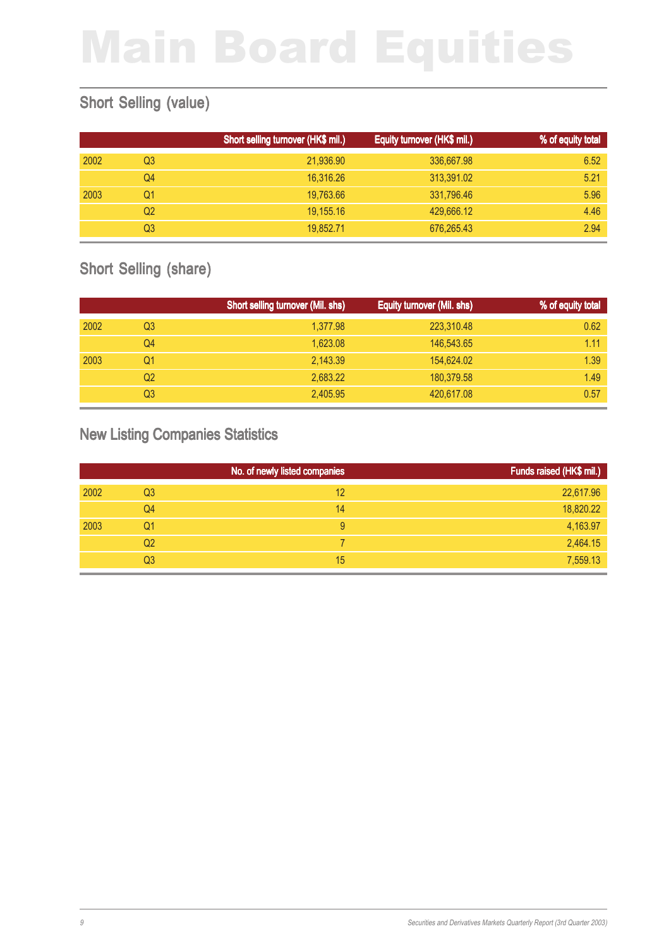### Short Selling (value)

|      |    | Short selling turnover (HK\$ mil.) | Equity turnover (HK\$ mil.) | % of equity total |
|------|----|------------------------------------|-----------------------------|-------------------|
| 2002 | Q3 | 21,936.90                          | 336,667.98                  | 6.52              |
|      | Q4 | 16.316.26                          | 313,391.02                  | 5.21              |
| 2003 | Q1 | 19,763.66                          | 331,796.46                  | 5.96              |
|      | Q2 | 19,155.16                          | 429,666.12                  | 4.46              |
|      | Q3 | 19.852.71                          | 676,265.43                  | 2.94              |

### Short Selling (share)

|      |                | Short selling turnover (Mil. shs) | Equity turnover (Mil. shs) | % of equity total |
|------|----------------|-----------------------------------|----------------------------|-------------------|
| 2002 | Q <sub>3</sub> | 1,377.98                          | 223,310.48                 | 0.62              |
|      | Q4             | 1,623.08                          | 146,543.65                 | 1.11              |
| 2003 | Q1             | 2,143.39                          | 154,624.02                 | 1.39              |
|      | Q2             | 2.683.22                          | 180,379.58                 | 1.49              |
|      | Q3             | 2,405.95                          | 420,617.08                 | 0.57              |

### New Listing Companies Statistics

|      |                | No. of newly listed companies | Funds raised (HK\$ mil.) |
|------|----------------|-------------------------------|--------------------------|
| 2002 | Q <sub>3</sub> | 12                            | 22,617.96                |
|      | Q4             | 14                            | 18,820.22                |
| 2003 | Q1             | 9                             | 4,163.97                 |
|      | Q <sub>2</sub> |                               | 2,464.15                 |
|      | Q3             | 15                            | 7,559.13                 |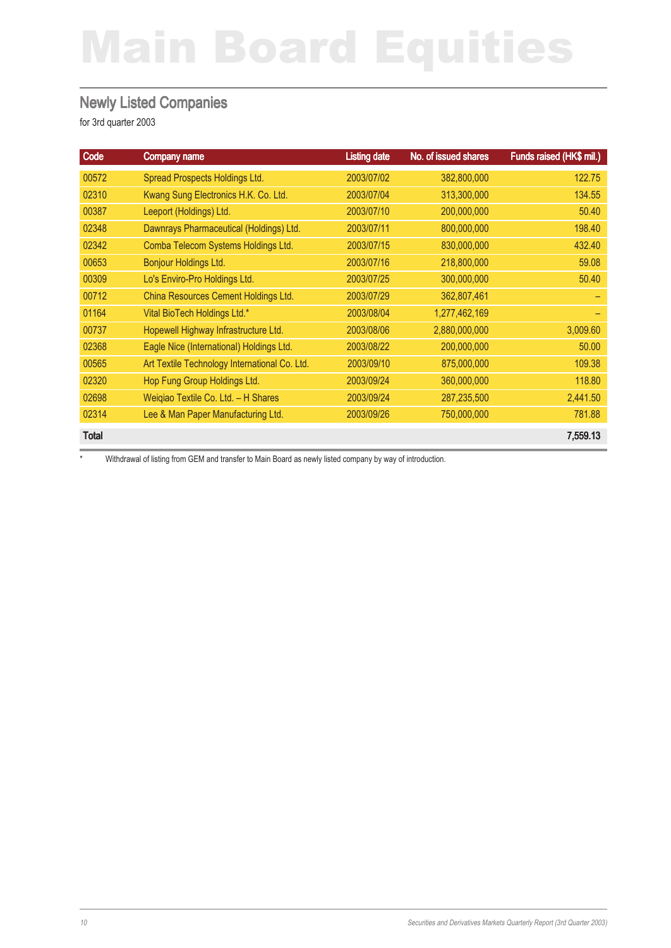#### Newly Listed Companies

for 3rd quarter 2003

| Code         | Company name                                  | <b>Listing date</b> | No. of issued shares | Funds raised (HK\$ mil.) |
|--------------|-----------------------------------------------|---------------------|----------------------|--------------------------|
| 00572        | Spread Prospects Holdings Ltd.                | 2003/07/02          | 382,800,000          | 122.75                   |
| 02310        | Kwang Sung Electronics H.K. Co. Ltd.          | 2003/07/04          | 313,300,000          | 134.55                   |
| 00387        | Leeport (Holdings) Ltd.                       | 2003/07/10          | 200,000,000          | 50.40                    |
| 02348        | Dawnrays Pharmaceutical (Holdings) Ltd.       | 2003/07/11          | 800,000,000          | 198.40                   |
| 02342        | Comba Telecom Systems Holdings Ltd.           | 2003/07/15          | 830,000,000          | 432.40                   |
| 00653        | <b>Bonjour Holdings Ltd.</b>                  | 2003/07/16          | 218,800,000          | 59.08                    |
| 00309        | Lo's Enviro-Pro Holdings Ltd.                 | 2003/07/25          | 300,000,000          | 50.40                    |
| 00712        | China Resources Cement Holdings Ltd.          | 2003/07/29          | 362,807,461          |                          |
| 01164        | Vital BioTech Holdings Ltd.*                  | 2003/08/04          | 1,277,462,169        |                          |
| 00737        | Hopewell Highway Infrastructure Ltd.          | 2003/08/06          | 2,880,000,000        | 3,009.60                 |
| 02368        | Eagle Nice (International) Holdings Ltd.      | 2003/08/22          | 200,000,000          | 50.00                    |
| 00565        | Art Textile Technology International Co. Ltd. | 2003/09/10          | 875,000,000          | 109.38                   |
| 02320        | Hop Fung Group Holdings Ltd.                  | 2003/09/24          | 360,000,000          | 118.80                   |
| 02698        | Weigiao Textile Co. Ltd. - H Shares           | 2003/09/24          | 287,235,500          | 2,441.50                 |
| 02314        | Lee & Man Paper Manufacturing Ltd.            | 2003/09/26          | 750,000,000          | 781.88                   |
| <b>Total</b> |                                               |                     |                      | 7,559.13                 |

\* Withdrawal of listing from GEM and transfer to Main Board as newly listed company by way of introduction.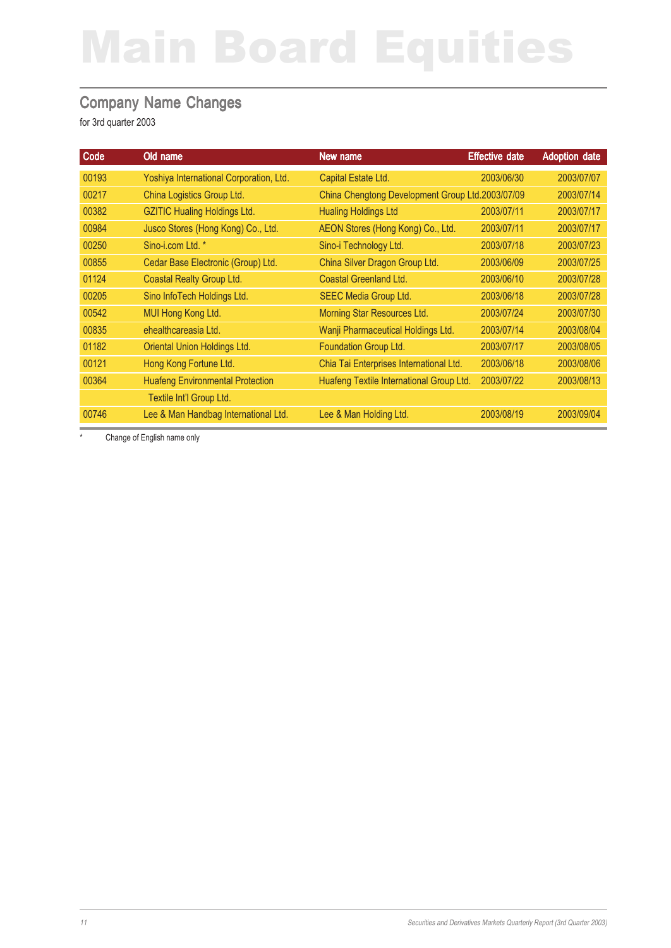#### Company Name Changes

for 3rd quarter 2003

| Code  | Old name                                | New name                                         | <b>Effective date</b> | <b>Adoption date</b> |
|-------|-----------------------------------------|--------------------------------------------------|-----------------------|----------------------|
| 00193 | Yoshiya International Corporation, Ltd. | Capital Estate Ltd.                              | 2003/06/30            | 2003/07/07           |
| 00217 | China Logistics Group Ltd.              | China Chengtong Development Group Ltd.2003/07/09 |                       | 2003/07/14           |
| 00382 | <b>GZITIC Hualing Holdings Ltd.</b>     | <b>Hualing Holdings Ltd</b>                      | 2003/07/11            | 2003/07/17           |
| 00984 | Jusco Stores (Hong Kong) Co., Ltd.      | AEON Stores (Hong Kong) Co., Ltd.                | 2003/07/11            | 2003/07/17           |
| 00250 | Sino-i.com Ltd. *                       | Sino-i Technology Ltd.                           | 2003/07/18            | 2003/07/23           |
| 00855 | Cedar Base Electronic (Group) Ltd.      | China Silver Dragon Group Ltd.                   | 2003/06/09            | 2003/07/25           |
| 01124 | Coastal Realty Group Ltd.               | <b>Coastal Greenland Ltd.</b>                    | 2003/06/10            | 2003/07/28           |
| 00205 | Sino InfoTech Holdings Ltd.             | SEEC Media Group Ltd.                            | 2003/06/18            | 2003/07/28           |
| 00542 | MUI Hong Kong Ltd.                      | Morning Star Resources Ltd.                      | 2003/07/24            | 2003/07/30           |
| 00835 | ehealthcareasia Ltd.                    | Wanji Pharmaceutical Holdings Ltd.               | 2003/07/14            | 2003/08/04           |
| 01182 | Oriental Union Holdings Ltd.            | Foundation Group Ltd.                            | 2003/07/17            | 2003/08/05           |
| 00121 | Hong Kong Fortune Ltd.                  | Chia Tai Enterprises International Ltd.          | 2003/06/18            | 2003/08/06           |
| 00364 | <b>Huafeng Environmental Protection</b> | Huafeng Textile International Group Ltd.         | 2003/07/22            | 2003/08/13           |
|       | Textile Int'l Group Ltd.                |                                                  |                       |                      |
| 00746 | Lee & Man Handbag International Ltd.    | Lee & Man Holding Ltd.                           | 2003/08/19            | 2003/09/04           |

Change of English name only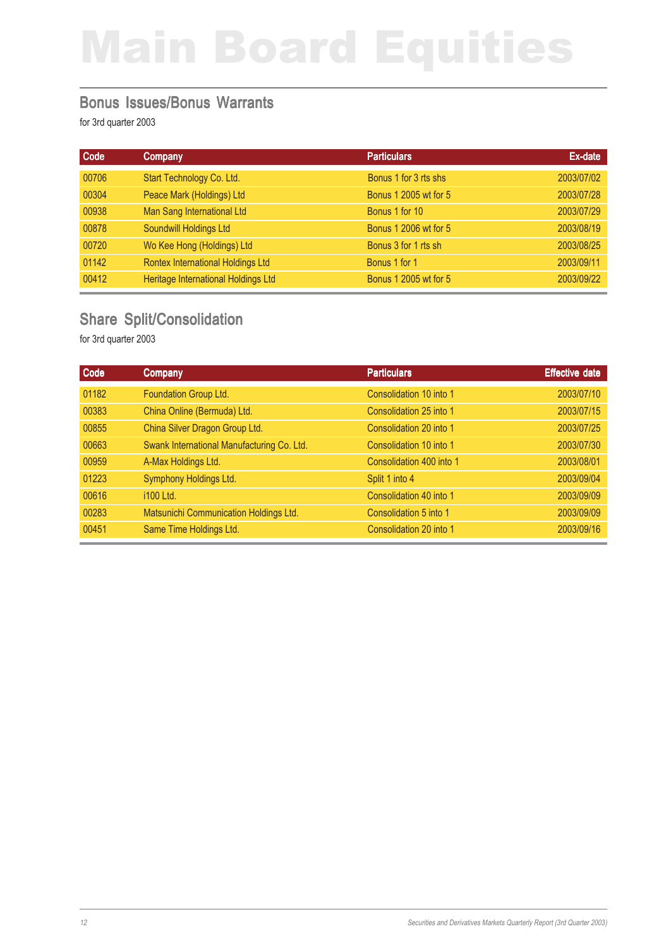#### Bonus Issues/Bonus Warrants

for 3rd quarter 2003

| Code  | Company                             | <b>Particulars</b>    | Ex-date    |
|-------|-------------------------------------|-----------------------|------------|
| 00706 | Start Technology Co. Ltd.           | Bonus 1 for 3 rts shs | 2003/07/02 |
| 00304 | Peace Mark (Holdings) Ltd           | Bonus 1 2005 wt for 5 | 2003/07/28 |
| 00938 | Man Sang International Ltd          | Bonus 1 for 10        | 2003/07/29 |
| 00878 | Soundwill Holdings Ltd              | Bonus 1 2006 wt for 5 | 2003/08/19 |
| 00720 | Wo Kee Hong (Holdings) Ltd          | Bonus 3 for 1 rts sh  | 2003/08/25 |
| 01142 | Rontex International Holdings Ltd   | Bonus 1 for 1         | 2003/09/11 |
| 00412 | Heritage International Holdings Ltd | Bonus 1 2005 wt for 5 | 2003/09/22 |

### Share Split/Consolidation

| Code  | <b>Company</b>                             | <b>Particulars</b>       | <b>Effective date</b> |
|-------|--------------------------------------------|--------------------------|-----------------------|
| 01182 | Foundation Group Ltd.                      | Consolidation 10 into 1  | 2003/07/10            |
| 00383 | China Online (Bermuda) Ltd.                | Consolidation 25 into 1  | 2003/07/15            |
| 00855 | China Silver Dragon Group Ltd.             | Consolidation 20 into 1  | 2003/07/25            |
| 00663 | Swank International Manufacturing Co. Ltd. | Consolidation 10 into 1  | 2003/07/30            |
| 00959 | A-Max Holdings Ltd.                        | Consolidation 400 into 1 | 2003/08/01            |
| 01223 | Symphony Holdings Ltd.                     | Split 1 into 4           | 2003/09/04            |
| 00616 | i100 Ltd.                                  | Consolidation 40 into 1  | 2003/09/09            |
| 00283 | Matsunichi Communication Holdings Ltd.     | Consolidation 5 into 1   | 2003/09/09            |
| 00451 | Same Time Holdings Ltd.                    | Consolidation 20 into 1  | 2003/09/16            |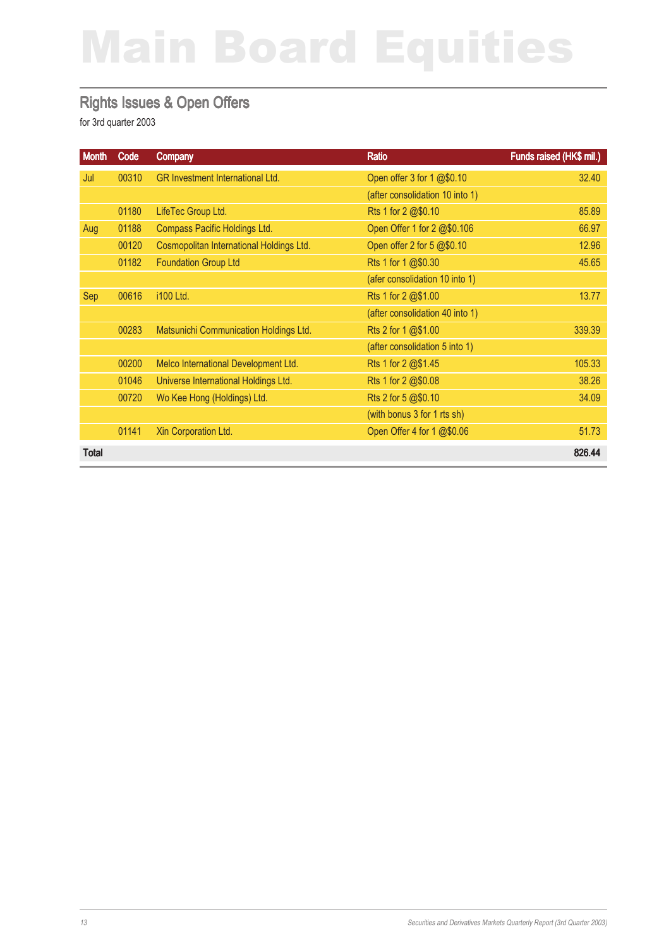#### Rights Issues & Open Offers

| <b>Month</b> | Code  | Company                                  | Ratio                           | Funds raised (HK\$ mil.) |
|--------------|-------|------------------------------------------|---------------------------------|--------------------------|
| Jul          | 00310 | GR Investment International Ltd.         | Open offer 3 for 1 @\$0.10      | 32.40                    |
|              |       |                                          | (after consolidation 10 into 1) |                          |
|              | 01180 | LifeTec Group Ltd.                       | Rts 1 for 2 @\$0.10             | 85.89                    |
| Aug          | 01188 | Compass Pacific Holdings Ltd.            | Open Offer 1 for 2 @\$0.106     | 66.97                    |
|              | 00120 | Cosmopolitan International Holdings Ltd. | Open offer 2 for 5 @\$0.10      | 12.96                    |
|              | 01182 | <b>Foundation Group Ltd</b>              | Rts 1 for 1 @\$0.30             | 45.65                    |
|              |       |                                          | (afer consolidation 10 into 1)  |                          |
| Sep          | 00616 | i100 Ltd.                                | Rts 1 for 2 @\$1.00             | 13.77                    |
|              |       |                                          | (after consolidation 40 into 1) |                          |
|              | 00283 | Matsunichi Communication Holdings Ltd.   | Rts 2 for 1 @\$1.00             | 339.39                   |
|              |       |                                          | (after consolidation 5 into 1)  |                          |
|              | 00200 | Melco International Development Ltd.     | Rts 1 for 2 @\$1.45             | 105.33                   |
|              | 01046 | Universe International Holdings Ltd.     | Rts 1 for 2 @\$0.08             | 38.26                    |
|              | 00720 | Wo Kee Hong (Holdings) Ltd.              | Rts 2 for 5 @\$0.10             | 34.09                    |
|              |       |                                          | (with bonus 3 for 1 rts sh)     |                          |
|              | 01141 | Xin Corporation Ltd.                     | Open Offer 4 for 1 @\$0.06      | 51.73                    |
| Total        |       |                                          |                                 | 826.44                   |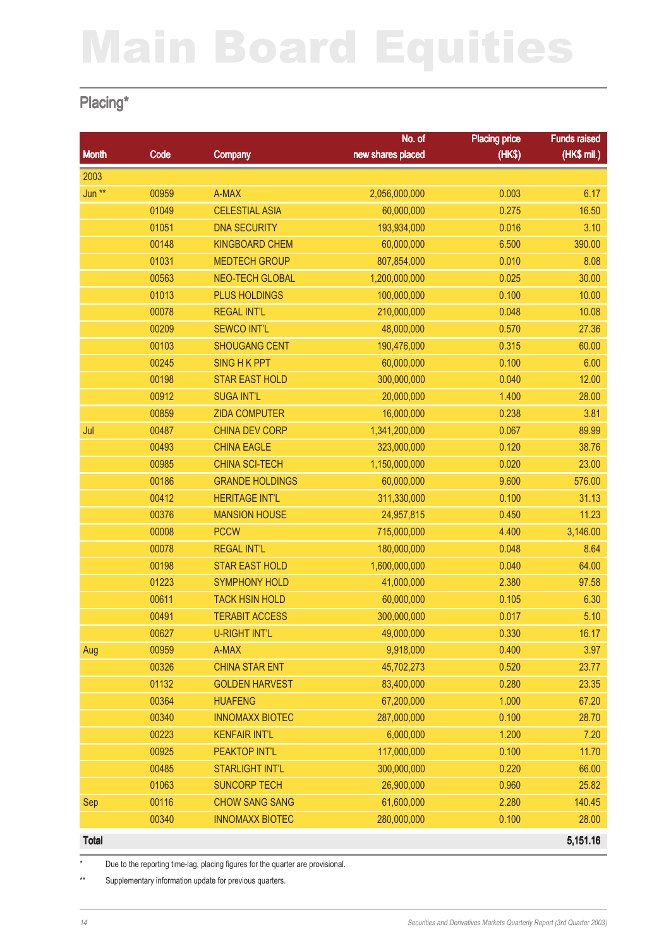### Placing\*

|              |       |                        | No. of            | <b>Placing price</b> | <b>Funds raised</b> |
|--------------|-------|------------------------|-------------------|----------------------|---------------------|
| <b>Month</b> | Code  | <b>Company</b>         | new shares placed | (HK\$)               | (HK\$ mil.)         |
| 2003         |       |                        |                   |                      |                     |
| Jun **       | 00959 | A-MAX                  | 2,056,000,000     | 0.003                | 6.17                |
|              | 01049 | <b>CELESTIAL ASIA</b>  | 60,000,000        | 0.275                | 16.50               |
|              | 01051 | <b>DNA SECURITY</b>    | 193,934,000       | 0.016                | 3.10                |
|              | 00148 | <b>KINGBOARD CHEM</b>  | 60,000,000        | 6.500                | 390.00              |
|              | 01031 | <b>MEDTECH GROUP</b>   | 807,854,000       | 0.010                | 8.08                |
|              | 00563 | <b>NEO-TECH GLOBAL</b> | 1,200,000,000     | 0.025                | 30.00               |
|              | 01013 | <b>PLUS HOLDINGS</b>   | 100,000,000       | 0.100                | 10.00               |
|              | 00078 | <b>REGAL INT'L</b>     | 210,000,000       | 0.048                | 10.08               |
|              | 00209 | <b>SEWCO INT'L</b>     | 48,000,000        | 0.570                | 27.36               |
|              | 00103 | <b>SHOUGANG CENT</b>   | 190,476,000       | 0.315                | 60.00               |
|              | 00245 | <b>SING H K PPT</b>    | 60,000,000        | 0.100                | 6.00                |
|              | 00198 | <b>STAR EAST HOLD</b>  | 300,000,000       | 0.040                | 12.00               |
|              | 00912 | <b>SUGA INT'L</b>      | 20,000,000        | 1.400                | 28.00               |
|              | 00859 | <b>ZIDA COMPUTER</b>   | 16,000,000        | 0.238                | 3.81                |
| Jul          | 00487 | <b>CHINA DEV CORP</b>  | 1,341,200,000     | 0.067                | 89.99               |
|              | 00493 | <b>CHINA EAGLE</b>     | 323,000,000       | 0.120                | 38.76               |
|              | 00985 | <b>CHINA SCI-TECH</b>  | 1,150,000,000     | 0.020                | 23.00               |
|              | 00186 | <b>GRANDE HOLDINGS</b> | 60,000,000        | 9.600                | 576.00              |
|              | 00412 | <b>HERITAGE INT'L</b>  | 311,330,000       | 0.100                | 31.13               |
|              | 00376 | <b>MANSION HOUSE</b>   | 24,957,815        | 0.450                | 11.23               |
|              | 00008 | <b>PCCW</b>            | 715,000,000       | 4.400                | 3,146.00            |
|              | 00078 | <b>REGAL INT'L</b>     | 180,000,000       | 0.048                | 8.64                |
|              | 00198 | <b>STAR EAST HOLD</b>  | 1,600,000,000     | 0.040                | 64.00               |
|              | 01223 | <b>SYMPHONY HOLD</b>   | 41,000,000        | 2.380                | 97.58               |
|              | 00611 | <b>TACK HSIN HOLD</b>  | 60,000,000        | 0.105                | 6.30                |
|              | 00491 | <b>TERABIT ACCESS</b>  | 300,000,000       | 0.017                | 5.10                |
|              | 00627 | U-RIGHT INT'L          | 49,000,000        | 0.330                | 16.17               |
| Aug          | 00959 | A-MAX                  | 9,918,000         | 0.400                | 3.97                |
|              | 00326 | <b>CHINA STAR ENT</b>  | 45,702,273        | 0.520                | 23.77               |
|              | 01132 | <b>GOLDEN HARVEST</b>  | 83,400,000        | 0.280                | 23.35               |
|              | 00364 | <b>HUAFENG</b>         | 67,200,000        | 1.000                | 67.20               |
|              | 00340 | <b>INNOMAXX BIOTEC</b> | 287,000,000       | 0.100                | 28.70               |
|              | 00223 | <b>KENFAIR INT'L</b>   | 6,000,000         | 1.200                | 7.20                |
|              | 00925 | PEAKTOP INT'L          | 117,000,000       | 0.100                | 11.70               |
|              | 00485 | <b>STARLIGHT INT'L</b> | 300,000,000       | 0.220                | 66.00               |
|              | 01063 | <b>SUNCORP TECH</b>    | 26,900,000        | 0.960                | 25.82               |
| Sep          | 00116 | <b>CHOW SANG SANG</b>  | 61,600,000        | 2.280                | 140.45              |
|              | 00340 | <b>INNOMAXX BIOTEC</b> | 280,000,000       | 0.100                | 28.00               |
| <b>Total</b> |       |                        |                   |                      | 5,151.16            |

\* Due to the reporting time-lag, placing figures for the quarter are provisional.

\*\* Supplementary information update for previous quarters.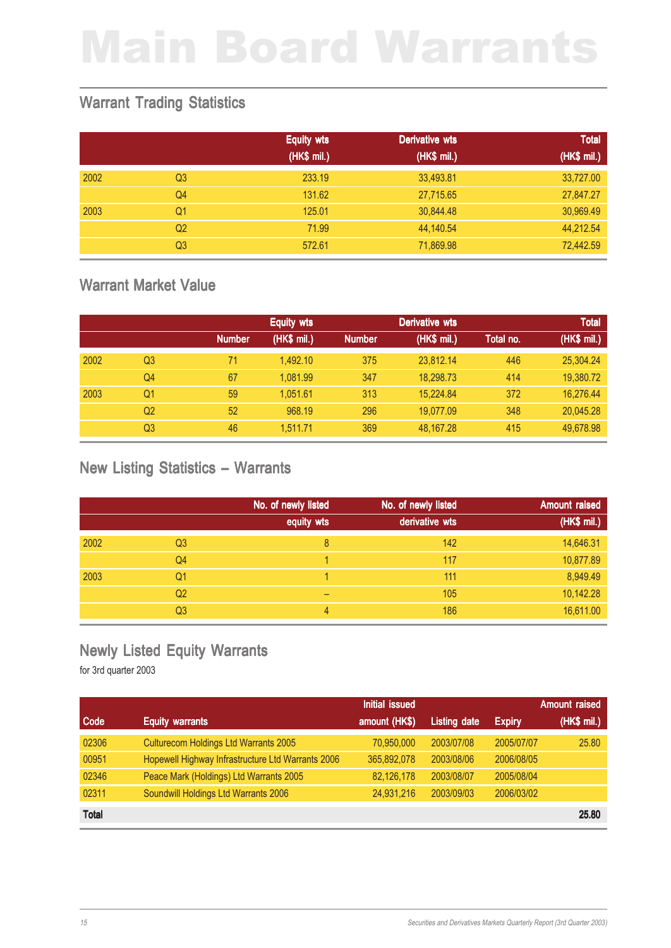### Warrant Trading Statistics

|      |                | <b>Equity wts</b> | <b>Derivative wts</b> | <b>Total</b> |
|------|----------------|-------------------|-----------------------|--------------|
|      |                | (HK\$ mil.)       | (HK\$ mil.)           | (HK\$ mil.)  |
| 2002 | Q <sub>3</sub> | 233.19            | 33,493.81             | 33,727.00    |
|      | Q <sub>4</sub> | 131.62            | 27,715.65             | 27,847.27    |
| 2003 | Q1             | 125.01            | 30,844.48             | 30,969.49    |
|      | Q <sub>2</sub> | 71.99             | 44,140.54             | 44,212.54    |
|      | Q <sub>3</sub> | 572.61            | 71,869.98             | 72,442.59    |

### Warrant Market Value

|      |                |               | Derivative wts<br><b>Equity wts</b> |               |             | <b>Total</b> |             |
|------|----------------|---------------|-------------------------------------|---------------|-------------|--------------|-------------|
|      |                | <b>Number</b> | (HK\$ mil.)                         | <b>Number</b> | (HK\$ mil.) | Total no.    | (HK\$ mil.) |
| 2002 | Q <sub>3</sub> | 71            | 1.492.10                            | 375           | 23,812.14   | 446          | 25,304.24   |
|      | Q <sub>4</sub> | 67            | 1.081.99                            | 347           | 18,298.73   | 414          | 19,380.72   |
| 2003 | Q <sub>1</sub> | 59            | 1.051.61                            | 313           | 15.224.84   | 372          | 16,276.44   |
|      | Q <sub>2</sub> | 52            | 968.19                              | 296           | 19.077.09   | 348          | 20,045.28   |
|      | Q3             | 46            | 1.511.71                            | 369           | 48,167.28   | 415          | 49.678.98   |

#### New Listing Statistics – Warrants

|      |                | No. of newly listed | No. of newly listed | <b>Amount raised</b> |
|------|----------------|---------------------|---------------------|----------------------|
|      |                | equity wts          | derivative wts      | (HK\$ mil.)          |
| 2002 | Q <sub>3</sub> | 8                   | 142                 | 14,646.31            |
|      | Q4             |                     | 117                 | 10,877.89            |
| 2003 | Q1             |                     | 111                 | 8,949.49             |
|      | Q <sub>2</sub> | -                   | 105                 | 10,142.28            |
|      | Q <sub>3</sub> | 4                   | 186                 | 16,611.00            |

### Newly Listed Equity Warrants

|              |                                                   | <b>Initial issued</b> |                     |               | <b>Amount raised</b> |
|--------------|---------------------------------------------------|-----------------------|---------------------|---------------|----------------------|
| Code         | <b>Equity warrants</b>                            | amount (HK\$)         | <b>Listing date</b> | <b>Expiry</b> | (HK\$ mi.)           |
| 02306        | Culturecom Holdings Ltd Warrants 2005             | 70,950,000            | 2003/07/08          | 2005/07/07    | 25.80                |
| 00951        | Hopewell Highway Infrastructure Ltd Warrants 2006 | 365,892,078           | 2003/08/06          | 2006/08/05    |                      |
| 02346        | Peace Mark (Holdings) Ltd Warrants 2005           | 82,126,178            | 2003/08/07          | 2005/08/04    |                      |
| 02311        | Soundwill Holdings Ltd Warrants 2006              | 24,931,216            | 2003/09/03          | 2006/03/02    |                      |
| <b>Total</b> |                                                   |                       |                     |               | 25.80                |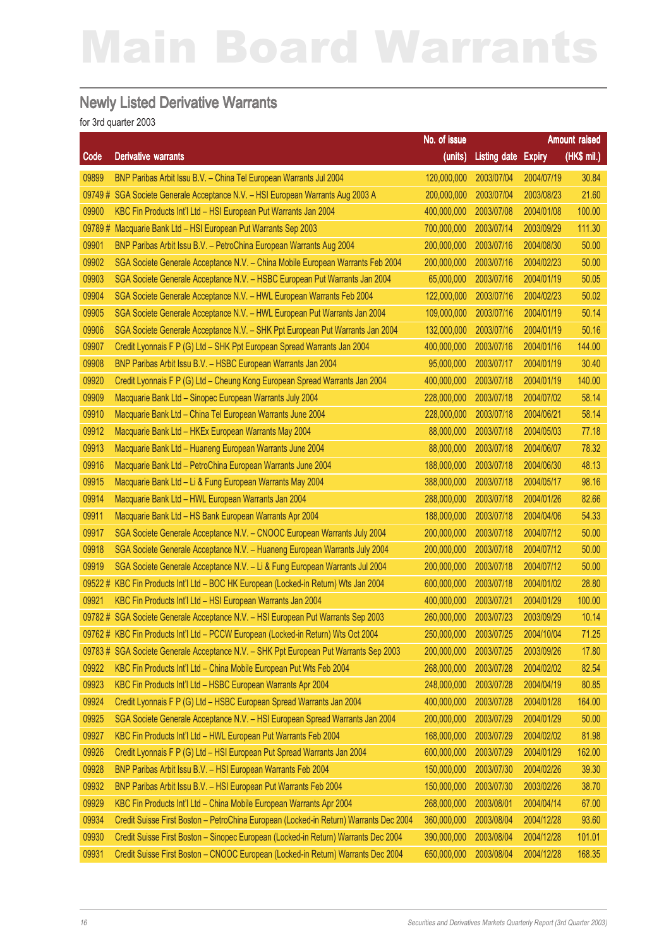#### Newly Listed Derivative Warrants

|        |                                                                                       | No. of issue |                     |               | Amount raised |
|--------|---------------------------------------------------------------------------------------|--------------|---------------------|---------------|---------------|
| Code   | <b>Derivative warrants</b>                                                            | (units)      | <b>Listing date</b> | <b>Expiry</b> | (HK\$ mil.)   |
| 09899  | BNP Paribas Arbit Issu B.V. - China Tel European Warrants Jul 2004                    | 120,000,000  | 2003/07/04          | 2004/07/19    | 30.84         |
| 09749# | SGA Societe Generale Acceptance N.V. - HSI European Warrants Aug 2003 A               | 200,000,000  | 2003/07/04          | 2003/08/23    | 21.60         |
| 09900  | KBC Fin Products Int'l Ltd - HSI European Put Warrants Jan 2004                       | 400,000,000  | 2003/07/08          | 2004/01/08    | 100.00        |
| 09789# | Macquarie Bank Ltd - HSI European Put Warrants Sep 2003                               | 700,000,000  | 2003/07/14          | 2003/09/29    | 111.30        |
| 09901  | BNP Paribas Arbit Issu B.V. - PetroChina European Warrants Aug 2004                   | 200,000,000  | 2003/07/16          | 2004/08/30    | 50.00         |
| 09902  | SGA Societe Generale Acceptance N.V. - China Mobile European Warrants Feb 2004        | 200,000,000  | 2003/07/16          | 2004/02/23    | 50.00         |
| 09903  | SGA Societe Generale Acceptance N.V. - HSBC European Put Warrants Jan 2004            | 65,000,000   | 2003/07/16          | 2004/01/19    | 50.05         |
| 09904  | SGA Societe Generale Acceptance N.V. - HWL European Warrants Feb 2004                 | 122,000,000  | 2003/07/16          | 2004/02/23    | 50.02         |
| 09905  | SGA Societe Generale Acceptance N.V. - HWL European Put Warrants Jan 2004             | 109,000,000  | 2003/07/16          | 2004/01/19    | 50.14         |
| 09906  | SGA Societe Generale Acceptance N.V. - SHK Ppt European Put Warrants Jan 2004         | 132,000,000  | 2003/07/16          | 2004/01/19    | 50.16         |
| 09907  | Credit Lyonnais F P (G) Ltd - SHK Ppt European Spread Warrants Jan 2004               | 400,000,000  | 2003/07/16          | 2004/01/16    | 144.00        |
| 09908  | BNP Paribas Arbit Issu B.V. - HSBC European Warrants Jan 2004                         | 95,000,000   | 2003/07/17          | 2004/01/19    | 30.40         |
| 09920  | Credit Lyonnais F P (G) Ltd - Cheung Kong European Spread Warrants Jan 2004           | 400,000,000  | 2003/07/18          | 2004/01/19    | 140.00        |
| 09909  | Macquarie Bank Ltd - Sinopec European Warrants July 2004                              | 228,000,000  | 2003/07/18          | 2004/07/02    | 58.14         |
| 09910  | Macquarie Bank Ltd - China Tel European Warrants June 2004                            | 228,000,000  | 2003/07/18          | 2004/06/21    | 58.14         |
| 09912  | Macquarie Bank Ltd - HKEx European Warrants May 2004                                  | 88,000,000   | 2003/07/18          | 2004/05/03    | 77.18         |
| 09913  | Macquarie Bank Ltd - Huaneng European Warrants June 2004                              | 88,000,000   | 2003/07/18          | 2004/06/07    | 78.32         |
| 09916  | Macquarie Bank Ltd - PetroChina European Warrants June 2004                           | 188,000,000  | 2003/07/18          | 2004/06/30    | 48.13         |
| 09915  | Macquarie Bank Ltd - Li & Fung European Warrants May 2004                             | 388,000,000  | 2003/07/18          | 2004/05/17    | 98.16         |
| 09914  | Macquarie Bank Ltd - HWL European Warrants Jan 2004                                   | 288,000,000  | 2003/07/18          | 2004/01/26    | 82.66         |
| 09911  | Macquarie Bank Ltd - HS Bank European Warrants Apr 2004                               | 188,000,000  | 2003/07/18          | 2004/04/06    | 54.33         |
| 09917  | SGA Societe Generale Acceptance N.V. - CNOOC European Warrants July 2004              | 200,000,000  | 2003/07/18          | 2004/07/12    | 50.00         |
| 09918  | SGA Societe Generale Acceptance N.V. - Huaneng European Warrants July 2004            | 200,000,000  | 2003/07/18          | 2004/07/12    | 50.00         |
| 09919  | SGA Societe Generale Acceptance N.V. - Li & Fung European Warrants Jul 2004           | 200,000,000  | 2003/07/18          | 2004/07/12    | 50.00         |
|        | 09522 # KBC Fin Products Int'l Ltd - BOC HK European (Locked-in Return) Wts Jan 2004  | 600,000,000  | 2003/07/18          | 2004/01/02    | 28.80         |
| 09921  | KBC Fin Products Int'l Ltd - HSI European Warrants Jan 2004                           | 400,000,000  | 2003/07/21          | 2004/01/29    | 100.00        |
|        | 09782 # SGA Societe Generale Acceptance N.V. - HSI European Put Warrants Sep 2003     | 260,000,000  | 2003/07/23          | 2003/09/29    | 10.14         |
|        | 09762# KBC Fin Products Int'l Ltd - PCCW European (Locked-in Return) Wts Oct 2004     | 250,000,000  | 2003/07/25          | 2004/10/04    | 71.25         |
|        | 09783 # SGA Societe Generale Acceptance N.V. - SHK Ppt European Put Warrants Sep 2003 | 200,000,000  | 2003/07/25          | 2003/09/26    | 17.80         |
| 09922  | KBC Fin Products Int'l Ltd - China Mobile European Put Wts Feb 2004                   | 268,000,000  | 2003/07/28          | 2004/02/02    | 82.54         |
| 09923  | KBC Fin Products Int'l Ltd - HSBC European Warrants Apr 2004                          | 248,000,000  | 2003/07/28          | 2004/04/19    | 80.85         |
| 09924  | Credit Lyonnais F P (G) Ltd - HSBC European Spread Warrants Jan 2004                  | 400,000,000  | 2003/07/28          | 2004/01/28    | 164.00        |
| 09925  | SGA Societe Generale Acceptance N.V. - HSI European Spread Warrants Jan 2004          | 200,000,000  | 2003/07/29          | 2004/01/29    | 50.00         |
| 09927  | KBC Fin Products Int'l Ltd - HWL European Put Warrants Feb 2004                       | 168,000,000  | 2003/07/29          | 2004/02/02    | 81.98         |
| 09926  | Credit Lyonnais F P (G) Ltd - HSI European Put Spread Warrants Jan 2004               | 600,000,000  | 2003/07/29          | 2004/01/29    | 162.00        |
| 09928  | BNP Paribas Arbit Issu B.V. - HSI European Warrants Feb 2004                          | 150,000,000  | 2003/07/30          | 2004/02/26    | 39.30         |
| 09932  | BNP Paribas Arbit Issu B.V. - HSI European Put Warrants Feb 2004                      | 150,000,000  | 2003/07/30          | 2003/02/26    | 38.70         |
| 09929  | KBC Fin Products Int'l Ltd - China Mobile European Warrants Apr 2004                  | 268,000,000  | 2003/08/01          | 2004/04/14    | 67.00         |
| 09934  | Credit Suisse First Boston - PetroChina European (Locked-in Return) Warrants Dec 2004 | 360,000,000  | 2003/08/04          | 2004/12/28    | 93.60         |
| 09930  | Credit Suisse First Boston - Sinopec European (Locked-in Return) Warrants Dec 2004    | 390,000,000  | 2003/08/04          | 2004/12/28    | 101.01        |
| 09931  | Credit Suisse First Boston - CNOOC European (Locked-in Return) Warrants Dec 2004      | 650,000,000  | 2003/08/04          | 2004/12/28    | 168.35        |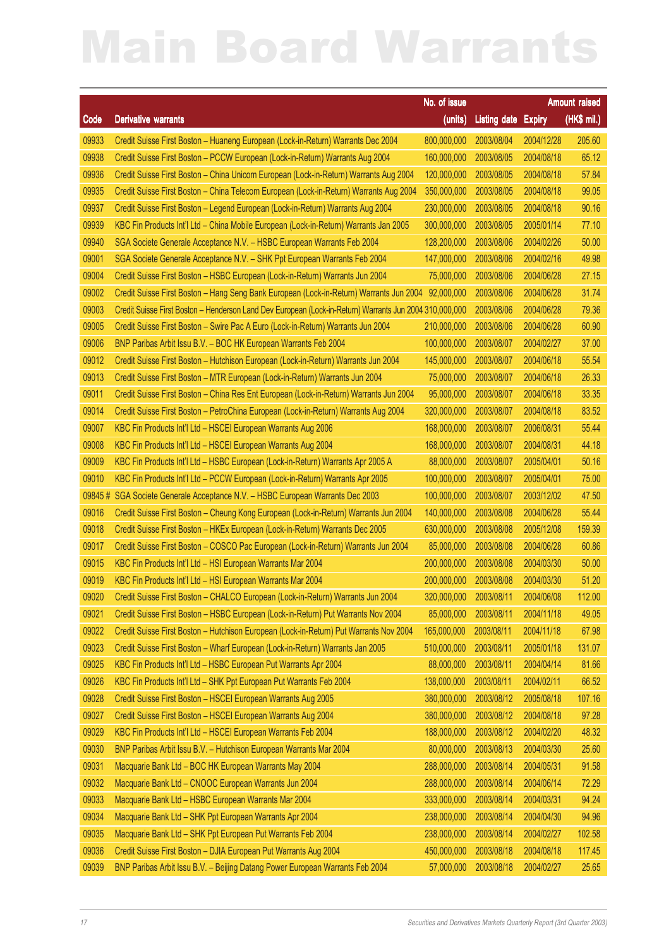|        |                                                                                                         |                         |                     |               | Amount raised |
|--------|---------------------------------------------------------------------------------------------------------|-------------------------|---------------------|---------------|---------------|
| Code   | <b>Derivative warrants</b>                                                                              | No. of issue<br>(units) | <b>Listing date</b> | <b>Expiry</b> | $(HKS$ mil.)  |
| 09933  | Credit Suisse First Boston - Huaneng European (Lock-in-Return) Warrants Dec 2004                        | 800,000,000             | 2003/08/04          | 2004/12/28    | 205.60        |
| 09938  | Credit Suisse First Boston - PCCW European (Lock-in-Return) Warrants Aug 2004                           | 160,000,000             | 2003/08/05          | 2004/08/18    | 65.12         |
| 09936  | Credit Suisse First Boston - China Unicom European (Lock-in-Return) Warrants Aug 2004                   | 120,000,000             | 2003/08/05          | 2004/08/18    | 57.84         |
| 09935  | Credit Suisse First Boston - China Telecom European (Lock-in-Return) Warrants Aug 2004                  | 350,000,000             | 2003/08/05          | 2004/08/18    | 99.05         |
| 09937  | Credit Suisse First Boston - Legend European (Lock-in-Return) Warrants Aug 2004                         | 230,000,000             | 2003/08/05          | 2004/08/18    | 90.16         |
| 09939  | KBC Fin Products Int'l Ltd - China Mobile European (Lock-in-Return) Warrants Jan 2005                   | 300,000,000             | 2003/08/05          | 2005/01/14    | 77.10         |
| 09940  | SGA Societe Generale Acceptance N.V. - HSBC European Warrants Feb 2004                                  | 128,200,000             | 2003/08/06          | 2004/02/26    | 50.00         |
| 09001  | SGA Societe Generale Acceptance N.V. - SHK Ppt European Warrants Feb 2004                               | 147,000,000             | 2003/08/06          | 2004/02/16    | 49.98         |
| 09004  | Credit Suisse First Boston - HSBC European (Lock-in-Return) Warrants Jun 2004                           | 75,000,000              | 2003/08/06          | 2004/06/28    | 27.15         |
| 09002  | Credit Suisse First Boston - Hang Seng Bank European (Lock-in-Return) Warrants Jun 2004                 | 92,000,000              | 2003/08/06          | 2004/06/28    | 31.74         |
| 09003  | Credit Suisse First Boston - Henderson Land Dev European (Lock-in-Return) Warrants Jun 2004 310,000,000 |                         | 2003/08/06          | 2004/06/28    | 79.36         |
| 09005  | Credit Suisse First Boston - Swire Pac A Euro (Lock-in-Return) Warrants Jun 2004                        | 210,000,000             | 2003/08/06          | 2004/06/28    | 60.90         |
| 09006  | BNP Paribas Arbit Issu B.V. - BOC HK European Warrants Feb 2004                                         | 100,000,000             | 2003/08/07          | 2004/02/27    | 37.00         |
| 09012  | Credit Suisse First Boston - Hutchison European (Lock-in-Return) Warrants Jun 2004                      | 145,000,000             | 2003/08/07          | 2004/06/18    | 55.54         |
| 09013  | Credit Suisse First Boston - MTR European (Lock-in-Return) Warrants Jun 2004                            | 75,000,000              | 2003/08/07          | 2004/06/18    | 26.33         |
| 09011  | Credit Suisse First Boston - China Res Ent European (Lock-in-Return) Warrants Jun 2004                  | 95,000,000              | 2003/08/07          | 2004/06/18    | 33.35         |
| 09014  | Credit Suisse First Boston - PetroChina European (Lock-in-Return) Warrants Aug 2004                     | 320,000,000             | 2003/08/07          | 2004/08/18    | 83.52         |
| 09007  | KBC Fin Products Int'l Ltd - HSCEI European Warrants Aug 2006                                           | 168,000,000             | 2003/08/07          | 2006/08/31    | 55.44         |
| 09008  | KBC Fin Products Int'l Ltd - HSCEI European Warrants Aug 2004                                           | 168,000,000             | 2003/08/07          | 2004/08/31    | 44.18         |
| 09009  | KBC Fin Products Int'l Ltd - HSBC European (Lock-in-Return) Warrants Apr 2005 A                         | 88,000,000              | 2003/08/07          | 2005/04/01    | 50.16         |
| 09010  | KBC Fin Products Int'l Ltd - PCCW European (Lock-in-Return) Warrants Apr 2005                           | 100,000,000             | 2003/08/07          | 2005/04/01    | 75.00         |
| 09845# | SGA Societe Generale Acceptance N.V. - HSBC European Warrants Dec 2003                                  | 100,000,000             | 2003/08/07          | 2003/12/02    | 47.50         |
| 09016  | Credit Suisse First Boston - Cheung Kong European (Lock-in-Return) Warrants Jun 2004                    | 140,000,000             | 2003/08/08          | 2004/06/28    | 55.44         |
| 09018  | Credit Suisse First Boston - HKEx European (Lock-in-Return) Warrants Dec 2005                           | 630,000,000             | 2003/08/08          | 2005/12/08    | 159.39        |
| 09017  | Credit Suisse First Boston - COSCO Pac European (Lock-in-Return) Warrants Jun 2004                      | 85,000,000              | 2003/08/08          | 2004/06/28    | 60.86         |
| 09015  | KBC Fin Products Int'l Ltd - HSI European Warrants Mar 2004                                             | 200,000,000             | 2003/08/08          | 2004/03/30    | 50.00         |
| 09019  | KBC Fin Products Int'l Ltd - HSI European Warrants Mar 2004                                             | 200,000,000             | 2003/08/08          | 2004/03/30    | 51.20         |
| 09020  | Credit Suisse First Boston - CHALCO European (Lock-in-Return) Warrants Jun 2004                         | 320,000,000 2003/08/11  |                     | 2004/06/08    | 112.00        |
| 09021  | Credit Suisse First Boston - HSBC European (Lock-in-Return) Put Warrants Nov 2004                       | 85,000,000              | 2003/08/11          | 2004/11/18    | 49.05         |
| 09022  | Credit Suisse First Boston - Hutchison European (Lock-in-Return) Put Warrants Nov 2004                  | 165,000,000             | 2003/08/11          | 2004/11/18    | 67.98         |
| 09023  | Credit Suisse First Boston - Wharf European (Lock-in-Return) Warrants Jan 2005                          | 510,000,000             | 2003/08/11          | 2005/01/18    | 131.07        |
| 09025  | KBC Fin Products Int'l Ltd - HSBC European Put Warrants Apr 2004                                        | 88,000,000              | 2003/08/11          | 2004/04/14    | 81.66         |
| 09026  | KBC Fin Products Int'l Ltd - SHK Ppt European Put Warrants Feb 2004                                     | 138,000,000             | 2003/08/11          | 2004/02/11    | 66.52         |
| 09028  | Credit Suisse First Boston - HSCEI European Warrants Aug 2005                                           | 380,000,000             | 2003/08/12          | 2005/08/18    | 107.16        |
| 09027  | Credit Suisse First Boston - HSCEI European Warrants Aug 2004                                           | 380,000,000             | 2003/08/12          | 2004/08/18    | 97.28         |
| 09029  | KBC Fin Products Int'l Ltd - HSCEI European Warrants Feb 2004                                           | 188,000,000             | 2003/08/12          | 2004/02/20    | 48.32         |
| 09030  | BNP Paribas Arbit Issu B.V. - Hutchison European Warrants Mar 2004                                      | 80,000,000              | 2003/08/13          | 2004/03/30    | 25.60         |
| 09031  | Macquarie Bank Ltd - BOC HK European Warrants May 2004                                                  | 288,000,000             | 2003/08/14          | 2004/05/31    | 91.58         |
| 09032  | Macquarie Bank Ltd - CNOOC European Warrants Jun 2004                                                   | 288,000,000             | 2003/08/14          | 2004/06/14    | 72.29         |
| 09033  | Macquarie Bank Ltd - HSBC European Warrants Mar 2004                                                    | 333,000,000             | 2003/08/14          | 2004/03/31    | 94.24         |
| 09034  | Macquarie Bank Ltd - SHK Ppt European Warrants Apr 2004                                                 | 238,000,000             | 2003/08/14          | 2004/04/30    | 94.96         |
| 09035  | Macquarie Bank Ltd - SHK Ppt European Put Warrants Feb 2004                                             | 238,000,000             | 2003/08/14          | 2004/02/27    | 102.58        |
| 09036  | Credit Suisse First Boston - DJIA European Put Warrants Aug 2004                                        | 450,000,000             | 2003/08/18          | 2004/08/18    | 117.45        |
| 09039  | BNP Paribas Arbit Issu B.V. - Beijing Datang Power European Warrants Feb 2004                           | 57,000,000              | 2003/08/18          | 2004/02/27    | 25.65         |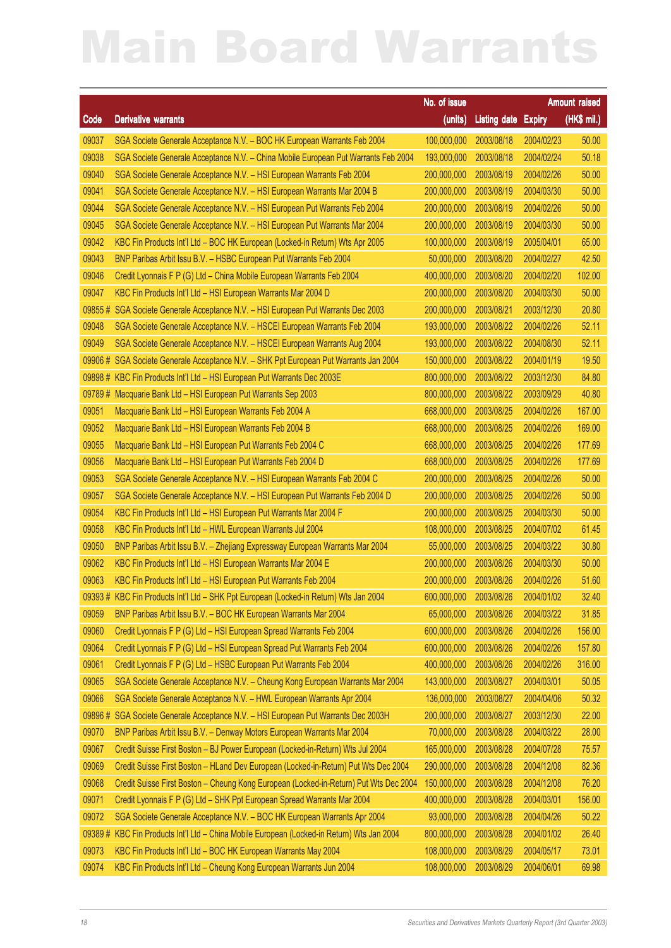|        |                                                                                            | No. of issue           |                     |               | Amount raised |
|--------|--------------------------------------------------------------------------------------------|------------------------|---------------------|---------------|---------------|
| Code   | <b>Derivative warrants</b>                                                                 | (units)                | <b>Listing date</b> | <b>Expiry</b> | (HK\$ mil.)   |
| 09037  | SGA Societe Generale Acceptance N.V. - BOC HK European Warrants Feb 2004                   | 100,000,000            | 2003/08/18          | 2004/02/23    | 50.00         |
| 09038  | SGA Societe Generale Acceptance N.V. - China Mobile European Put Warrants Feb 2004         | 193,000,000            | 2003/08/18          | 2004/02/24    | 50.18         |
| 09040  | SGA Societe Generale Acceptance N.V. - HSI European Warrants Feb 2004                      | 200,000,000            | 2003/08/19          | 2004/02/26    | 50.00         |
| 09041  | SGA Societe Generale Acceptance N.V. - HSI European Warrants Mar 2004 B                    | 200,000,000            | 2003/08/19          | 2004/03/30    | 50.00         |
| 09044  | SGA Societe Generale Acceptance N.V. - HSI European Put Warrants Feb 2004                  | 200,000,000            | 2003/08/19          | 2004/02/26    | 50.00         |
| 09045  | SGA Societe Generale Acceptance N.V. - HSI European Put Warrants Mar 2004                  | 200,000,000            | 2003/08/19          | 2004/03/30    | 50.00         |
| 09042  | KBC Fin Products Int'l Ltd - BOC HK European (Locked-in Return) Wts Apr 2005               | 100,000,000            | 2003/08/19          | 2005/04/01    | 65.00         |
| 09043  | BNP Paribas Arbit Issu B.V. - HSBC European Put Warrants Feb 2004                          | 50,000,000             | 2003/08/20          | 2004/02/27    | 42.50         |
| 09046  | Credit Lyonnais F P (G) Ltd - China Mobile European Warrants Feb 2004                      | 400,000,000            | 2003/08/20          | 2004/02/20    | 102.00        |
| 09047  | KBC Fin Products Int'l Ltd - HSI European Warrants Mar 2004 D                              | 200,000,000            | 2003/08/20          | 2004/03/30    | 50.00         |
| 09855# | SGA Societe Generale Acceptance N.V. - HSI European Put Warrants Dec 2003                  | 200,000,000            | 2003/08/21          | 2003/12/30    | 20.80         |
| 09048  | SGA Societe Generale Acceptance N.V. - HSCEI European Warrants Feb 2004                    | 193,000,000            | 2003/08/22          | 2004/02/26    | 52.11         |
| 09049  | SGA Societe Generale Acceptance N.V. - HSCEI European Warrants Aug 2004                    | 193,000,000            | 2003/08/22          | 2004/08/30    | 52.11         |
| 09906# | SGA Societe Generale Acceptance N.V. - SHK Ppt European Put Warrants Jan 2004              | 150,000,000            | 2003/08/22          | 2004/01/19    | 19.50         |
| 09898# | KBC Fin Products Int'l Ltd - HSI European Put Warrants Dec 2003E                           | 800,000,000            | 2003/08/22          | 2003/12/30    | 84.80         |
| 09789# | Macquarie Bank Ltd - HSI European Put Warrants Sep 2003                                    | 800,000,000            | 2003/08/22          | 2003/09/29    | 40.80         |
| 09051  | Macquarie Bank Ltd - HSI European Warrants Feb 2004 A                                      | 668,000,000            | 2003/08/25          | 2004/02/26    | 167.00        |
| 09052  | Macquarie Bank Ltd - HSI European Warrants Feb 2004 B                                      | 668,000,000            | 2003/08/25          | 2004/02/26    | 169.00        |
| 09055  | Macquarie Bank Ltd - HSI European Put Warrants Feb 2004 C                                  | 668,000,000            | 2003/08/25          | 2004/02/26    | 177.69        |
| 09056  | Macquarie Bank Ltd - HSI European Put Warrants Feb 2004 D                                  | 668,000,000            | 2003/08/25          | 2004/02/26    | 177.69        |
| 09053  | SGA Societe Generale Acceptance N.V. - HSI European Warrants Feb 2004 C                    | 200,000,000            | 2003/08/25          | 2004/02/26    | 50.00         |
| 09057  | SGA Societe Generale Acceptance N.V. - HSI European Put Warrants Feb 2004 D                | 200,000,000            | 2003/08/25          | 2004/02/26    | 50.00         |
| 09054  | KBC Fin Products Int'l Ltd - HSI European Put Warrants Mar 2004 F                          | 200,000,000            | 2003/08/25          | 2004/03/30    | 50.00         |
| 09058  | KBC Fin Products Int'l Ltd - HWL European Warrants Jul 2004                                | 108,000,000            | 2003/08/25          | 2004/07/02    | 61.45         |
| 09050  | BNP Paribas Arbit Issu B.V. - Zhejiang Expressway European Warrants Mar 2004               | 55,000,000             | 2003/08/25          | 2004/03/22    | 30.80         |
| 09062  | KBC Fin Products Int'l Ltd - HSI European Warrants Mar 2004 E                              | 200,000,000            | 2003/08/26          | 2004/03/30    | 50.00         |
| 09063  | KBC Fin Products Int'l Ltd - HSI European Put Warrants Feb 2004                            | 200,000,000            | 2003/08/26          | 2004/02/26    | 51.60         |
|        | 09393 # KBC Fin Products Int'l Ltd - SHK Ppt European (Locked-in Return) Wts Jan 2004      | 600,000,000 2003/08/26 |                     | 2004/01/02    | 32.40         |
| 09059  | BNP Paribas Arbit Issu B.V. - BOC HK European Warrants Mar 2004                            | 65,000,000             | 2003/08/26          | 2004/03/22    | 31.85         |
| 09060  | Credit Lyonnais F P (G) Ltd - HSI European Spread Warrants Feb 2004                        | 600,000,000            | 2003/08/26          | 2004/02/26    | 156.00        |
| 09064  | Credit Lyonnais F P (G) Ltd - HSI European Spread Put Warrants Feb 2004                    | 600,000,000            | 2003/08/26          | 2004/02/26    | 157.80        |
| 09061  | Credit Lyonnais F P (G) Ltd - HSBC European Put Warrants Feb 2004                          | 400,000,000            | 2003/08/26          | 2004/02/26    | 316.00        |
| 09065  | SGA Societe Generale Acceptance N.V. - Cheung Kong European Warrants Mar 2004              | 143,000,000            | 2003/08/27          | 2004/03/01    | 50.05         |
| 09066  | SGA Societe Generale Acceptance N.V. - HWL European Warrants Apr 2004                      | 136,000,000            | 2003/08/27          | 2004/04/06    | 50.32         |
| 09896# | SGA Societe Generale Acceptance N.V. - HSI European Put Warrants Dec 2003H                 | 200,000,000            | 2003/08/27          | 2003/12/30    | 22.00         |
| 09070  | BNP Paribas Arbit Issu B.V. - Denway Motors European Warrants Mar 2004                     | 70,000,000             | 2003/08/28          | 2004/03/22    | 28.00         |
| 09067  | Credit Suisse First Boston - BJ Power European (Locked-in-Return) Wts Jul 2004             | 165,000,000            | 2003/08/28          | 2004/07/28    | 75.57         |
| 09069  | Credit Suisse First Boston - HLand Dev European (Locked-in-Return) Put Wts Dec 2004        | 290,000,000            | 2003/08/28          | 2004/12/08    | 82.36         |
| 09068  | Credit Suisse First Boston - Cheung Kong European (Locked-in-Return) Put Wts Dec 2004      | 150,000,000            | 2003/08/28          | 2004/12/08    | 76.20         |
| 09071  | Credit Lyonnais F P (G) Ltd - SHK Ppt European Spread Warrants Mar 2004                    | 400,000,000            | 2003/08/28          | 2004/03/01    | 156.00        |
| 09072  | SGA Societe Generale Acceptance N.V. - BOC HK European Warrants Apr 2004                   | 93,000,000             | 2003/08/28          | 2004/04/26    | 50.22         |
|        | 09389 # KBC Fin Products Int'l Ltd - China Mobile European (Locked-in Return) Wts Jan 2004 | 800,000,000            | 2003/08/28          | 2004/01/02    | 26.40         |
| 09073  | KBC Fin Products Int'l Ltd - BOC HK European Warrants May 2004                             | 108,000,000            | 2003/08/29          | 2004/05/17    | 73.01         |
| 09074  | KBC Fin Products Int'l Ltd - Cheung Kong European Warrants Jun 2004                        | 108,000,000            | 2003/08/29          | 2004/06/01    | 69.98         |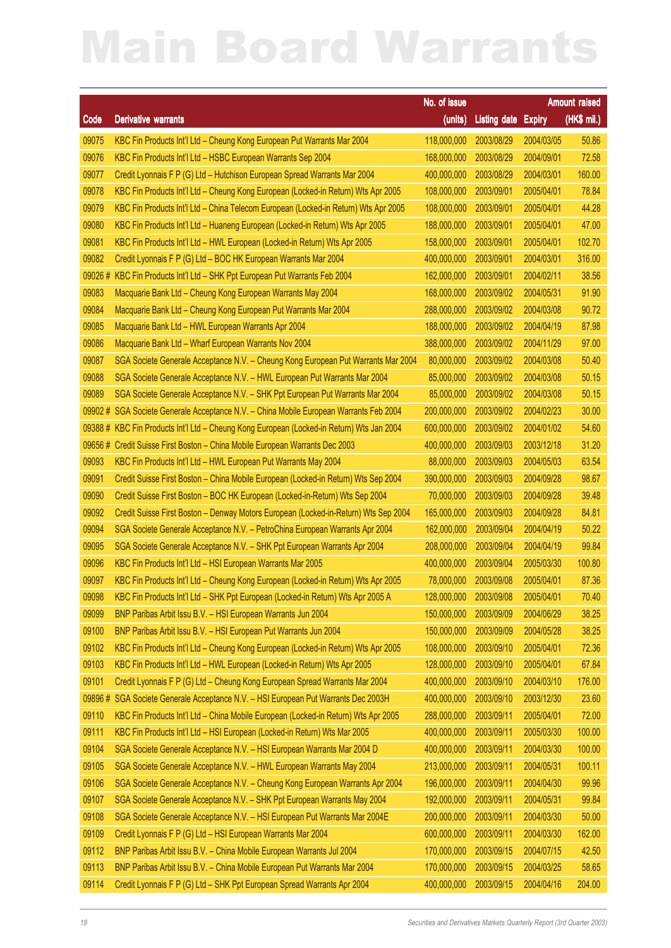|        |                                                                                     | No. of issue           |                     |               | Amount raised |
|--------|-------------------------------------------------------------------------------------|------------------------|---------------------|---------------|---------------|
| Code   | <b>Derivative warrants</b>                                                          | (units)                | <b>Listing date</b> | <b>Expiry</b> | $(HKS$ mil.)  |
| 09075  | KBC Fin Products Int'l Ltd - Cheung Kong European Put Warrants Mar 2004             | 118,000,000            | 2003/08/29          | 2004/03/05    | 50.86         |
| 09076  | KBC Fin Products Int'l Ltd - HSBC European Warrants Sep 2004                        | 168,000,000            | 2003/08/29          | 2004/09/01    | 72.58         |
| 09077  | Credit Lyonnais F P (G) Ltd - Hutchison European Spread Warrants Mar 2004           | 400,000,000            | 2003/08/29          | 2004/03/01    | 160.00        |
| 09078  | KBC Fin Products Int'l Ltd - Cheung Kong European (Locked-in Return) Wts Apr 2005   | 108,000,000            | 2003/09/01          | 2005/04/01    | 78.84         |
| 09079  | KBC Fin Products Int'l Ltd - China Telecom European (Locked-in Return) Wts Apr 2005 | 108,000,000            | 2003/09/01          | 2005/04/01    | 44.28         |
| 09080  | KBC Fin Products Int'l Ltd - Huaneng European (Locked-in Return) Wts Apr 2005       | 188,000,000            | 2003/09/01          | 2005/04/01    | 47.00         |
| 09081  | KBC Fin Products Int'l Ltd - HWL European (Locked-in Return) Wts Apr 2005           | 158,000,000            | 2003/09/01          | 2005/04/01    | 102.70        |
| 09082  | Credit Lyonnais F P (G) Ltd - BOC HK European Warrants Mar 2004                     | 400,000,000            | 2003/09/01          | 2004/03/01    | 316.00        |
| 09026# | KBC Fin Products Int'l Ltd - SHK Ppt European Put Warrants Feb 2004                 | 162,000,000            | 2003/09/01          | 2004/02/11    | 38.56         |
| 09083  | Macquarie Bank Ltd - Cheung Kong European Warrants May 2004                         | 168,000,000            | 2003/09/02          | 2004/05/31    | 91.90         |
| 09084  | Macquarie Bank Ltd - Cheung Kong European Put Warrants Mar 2004                     | 288,000,000            | 2003/09/02          | 2004/03/08    | 90.72         |
| 09085  | Macquarie Bank Ltd - HWL European Warrants Apr 2004                                 | 188,000,000            | 2003/09/02          | 2004/04/19    | 87.98         |
| 09086  | Macquarie Bank Ltd - Wharf European Warrants Nov 2004                               | 388,000,000            | 2003/09/02          | 2004/11/29    | 97.00         |
| 09087  | SGA Societe Generale Acceptance N.V. - Cheung Kong European Put Warrants Mar 2004   | 80,000,000             | 2003/09/02          | 2004/03/08    | 50.40         |
| 09088  | SGA Societe Generale Acceptance N.V. - HWL European Put Warrants Mar 2004           | 85,000,000             | 2003/09/02          | 2004/03/08    | 50.15         |
| 09089  | SGA Societe Generale Acceptance N.V. - SHK Ppt European Put Warrants Mar 2004       | 85,000,000             | 2003/09/02          | 2004/03/08    | 50.15         |
| 09902# | SGA Societe Generale Acceptance N.V. - China Mobile European Warrants Feb 2004      | 200,000,000            | 2003/09/02          | 2004/02/23    | 30.00         |
| 09388# | KBC Fin Products Int'l Ltd - Cheung Kong European (Locked-in Return) Wts Jan 2004   | 600,000,000            | 2003/09/02          | 2004/01/02    | 54.60         |
| 09656# | Credit Suisse First Boston - China Mobile European Warrants Dec 2003                | 400,000,000            | 2003/09/03          | 2003/12/18    | 31.20         |
| 09093  | KBC Fin Products Int'l Ltd - HWL European Put Warrants May 2004                     | 88,000,000             | 2003/09/03          | 2004/05/03    | 63.54         |
| 09091  | Credit Suisse First Boston - China Mobile European (Locked-in Return) Wts Sep 2004  | 390,000,000            | 2003/09/03          | 2004/09/28    | 98.67         |
| 09090  | Credit Suisse First Boston - BOC HK European (Locked-in-Return) Wts Sep 2004        | 70,000,000             | 2003/09/03          | 2004/09/28    | 39.48         |
| 09092  | Credit Suisse First Boston - Denway Motors European (Locked-in-Return) Wts Sep 2004 | 165,000,000            | 2003/09/03          | 2004/09/28    | 84.81         |
| 09094  | SGA Societe Generale Acceptance N.V. - PetroChina European Warrants Apr 2004        | 162,000,000            | 2003/09/04          | 2004/04/19    | 50.22         |
| 09095  | SGA Societe Generale Acceptance N.V. - SHK Ppt European Warrants Apr 2004           | 208,000,000            | 2003/09/04          | 2004/04/19    | 99.84         |
| 09096  | KBC Fin Products Int'l Ltd - HSI European Warrants Mar 2005                         | 400,000,000            | 2003/09/04          | 2005/03/30    | 100.80        |
| 09097  | KBC Fin Products Int'l Ltd - Cheung Kong European (Locked-in Return) Wts Apr 2005   | 78,000,000             | 2003/09/08          | 2005/04/01    | 87.36         |
| 09098  | KBC Fin Products Int'l Ltd - SHK Ppt European (Locked-in Return) Wts Apr 2005 A     | 128,000,000 2003/09/08 |                     | 2005/04/01    | 70.40         |
| 09099  | BNP Paribas Arbit Issu B.V. - HSI European Warrants Jun 2004                        | 150,000,000            | 2003/09/09          | 2004/06/29    | 38.25         |
| 09100  | BNP Paribas Arbit Issu B.V. - HSI European Put Warrants Jun 2004                    | 150,000,000            | 2003/09/09          | 2004/05/28    | 38.25         |
| 09102  | KBC Fin Products Int'l Ltd - Cheung Kong European (Locked-in Return) Wts Apr 2005   | 108,000,000            | 2003/09/10          | 2005/04/01    | 72.36         |
| 09103  | KBC Fin Products Int'l Ltd - HWL European (Locked-in Return) Wts Apr 2005           | 128,000,000            | 2003/09/10          | 2005/04/01    | 67.84         |
| 09101  | Credit Lyonnais F P (G) Ltd - Cheung Kong European Spread Warrants Mar 2004         | 400,000,000            | 2003/09/10          | 2004/03/10    | 176.00        |
| 09896# | SGA Societe Generale Acceptance N.V. - HSI European Put Warrants Dec 2003H          | 400,000,000            | 2003/09/10          | 2003/12/30    | 23.60         |
| 09110  | KBC Fin Products Int'l Ltd - China Mobile European (Locked-in Return) Wts Apr 2005  | 288,000,000            | 2003/09/11          | 2005/04/01    | 72.00         |
| 09111  | KBC Fin Products Int'l Ltd - HSI European (Locked-in Return) Wts Mar 2005           | 400,000,000            | 2003/09/11          | 2005/03/30    | 100.00        |
| 09104  | SGA Societe Generale Acceptance N.V. - HSI European Warrants Mar 2004 D             | 400,000,000            | 2003/09/11          | 2004/03/30    | 100.00        |
| 09105  | SGA Societe Generale Acceptance N.V. - HWL European Warrants May 2004               | 213,000,000            | 2003/09/11          | 2004/05/31    | 100.11        |
| 09106  | SGA Societe Generale Acceptance N.V. - Cheung Kong European Warrants Apr 2004       | 196,000,000            | 2003/09/11          | 2004/04/30    | 99.96         |
| 09107  | SGA Societe Generale Acceptance N.V. - SHK Ppt European Warrants May 2004           | 192,000,000            | 2003/09/11          | 2004/05/31    | 99.84         |
| 09108  | SGA Societe Generale Acceptance N.V. - HSI European Put Warrants Mar 2004E          | 200,000,000            | 2003/09/11          | 2004/03/30    | 50.00         |
| 09109  | Credit Lyonnais F P (G) Ltd - HSI European Warrants Mar 2004                        | 600,000,000            | 2003/09/11          | 2004/03/30    | 162.00        |
| 09112  | BNP Paribas Arbit Issu B.V. - China Mobile European Warrants Jul 2004               | 170,000,000            | 2003/09/15          | 2004/07/15    | 42.50         |
| 09113  | BNP Paribas Arbit Issu B.V. - China Mobile European Put Warrants Mar 2004           | 170,000,000            | 2003/09/15          | 2004/03/25    | 58.65         |
| 09114  | Credit Lyonnais F P (G) Ltd - SHK Ppt European Spread Warrants Apr 2004             | 400,000,000            | 2003/09/15          | 2004/04/16    | 204.00        |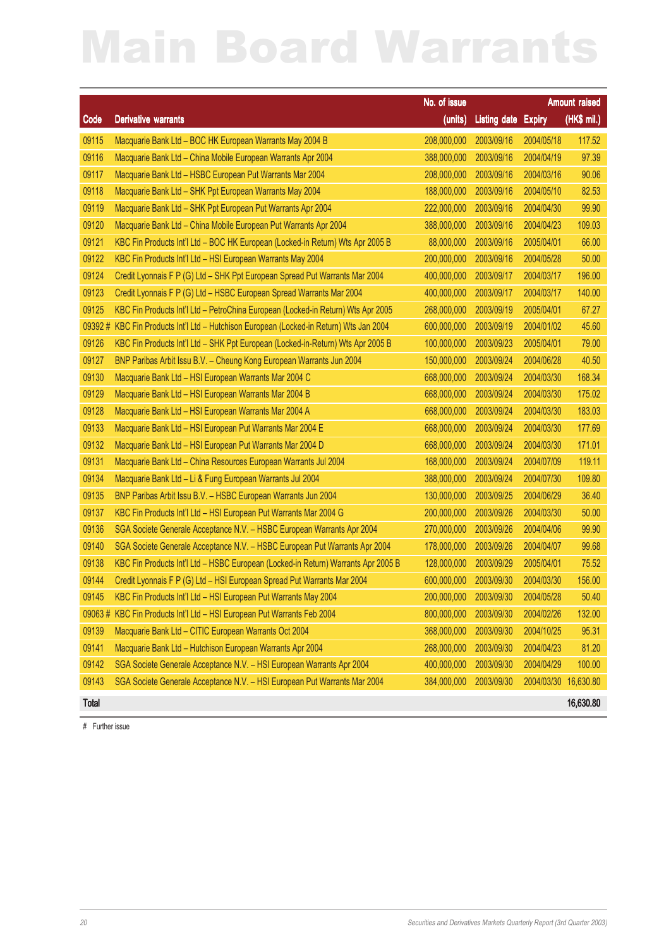|        |                                                                                   | No. of issue           |                     |                      | Amount raised |
|--------|-----------------------------------------------------------------------------------|------------------------|---------------------|----------------------|---------------|
| Code   | <b>Derivative warrants</b>                                                        | (units)                | <b>Listing date</b> | <b>Expiry</b>        | (HK\$ mil.)   |
| 09115  | Macquarie Bank Ltd - BOC HK European Warrants May 2004 B                          | 208,000,000            | 2003/09/16          | 2004/05/18           | 117.52        |
| 09116  | Macquarie Bank Ltd - China Mobile European Warrants Apr 2004                      | 388,000,000            | 2003/09/16          | 2004/04/19           | 97.39         |
| 09117  | Macquarie Bank Ltd - HSBC European Put Warrants Mar 2004                          | 208,000,000            | 2003/09/16          | 2004/03/16           | 90.06         |
| 09118  | Macquarie Bank Ltd - SHK Ppt European Warrants May 2004                           | 188,000,000            | 2003/09/16          | 2004/05/10           | 82.53         |
| 09119  | Macquarie Bank Ltd - SHK Ppt European Put Warrants Apr 2004                       | 222,000,000            | 2003/09/16          | 2004/04/30           | 99.90         |
| 09120  | Macquarie Bank Ltd - China Mobile European Put Warrants Apr 2004                  | 388,000,000            | 2003/09/16          | 2004/04/23           | 109.03        |
| 09121  | KBC Fin Products Int'l Ltd - BOC HK European (Locked-in Return) Wts Apr 2005 B    | 88,000,000             | 2003/09/16          | 2005/04/01           | 66.00         |
| 09122  | KBC Fin Products Int'l Ltd - HSI European Warrants May 2004                       | 200,000,000            | 2003/09/16          | 2004/05/28           | 50.00         |
| 09124  | Credit Lyonnais F P (G) Ltd - SHK Ppt European Spread Put Warrants Mar 2004       | 400,000,000            | 2003/09/17          | 2004/03/17           | 196.00        |
| 09123  | Credit Lyonnais F P (G) Ltd - HSBC European Spread Warrants Mar 2004              | 400,000,000            | 2003/09/17          | 2004/03/17           | 140.00        |
| 09125  | KBC Fin Products Int'l Ltd - PetroChina European (Locked-in Return) Wts Apr 2005  | 268,000,000            | 2003/09/19          | 2005/04/01           | 67.27         |
| 09392# | KBC Fin Products Int'l Ltd - Hutchison European (Locked-in Return) Wts Jan 2004   | 600,000,000            | 2003/09/19          | 2004/01/02           | 45.60         |
| 09126  | KBC Fin Products Int'l Ltd - SHK Ppt European (Locked-in-Return) Wts Apr 2005 B   | 100,000,000            | 2003/09/23          | 2005/04/01           | 79.00         |
| 09127  | BNP Paribas Arbit Issu B.V. - Cheung Kong European Warrants Jun 2004              | 150,000,000            | 2003/09/24          | 2004/06/28           | 40.50         |
| 09130  | Macquarie Bank Ltd - HSI European Warrants Mar 2004 C                             | 668,000,000            | 2003/09/24          | 2004/03/30           | 168.34        |
| 09129  | Macquarie Bank Ltd - HSI European Warrants Mar 2004 B                             | 668,000,000            | 2003/09/24          | 2004/03/30           | 175.02        |
| 09128  | Macquarie Bank Ltd - HSI European Warrants Mar 2004 A                             | 668,000,000            | 2003/09/24          | 2004/03/30           | 183.03        |
| 09133  | Macquarie Bank Ltd - HSI European Put Warrants Mar 2004 E                         | 668,000,000            | 2003/09/24          | 2004/03/30           | 177.69        |
| 09132  | Macquarie Bank Ltd - HSI European Put Warrants Mar 2004 D                         | 668,000,000            | 2003/09/24          | 2004/03/30           | 171.01        |
| 09131  | Macquarie Bank Ltd - China Resources European Warrants Jul 2004                   | 168,000,000            | 2003/09/24          | 2004/07/09           | 119.11        |
| 09134  | Macquarie Bank Ltd - Li & Fung European Warrants Jul 2004                         | 388,000,000            | 2003/09/24          | 2004/07/30           | 109.80        |
| 09135  | BNP Paribas Arbit Issu B.V. - HSBC European Warrants Jun 2004                     | 130,000,000            | 2003/09/25          | 2004/06/29           | 36.40         |
| 09137  | KBC Fin Products Int'l Ltd - HSI European Put Warrants Mar 2004 G                 | 200,000,000            | 2003/09/26          | 2004/03/30           | 50.00         |
| 09136  | SGA Societe Generale Acceptance N.V. - HSBC European Warrants Apr 2004            | 270,000,000            | 2003/09/26          | 2004/04/06           | 99.90         |
| 09140  | SGA Societe Generale Acceptance N.V. - HSBC European Put Warrants Apr 2004        | 178,000,000            | 2003/09/26          | 2004/04/07           | 99.68         |
| 09138  | KBC Fin Products Int'l Ltd - HSBC European (Locked-in Return) Warrants Apr 2005 B | 128,000,000            | 2003/09/29          | 2005/04/01           | 75.52         |
| 09144  | Credit Lyonnais F P (G) Ltd - HSI European Spread Put Warrants Mar 2004           | 600,000,000            | 2003/09/30          | 2004/03/30           | 156.00        |
| 09145  | KBC Fin Products Int'l Ltd - HSI European Put Warrants May 2004                   | 200,000,000 2003/09/30 |                     | 2004/05/28           | 50.40         |
| 09063# | KBC Fin Products Int'l Ltd - HSI European Put Warrants Feb 2004                   | 800,000,000            | 2003/09/30          | 2004/02/26           | 132.00        |
| 09139  | Macquarie Bank Ltd - CITIC European Warrants Oct 2004                             | 368,000,000            | 2003/09/30          | 2004/10/25           | 95.31         |
| 09141  | Macquarie Bank Ltd - Hutchison European Warrants Apr 2004                         | 268,000,000            | 2003/09/30          | 2004/04/23           | 81.20         |
| 09142  | SGA Societe Generale Acceptance N.V. - HSI European Warrants Apr 2004             | 400,000,000            | 2003/09/30          | 2004/04/29           | 100.00        |
| 09143  | SGA Societe Generale Acceptance N.V. - HSI European Put Warrants Mar 2004         | 384,000,000            | 2003/09/30          | 2004/03/30 16,630.80 |               |
|        |                                                                                   |                        |                     |                      | 0.00000       |

# Further issue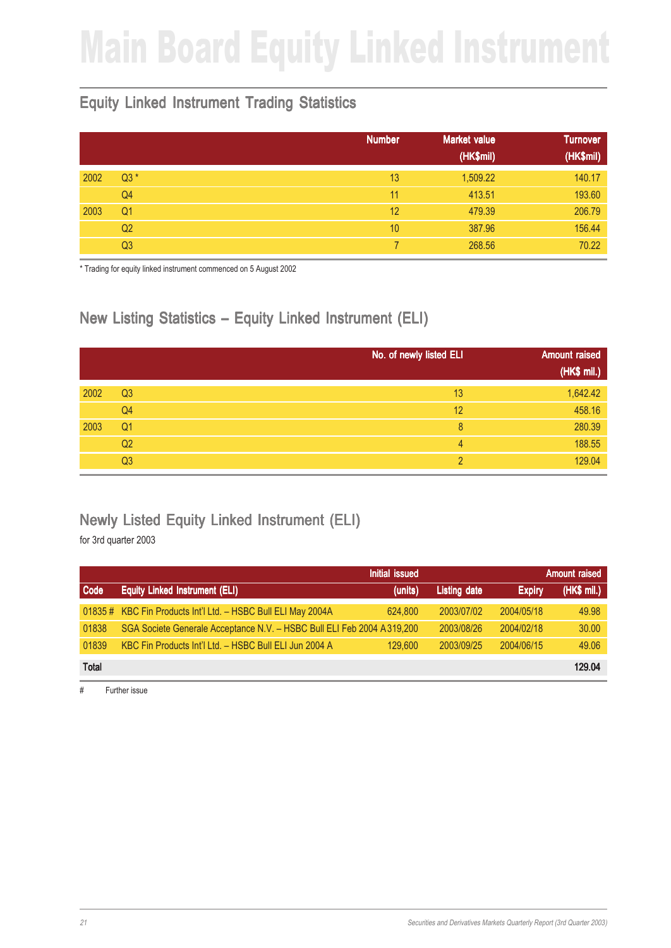# Main Board Equity Linked Instrument

### Equity Linked Instrument Trading Statistics

|      |                | <b>Number</b><br><b>Market value</b><br>(HK\$mil) | <b>Turnover</b><br>(HK\$mil) |
|------|----------------|---------------------------------------------------|------------------------------|
| 2002 | $Q3*$          | 13<br>1,509.22                                    | 140.17                       |
|      | Q4             | 11<br>413.51                                      | 193.60                       |
| 2003 | Q <sub>1</sub> | 12<br>479.39                                      | 206.79                       |
|      | Q <sub>2</sub> | 10<br>387.96                                      | 156.44                       |
|      | Q <sub>3</sub> | 268.56                                            | 70.22                        |

\* Trading for equity linked instrument commenced on 5 August 2002

## New Listing Statistics – Equity Linked Instrument (ELI)

|      |                | No. of newly listed ELI | <b>Amount raised</b> |
|------|----------------|-------------------------|----------------------|
|      |                |                         | (HK\$ mil.)          |
| 2002 | Q <sub>3</sub> | 13                      | 1,642.42             |
|      | Q4             | 12                      | 458.16               |
| 2003 | Q <sub>1</sub> | 8                       | 280.39               |
|      | Q2             | 4                       | 188.55               |
|      | Q <sub>3</sub> | C                       | 129.04               |

### Newly Listed Equity Linked Instrument (ELI)

for 3rd quarter 2003

|              |                                                                         | <b>Initial issued</b> |                     |               | Amount raised |
|--------------|-------------------------------------------------------------------------|-----------------------|---------------------|---------------|---------------|
| Code         | <b>Equity Linked Instrument (ELI)</b>                                   | (units)               | <b>Listing date</b> | <b>Expiry</b> | (HK\$ mil.)   |
|              | 01835 # KBC Fin Products Int'l Ltd. - HSBC Bull ELI May 2004A           | 624,800               | 2003/07/02          | 2004/05/18    | 49.98         |
| 01838        | SGA Societe Generale Acceptance N.V. - HSBC Bull ELI Feb 2004 A 319,200 |                       | 2003/08/26          | 2004/02/18    | 30.00         |
| 01839        | KBC Fin Products Int'l Ltd. - HSBC Bull ELI Jun 2004 A                  | 129,600               | 2003/09/25          | 2004/06/15    | 49.06         |
| <b>Total</b> |                                                                         |                       |                     |               | 129.04        |

# Further issue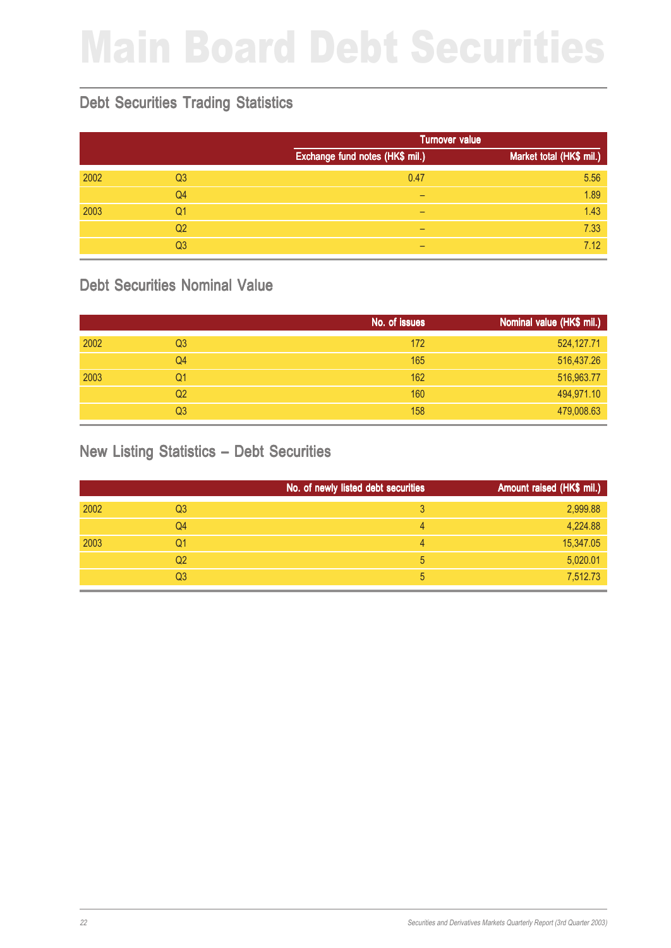# Main Board Debt Securities

#### Debt Securities Trading Statistics

|      |                |                                 | <b>Turnover value</b>    |
|------|----------------|---------------------------------|--------------------------|
|      |                | Exchange fund notes (HK\$ mil.) | Market total (HK\$ mil.) |
| 2002 | Q <sub>3</sub> | 0.47                            | 5.56                     |
|      | Q <sub>4</sub> | -                               | 1.89                     |
| 2003 | Q <sub>1</sub> | -                               | 1.43                     |
|      | Q <sub>2</sub> | -                               | 7.33                     |
|      | Q <sub>3</sub> | -                               | 7.12                     |

#### Debt Securities Nominal Value

|      |                | No. of issues | Nominal value (HK\$ mil.) |
|------|----------------|---------------|---------------------------|
| 2002 | Q <sub>3</sub> | 172           | 524,127.71                |
|      | Q4             | 165           | 516,437.26                |
| 2003 | Q1             | 162           | 516,963.77                |
|      | Q <sub>2</sub> | 160           | 494,971.10                |
|      | Q3             | 158           | 479,008.63                |

### New Listing Statistics – Debt Securities

|      |                | No. of newly listed debt securities | Amount raised (HK\$ mil.) |
|------|----------------|-------------------------------------|---------------------------|
| 2002 | Q <sub>3</sub> | 3                                   | 2,999.88                  |
|      | Q4             | 4                                   | 4,224.88                  |
| 2003 | Q1             | 4                                   | 15,347.05                 |
|      | Q <sub>2</sub> | 5                                   | 5,020.01                  |
|      | Q <sub>3</sub> | 5                                   | 7,512.73                  |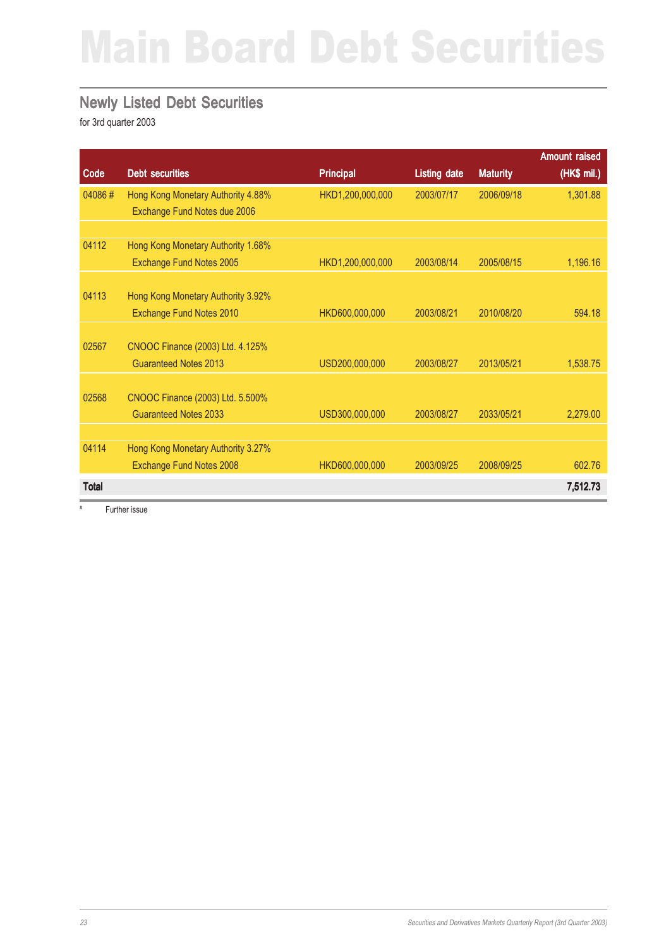# Main Board Debt Securities

#### Newly Listed Debt Securities

for 3rd quarter 2003

|              |                                    |                  |                     |                 | <b>Amount raised</b> |
|--------------|------------------------------------|------------------|---------------------|-----------------|----------------------|
| Code         | <b>Debt securities</b>             | <b>Principal</b> | <b>Listing date</b> | <b>Maturity</b> | (HK\$ mil.)          |
| 04086#       | Hong Kong Monetary Authority 4.88% | HKD1,200,000,000 | 2003/07/17          | 2006/09/18      | 1,301.88             |
|              | Exchange Fund Notes due 2006       |                  |                     |                 |                      |
|              |                                    |                  |                     |                 |                      |
| 04112        | Hong Kong Monetary Authority 1.68% |                  |                     |                 |                      |
|              | Exchange Fund Notes 2005           | HKD1,200,000,000 | 2003/08/14          | 2005/08/15      | 1,196.16             |
|              |                                    |                  |                     |                 |                      |
| 04113        | Hong Kong Monetary Authority 3.92% |                  |                     |                 |                      |
|              | Exchange Fund Notes 2010           | HKD600,000,000   | 2003/08/21          | 2010/08/20      | 594.18               |
|              |                                    |                  |                     |                 |                      |
| 02567        | CNOOC Finance (2003) Ltd. 4.125%   |                  |                     |                 |                      |
|              | <b>Guaranteed Notes 2013</b>       | USD200,000,000   | 2003/08/27          | 2013/05/21      | 1,538.75             |
|              |                                    |                  |                     |                 |                      |
| 02568        | CNOOC Finance (2003) Ltd. 5.500%   |                  |                     |                 |                      |
|              | <b>Guaranteed Notes 2033</b>       | USD300,000,000   | 2003/08/27          | 2033/05/21      | 2,279.00             |
|              |                                    |                  |                     |                 |                      |
| 04114        | Hong Kong Monetary Authority 3.27% |                  |                     |                 |                      |
|              | Exchange Fund Notes 2008           | HKD600,000,000   | 2003/09/25          | 2008/09/25      | 602.76               |
| <b>Total</b> |                                    |                  |                     |                 | 7,512.73             |

# Further issue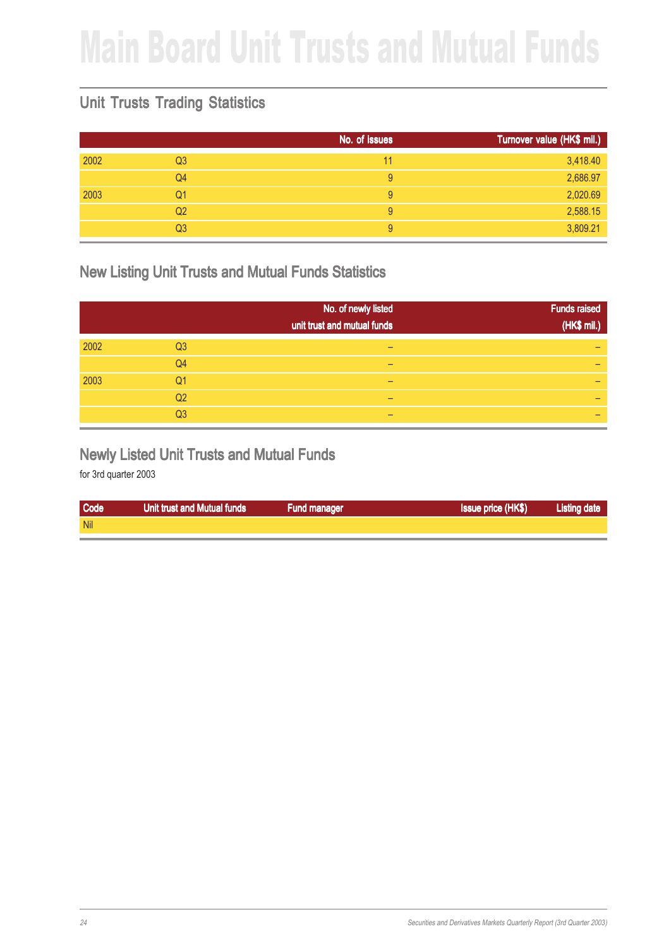# Main Board Unit Trusts and Mutual Funds

### Unit Trusts Trading Statistics

|      |                | No. of issues | Turnover value (HK\$ mil.) |
|------|----------------|---------------|----------------------------|
| 2002 | Q <sub>3</sub> | 11            | 3,418.40                   |
|      | Q4             | 9             | 2,686.97                   |
| 2003 | Q1             | 9             | 2,020.69                   |
|      | Q2             | 9             | 2,588.15                   |
|      | Q <sub>3</sub> | 9             | 3,809.21                   |

#### New Listing Unit Trusts and Mutual Funds Statistics

|      |                | No. of newly listed<br>unit trust and mutual funds | <b>Funds raised</b><br>(HK\$ mil.) |
|------|----------------|----------------------------------------------------|------------------------------------|
| 2002 | Q <sub>3</sub> | -                                                  |                                    |
|      | Q4             | -                                                  |                                    |
| 2003 | Q1             |                                                    |                                    |
|      | Q <sub>2</sub> |                                                    |                                    |
|      | Q <sub>3</sub> |                                                    |                                    |

#### Newly Listed Unit Trusts and Mutual Funds

| Code       | Unit trust and Mutual funds | <b>Fund manager</b> | <b>Issue price (HK\$)</b> | <b>Listing date</b> |
|------------|-----------------------------|---------------------|---------------------------|---------------------|
| <b>Nil</b> |                             |                     |                           |                     |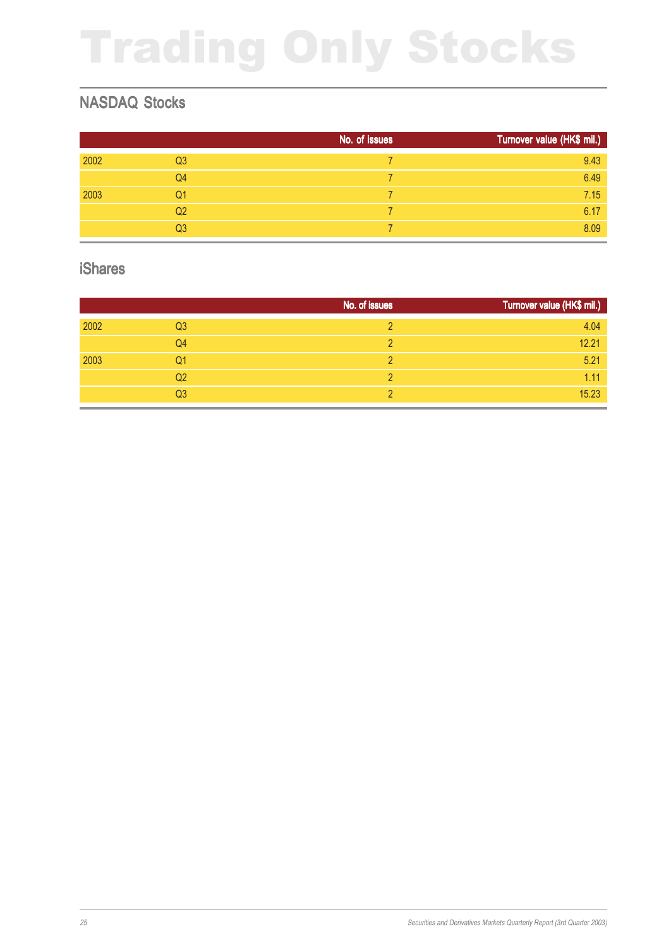# Trading Only Stocks

### NASDAQ Stocks

|      |                | No. of issues | Turnover value (HK\$ mil.) |
|------|----------------|---------------|----------------------------|
| 2002 | Q <sub>3</sub> |               | 9.43                       |
|      | Q4             |               | 6.49                       |
| 2003 | Q1             |               | 7.15                       |
|      | Q <sub>2</sub> |               | 6.17                       |
|      | Q <sub>3</sub> |               | 8.09                       |

#### iShares

|      |                | No. of issues | Turnover value (HK\$ mil.) |
|------|----------------|---------------|----------------------------|
| 2002 | Q <sub>3</sub> |               | 4.04                       |
|      | Q4             |               | 12.21                      |
| 2003 | Q <sub>1</sub> |               | 5.21                       |
|      | Q2             |               | 1.11                       |
|      | Q3             |               | 15.23                      |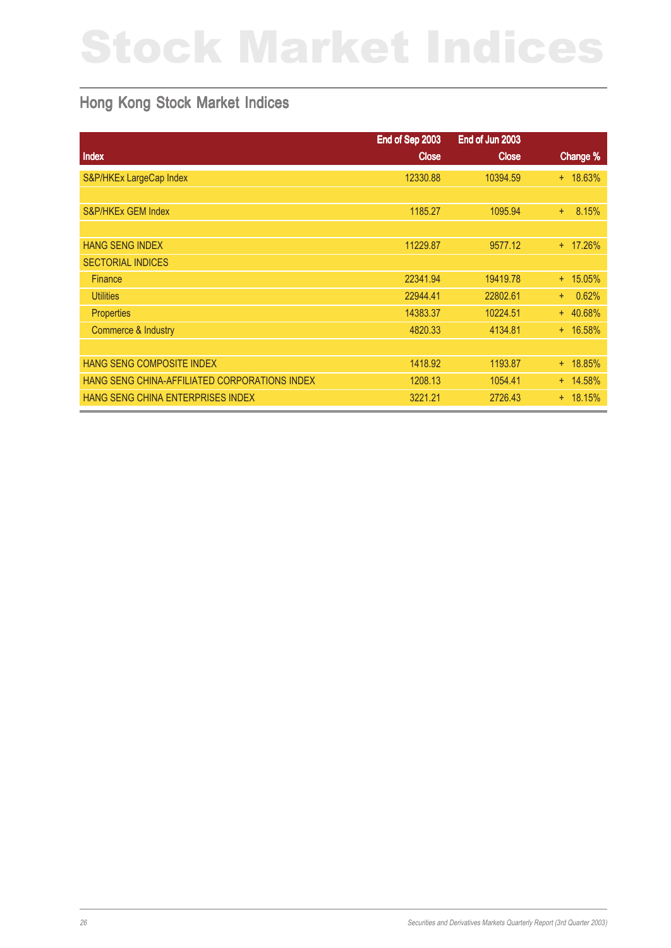# Stock Market Indices

### Hong Kong Stock Market Indices

|                                               | End of Sep 2003 | End of Jun 2003 |              |
|-----------------------------------------------|-----------------|-----------------|--------------|
| Index                                         | <b>Close</b>    | <b>Close</b>    | Change %     |
| S&P/HKEx LargeCap Index                       | 12330.88        | 10394.59        | $+ 18.63%$   |
|                                               |                 |                 |              |
| <b>S&amp;P/HKEx GEM Index</b>                 | 1185.27         | 1095.94         | 8.15%<br>$+$ |
|                                               |                 |                 |              |
| <b>HANG SENG INDEX</b>                        | 11229.87        | 9577.12         | + 17.26%     |
| <b>SECTORIAL INDICES</b>                      |                 |                 |              |
| <b>Finance</b>                                | 22341.94        | 19419.78        | $+ 15.05\%$  |
| <b>Utilities</b>                              | 22944.41        | 22802.61        | 0.62%<br>$+$ |
| <b>Properties</b>                             | 14383.37        | 10224.51        | $+ 40.68%$   |
| Commerce & Industry                           | 4820.33         | 4134.81         | $+ 16.58%$   |
|                                               |                 |                 |              |
| HANG SENG COMPOSITE INDEX                     | 1418.92         | 1193.87         | $+ 18.85%$   |
| HANG SENG CHINA-AFFILIATED CORPORATIONS INDEX | 1208.13         | 1054.41         | $+ 14.58%$   |
| HANG SENG CHINA ENTERPRISES INDEX             | 3221.21         | 2726.43         | $+ 18.15%$   |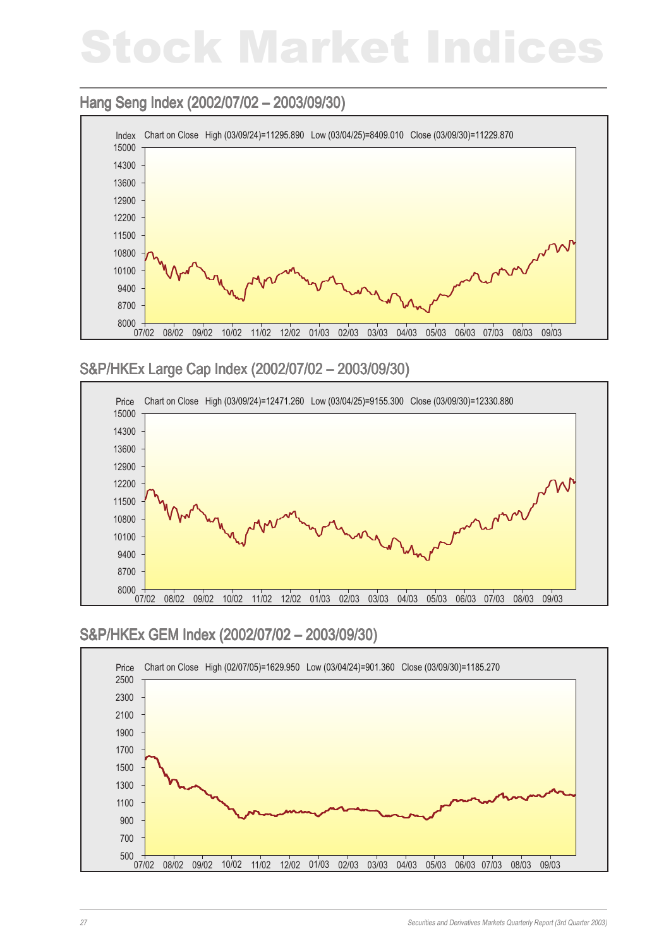# Stock Market Indices

#### Hang Seng Index (2002/07/02 - 2003/09/30)



#### S&P/HKEx Large Cap Index (2002/07/02 – 2003/09/30) Large Cap Index – 2003/09/30)



#### S&P/HKEx GEM Index (2002/07/02 – 2003/09/30)

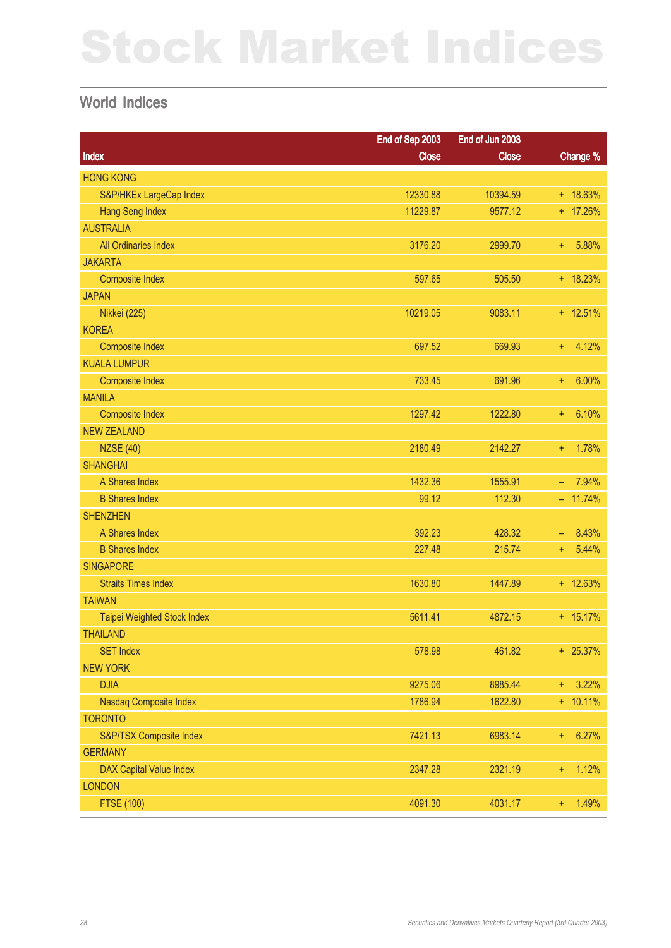# Stock Market Indices

#### World Indices

|                                | End of Sep 2003 | End of Jun 2003 |                            |
|--------------------------------|-----------------|-----------------|----------------------------|
| Index                          | <b>Close</b>    | <b>Close</b>    | Change %                   |
| <b>HONG KONG</b>               |                 |                 |                            |
| S&P/HKEx LargeCap Index        | 12330.88        | 10394.59        | $+ 18.63%$                 |
| <b>Hang Seng Index</b>         | 11229.87        | 9577.12         | + 17.26%                   |
| <b>AUSTRALIA</b>               |                 |                 |                            |
| All Ordinaries Index           | 3176.20         | 2999.70         | 5.88%<br>÷                 |
| <b>JAKARTA</b>                 |                 |                 |                            |
| <b>Composite Index</b>         | 597.65          | 505.50          | $+ 18.23%$                 |
| <b>JAPAN</b>                   |                 |                 |                            |
| <b>Nikkei (225)</b>            | 10219.05        | 9083.11         | $+ 12.51%$                 |
| <b>KOREA</b>                   |                 |                 |                            |
| <b>Composite Index</b>         | 697.52          | 669.93          | 4.12%<br>÷                 |
| <b>KUALA LUMPUR</b>            |                 |                 |                            |
| <b>Composite Index</b>         | 733.45          | 691.96          | 6.00%<br>÷                 |
| <b>MANILA</b>                  |                 |                 |                            |
| <b>Composite Index</b>         | 1297.42         | 1222.80         | 6.10%<br>÷.                |
| <b>NEW ZEALAND</b>             |                 |                 |                            |
| <b>NZSE (40)</b>               | 2180.49         | 2142.27         | 1.78%<br>÷                 |
| <b>SHANGHAI</b>                |                 |                 |                            |
| A Shares Index                 | 1432.36         | 1555.91         | 7.94%<br>$\equiv$          |
| <b>B</b> Shares Index          | 99.12           | 112.30          | $-11.74%$                  |
| <b>SHENZHEN</b>                |                 |                 |                            |
| A Shares Index                 | 392.23          | 428.32          | 8.43%<br>$\qquad \qquad -$ |
| <b>B Shares Index</b>          | 227.48          | 215.74          | 5.44%<br>÷.                |
| <b>SINGAPORE</b>               |                 |                 |                            |
| <b>Straits Times Index</b>     | 1630.80         | 1447.89         | $+ 12.63%$                 |
| <b>TAIWAN</b>                  |                 |                 |                            |
| Taipei Weighted Stock Index    | 5611.41         | 4872.15         | $+ 15.17%$                 |
| <b>THAILAND</b>                |                 |                 |                            |
| <b>SET Index</b>               | 578.98          | 461.82          | $+ 25.37%$                 |
| <b>NEW YORK</b>                |                 |                 |                            |
| <b>DJIA</b>                    | 9275.06         | 8985.44         | 3.22%<br>$+$               |
| Nasdaq Composite Index         | 1786.94         | 1622.80         | $+ 10.11\%$                |
| <b>TORONTO</b>                 |                 |                 |                            |
| S&P/TSX Composite Index        | 7421.13         | 6983.14         | 6.27%<br>$\pm$             |
| <b>GERMANY</b>                 |                 |                 |                            |
| <b>DAX Capital Value Index</b> | 2347.28         | 2321.19         | 1.12%<br>÷                 |
| <b>LONDON</b>                  |                 |                 |                            |
| <b>FTSE (100)</b>              | 4091.30         | 4031.17         | 1.49%<br>$\ddot{}$         |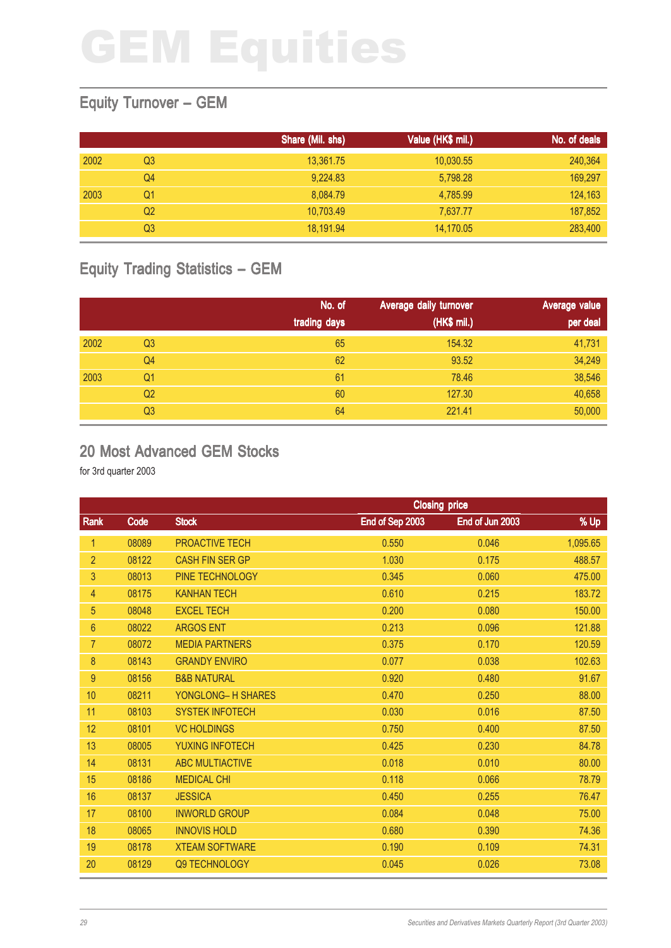### Equity Turnover – GEM

|      |    | Share (Mil. shs) | Value (HK\$ mil.) | No. of deals |
|------|----|------------------|-------------------|--------------|
| 2002 | Q3 | 13,361.75        | 10,030.55         | 240,364      |
|      | Q4 | 9,224.83         | 5,798.28          | 169,297      |
| 2003 | Q1 | 8,084.79         | 4,785.99          | 124,163      |
|      | Q2 | 10,703.49        | 7,637.77          | 187,852      |
|      | Q3 | 18,191.94        | 14,170.05         | 283,400      |

## Equity Trading Statistics – GEM

|      |                | No. of<br>trading days | Average daily turnover<br>(HK\$ mil.) | Average value<br>per deal |
|------|----------------|------------------------|---------------------------------------|---------------------------|
| 2002 | Q <sub>3</sub> | 65                     | 154.32                                | 41,731                    |
|      | Q4             | 62                     | 93.52                                 | 34,249                    |
| 2003 | Q <sub>1</sub> | 61                     | 78.46                                 | 38,546                    |
|      | Q <sub>2</sub> | 60                     | 127.30                                | 40,658                    |
|      | Q <sub>3</sub> | 64                     | 221.41                                | 50,000                    |

#### 20 Most Advanced GEM Stocks

|                |       | <b>Closing price</b>   |                 |                 |          |
|----------------|-------|------------------------|-----------------|-----------------|----------|
| Rank           | Code  | <b>Stock</b>           | End of Sep 2003 | End of Jun 2003 | % Up     |
| 1              | 08089 | PROACTIVE TECH         | 0.550           | 0.046           | 1,095.65 |
| $\overline{2}$ | 08122 | <b>CASH FIN SER GP</b> | 1.030           | 0.175           | 488.57   |
| 3              | 08013 | PINE TECHNOLOGY        | 0.345           | 0.060           | 475.00   |
| 4              | 08175 | <b>KANHAN TECH</b>     | 0.610           | 0.215           | 183.72   |
| 5              | 08048 | <b>EXCEL TECH</b>      | 0.200           | 0.080           | 150.00   |
| $6\phantom{1}$ | 08022 | <b>ARGOS ENT</b>       | 0.213           | 0.096           | 121.88   |
| $\overline{7}$ | 08072 | <b>MEDIA PARTNERS</b>  | 0.375           | 0.170           | 120.59   |
| 8              | 08143 | <b>GRANDY ENVIRO</b>   | 0.077           | 0.038           | 102.63   |
| 9              | 08156 | <b>B&amp;B NATURAL</b> | 0.920           | 0.480           | 91.67    |
| 10             | 08211 | YONGLONG- H SHARES     | 0.470           | 0.250           | 88.00    |
| 11             | 08103 | <b>SYSTEK INFOTECH</b> | 0.030           | 0.016           | 87.50    |
| 12             | 08101 | <b>VC HOLDINGS</b>     | 0.750           | 0.400           | 87.50    |
| 13             | 08005 | <b>YUXING INFOTECH</b> | 0.425           | 0.230           | 84.78    |
| 14             | 08131 | <b>ABC MULTIACTIVE</b> | 0.018           | 0.010           | 80.00    |
| 15             | 08186 | <b>MEDICAL CHI</b>     | 0.118           | 0.066           | 78.79    |
| 16             | 08137 | <b>JESSICA</b>         | 0.450           | 0.255           | 76.47    |
| 17             | 08100 | <b>INWORLD GROUP</b>   | 0.084           | 0.048           | 75.00    |
| 18             | 08065 | <b>INNOVIS HOLD</b>    | 0.680           | 0.390           | 74.36    |
| 19             | 08178 | <b>XTEAM SOFTWARE</b>  | 0.190           | 0.109           | 74.31    |
| 20             | 08129 | Q9 TECHNOLOGY          | 0.045           | 0.026           | 73.08    |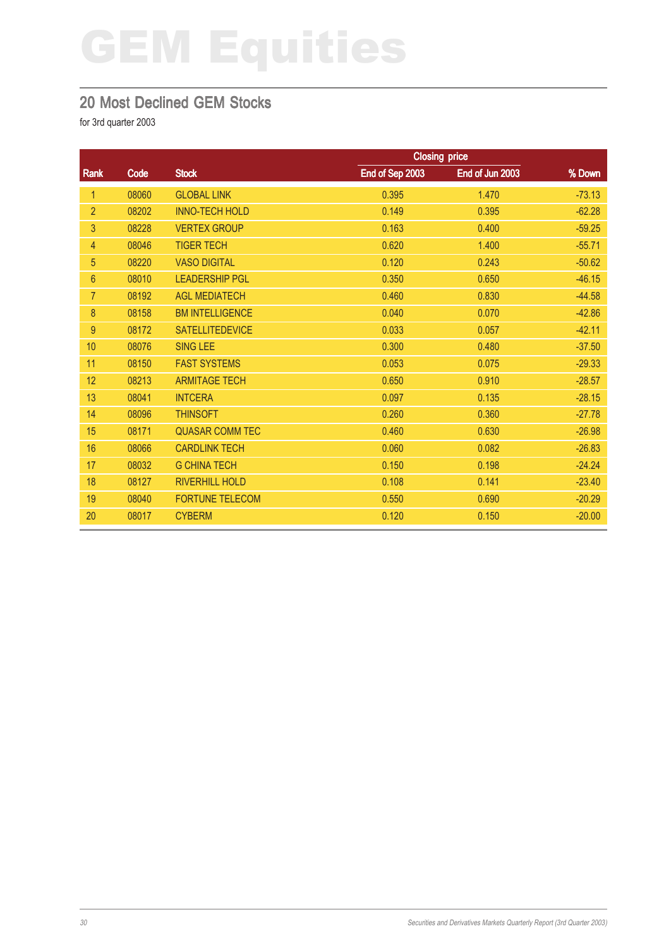#### 20 Most Declined GEM Stocks

|                |       |                        |                 | <b>Closing price</b> |          |
|----------------|-------|------------------------|-----------------|----------------------|----------|
| Rank           | Code  | <b>Stock</b>           | End of Sep 2003 | End of Jun 2003      | % Down   |
| $\overline{1}$ | 08060 | <b>GLOBAL LINK</b>     | 0.395           | 1.470                | $-73.13$ |
| $\overline{2}$ | 08202 | <b>INNO-TECH HOLD</b>  | 0.149           | 0.395                | $-62.28$ |
| 3              | 08228 | <b>VERTEX GROUP</b>    | 0.163           | 0.400                | $-59.25$ |
| 4              | 08046 | <b>TIGER TECH</b>      | 0.620           | 1.400                | $-55.71$ |
| 5              | 08220 | <b>VASO DIGITAL</b>    | 0.120           | 0.243                | $-50.62$ |
| $6\phantom{.}$ | 08010 | <b>LEADERSHIP PGL</b>  | 0.350           | 0.650                | $-46.15$ |
| $\overline{7}$ | 08192 | <b>AGL MEDIATECH</b>   | 0.460           | 0.830                | $-44.58$ |
| 8              | 08158 | <b>BM INTELLIGENCE</b> | 0.040           | 0.070                | $-42.86$ |
| $9\,$          | 08172 | <b>SATELLITEDEVICE</b> | 0.033           | 0.057                | $-42.11$ |
| 10             | 08076 | <b>SING LEE</b>        | 0.300           | 0.480                | $-37.50$ |
| 11             | 08150 | <b>FAST SYSTEMS</b>    | 0.053           | 0.075                | $-29.33$ |
| 12             | 08213 | <b>ARMITAGE TECH</b>   | 0.650           | 0.910                | $-28.57$ |
| 13             | 08041 | <b>INTCERA</b>         | 0.097           | 0.135                | $-28.15$ |
| 14             | 08096 | <b>THINSOFT</b>        | 0.260           | 0.360                | $-27.78$ |
| 15             | 08171 | <b>QUASAR COMM TEC</b> | 0.460           | 0.630                | $-26.98$ |
| 16             | 08066 | <b>CARDLINK TECH</b>   | 0.060           | 0.082                | $-26.83$ |
| 17             | 08032 | <b>G CHINA TECH</b>    | 0.150           | 0.198                | $-24.24$ |
| 18             | 08127 | <b>RIVERHILL HOLD</b>  | 0.108           | 0.141                | $-23.40$ |
| 19             | 08040 | <b>FORTUNE TELECOM</b> | 0.550           | 0.690                | $-20.29$ |
| 20             | 08017 | <b>CYBERM</b>          | 0.120           | 0.150                | $-20.00$ |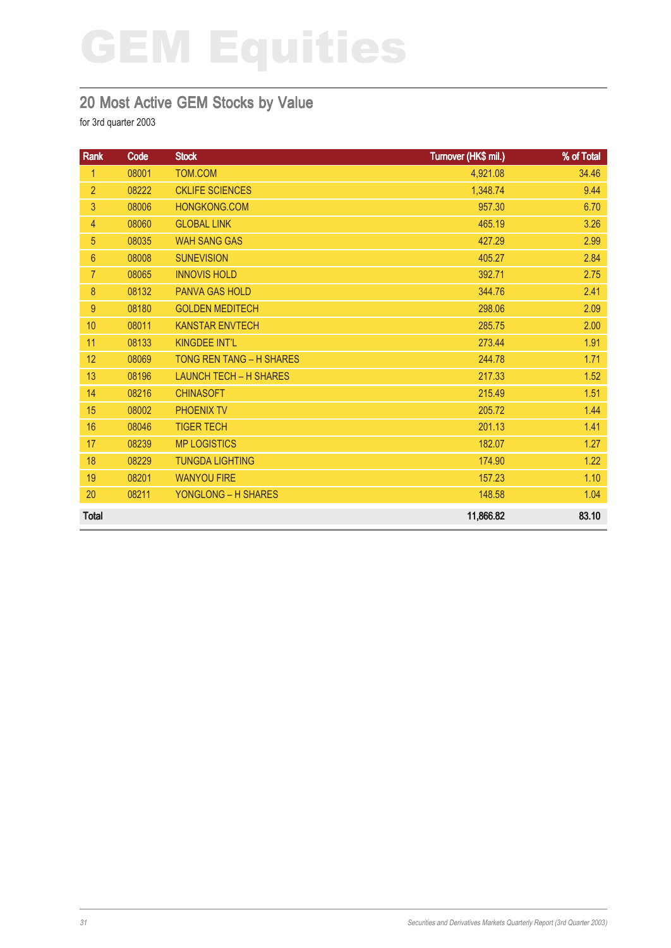### 20 Most Active GEM Stocks by Value

| Rank           | Code  | <b>Stock</b>                  | Turnover (HK\$ mil.) | % of Total |
|----------------|-------|-------------------------------|----------------------|------------|
| 1              | 08001 | <b>TOM.COM</b>                | 4,921.08             | 34.46      |
| $\overline{2}$ | 08222 | <b>CKLIFE SCIENCES</b>        | 1,348.74             | 9.44       |
| 3              | 08006 | HONGKONG.COM                  | 957.30               | 6.70       |
| 4              | 08060 | <b>GLOBAL LINK</b>            | 465.19               | 3.26       |
| 5              | 08035 | <b>WAH SANG GAS</b>           | 427.29               | 2.99       |
| $6\phantom{1}$ | 08008 | <b>SUNEVISION</b>             | 405.27               | 2.84       |
| $\overline{7}$ | 08065 | <b>INNOVIS HOLD</b>           | 392.71               | 2.75       |
| 8              | 08132 | <b>PANVA GAS HOLD</b>         | 344.76               | 2.41       |
| $9\,$          | 08180 | <b>GOLDEN MEDITECH</b>        | 298.06               | 2.09       |
| 10             | 08011 | <b>KANSTAR ENVTECH</b>        | 285.75               | 2.00       |
| 11             | 08133 | <b>KINGDEE INT'L</b>          | 273.44               | 1.91       |
| 12             | 08069 | TONG REN TANG - H SHARES      | 244.78               | 1.71       |
| 13             | 08196 | <b>LAUNCH TECH - H SHARES</b> | 217.33               | 1.52       |
| 14             | 08216 | <b>CHINASOFT</b>              | 215.49               | 1.51       |
| 15             | 08002 | <b>PHOENIX TV</b>             | 205.72               | 1.44       |
| 16             | 08046 | <b>TIGER TECH</b>             | 201.13               | 1.41       |
| 17             | 08239 | <b>MP LOGISTICS</b>           | 182.07               | $1.27$     |
| 18             | 08229 | <b>TUNGDA LIGHTING</b>        | 174.90               | 1.22       |
| 19             | 08201 | <b>WANYOU FIRE</b>            | 157.23               | 1.10       |
| 20             | 08211 | <b>YONGLONG - H SHARES</b>    | 148.58               | 1.04       |
| <b>Total</b>   |       |                               | 11,866.82            | 83.10      |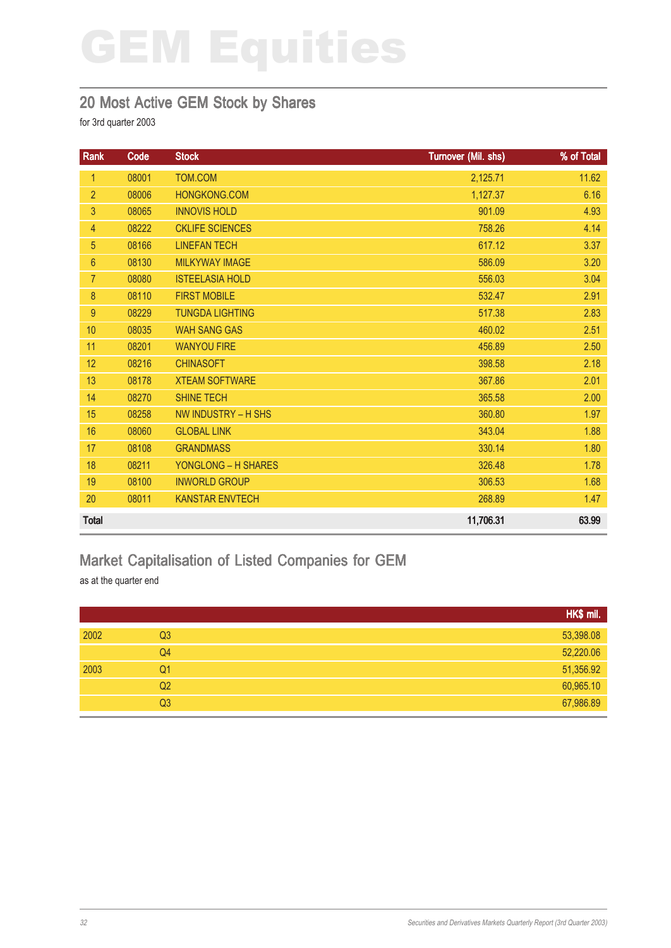#### 20 Most Active GEM Stock by Shares

for 3rd quarter 2003

| <b>Rank</b>     | Code  | <b>Stock</b>           | Turnover (Mil. shs) | % of Total |
|-----------------|-------|------------------------|---------------------|------------|
| $\mathbf{1}$    | 08001 | TOM.COM                | 2,125.71            | 11.62      |
| $\overline{2}$  | 08006 | <b>HONGKONG.COM</b>    | 1,127.37            | 6.16       |
| 3               | 08065 | <b>INNOVIS HOLD</b>    | 901.09              | 4.93       |
| $\overline{4}$  | 08222 | <b>CKLIFE SCIENCES</b> | 758.26              | 4.14       |
| 5               | 08166 | <b>LINEFAN TECH</b>    | 617.12              | 3.37       |
| $6\overline{6}$ | 08130 | <b>MILKYWAY IMAGE</b>  | 586.09              | 3.20       |
| $\overline{7}$  | 08080 | <b>ISTEELASIA HOLD</b> | 556.03              | 3.04       |
| 8               | 08110 | <b>FIRST MOBILE</b>    | 532.47              | 2.91       |
| 9               | 08229 | <b>TUNGDA LIGHTING</b> | 517.38              | 2.83       |
| 10              | 08035 | <b>WAH SANG GAS</b>    | 460.02              | 2.51       |
| 11              | 08201 | <b>WANYOU FIRE</b>     | 456.89              | 2.50       |
| 12              | 08216 | <b>CHINASOFT</b>       | 398.58              | 2.18       |
| 13              | 08178 | <b>XTEAM SOFTWARE</b>  | 367.86              | 2.01       |
| 14              | 08270 | <b>SHINE TECH</b>      | 365.58              | 2.00       |
| 15              | 08258 | NW INDUSTRY - H SHS    | 360.80              | 1.97       |
| 16              | 08060 | <b>GLOBAL LINK</b>     | 343.04              | 1.88       |
| 17              | 08108 | <b>GRANDMASS</b>       | 330.14              | 1.80       |
| 18              | 08211 | YONGLONG - H SHARES    | 326.48              | 1.78       |
| 19              | 08100 | <b>INWORLD GROUP</b>   | 306.53              | 1.68       |
| 20              | 08011 | <b>KANSTAR ENVTECH</b> | 268.89              | 1.47       |
| <b>Total</b>    |       |                        | 11,706.31           | 63.99      |

## Market Capitalisation of Listed Companies for GEM

as at the quarter end

|      |                | HK\$ mil. |
|------|----------------|-----------|
| 2002 | Q3             | 53,398.08 |
|      | Q4             | 52,220.06 |
| 2003 | Q <sub>1</sub> | 51,356.92 |
|      | Q <sub>2</sub> | 60,965.10 |
|      | Q <sub>3</sub> | 67,986.89 |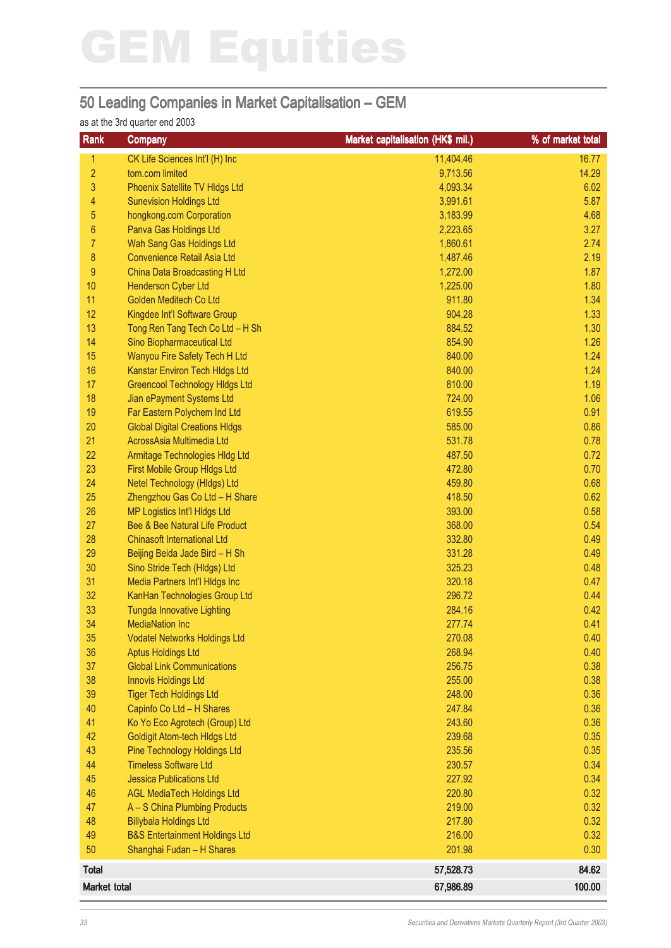#### 50 Leading Companies in Market Capitalisation – GEM

#### as at the 3rd quarter end 2003

| Rank                | <b>Company</b>                            | <b>Market capitalisation (HK\$ mil.)</b> | % of market total |
|---------------------|-------------------------------------------|------------------------------------------|-------------------|
| 1                   | CK Life Sciences Int'l (H) Inc            | 11,404.46                                | 16.77             |
| $\overline{2}$      | tom.com limited                           | 9,713.56                                 | 14.29             |
| 3                   | Phoenix Satellite TV HIdgs Ltd            | 4,093.34                                 | 6.02              |
| 4                   | <b>Sunevision Holdings Ltd</b>            | 3,991.61                                 | 5.87              |
| 5                   | hongkong.com Corporation                  | 3,183.99                                 | 4.68              |
| $6\phantom{a}$      | Panva Gas Holdings Ltd                    | 2,223.65                                 | 3.27              |
| $\overline{7}$      | Wah Sang Gas Holdings Ltd                 | 1,860.61                                 | 2.74              |
| 8                   | Convenience Retail Asia Ltd               | 1,487.46                                 | 2.19              |
| 9                   | China Data Broadcasting H Ltd             | 1,272.00                                 | 1.87              |
| 10                  | <b>Henderson Cyber Ltd</b>                | 1,225.00                                 | 1.80              |
| 11                  | Golden Meditech Co Ltd                    | 911.80                                   | 1.34              |
| 12                  | Kingdee Int'l Software Group              | 904.28                                   | 1.33              |
| 13                  | Tong Ren Tang Tech Co Ltd - H Sh          | 884.52                                   | 1.30              |
| 14                  | Sino Biopharmaceutical Ltd                | 854.90                                   | 1.26              |
| 15                  | Wanyou Fire Safety Tech H Ltd             | 840.00                                   | 1.24              |
| 16                  | Kanstar Environ Tech HIdgs Ltd            | 840.00                                   | 1.24              |
| 17                  | <b>Greencool Technology Hidgs Ltd</b>     | 810.00                                   | 1.19              |
| 18                  | Jian ePayment Systems Ltd                 | 724.00                                   | 1.06              |
| 19                  | Far Eastern Polychem Ind Ltd              | 619.55                                   | 0.91              |
| 20                  | <b>Global Digital Creations HIdgs</b>     | 585.00                                   | 0.86              |
| 21                  | AcrossAsia Multimedia Ltd                 | 531.78                                   | 0.78              |
| 22                  | Armitage Technologies HIdg Ltd            | 487.50                                   | 0.72              |
| 23                  | First Mobile Group HIdgs Ltd              | 472.80                                   | 0.70              |
| 24                  | Netel Technology (HIdgs) Ltd              | 459.80                                   | 0.68              |
| 25                  | Zhengzhou Gas Co Ltd - H Share            | 418.50                                   | 0.62              |
| 26                  | <b>MP Logistics Int'l HIdgs Ltd</b>       | 393.00                                   | 0.58              |
| 27                  | Bee & Bee Natural Life Product            | 368.00                                   | 0.54              |
| 28                  | <b>Chinasoft International Ltd</b>        | 332.80                                   | 0.49              |
| 29                  | Beijing Beida Jade Bird - H Sh            | 331.28                                   | 0.49              |
| 30                  | Sino Stride Tech (Hldgs) Ltd              | 325.23                                   | 0.48              |
| 31                  | Media Partners Int'l HIdgs Inc            | 320.18                                   | 0.47              |
| 32                  | KanHan Technologies Group Ltd             | 296.72                                   | 0.44              |
| 33                  | <b>Tungda Innovative Lighting</b>         | 284.16                                   | 0.42              |
| 34                  | <b>MediaNation Inc</b>                    | 277.74                                   | 0.41              |
| 35                  | <b>Vodatel Networks Holdings Ltd</b>      | 270.08                                   | 0.40              |
| 36                  | <b>Aptus Holdings Ltd</b>                 | 268.94                                   | 0.40              |
| 37                  | <b>Global Link Communications</b>         | 256.75                                   | 0.38              |
| 38                  | <b>Innovis Holdings Ltd</b>               | 255.00                                   | 0.38              |
| 39                  | <b>Tiger Tech Holdings Ltd</b>            | 248.00                                   | 0.36              |
| 40                  | Capinfo Co Ltd - H Shares                 | 247.84                                   | 0.36              |
| 41                  | Ko Yo Eco Agrotech (Group) Ltd            | 243.60                                   | 0.36              |
| 42                  | <b>Goldigit Atom-tech HIdgs Ltd</b>       | 239.68                                   | 0.35              |
| 43                  | <b>Pine Technology Holdings Ltd</b>       | 235.56                                   | 0.35              |
| 44                  | <b>Timeless Software Ltd</b>              | 230.57                                   | 0.34              |
| 45                  | <b>Jessica Publications Ltd</b>           | 227.92                                   | 0.34              |
| 46                  | <b>AGL MediaTech Holdings Ltd</b>         | 220.80                                   | 0.32              |
| 47                  | A - S China Plumbing Products             | 219.00                                   | 0.32              |
| 48                  | <b>Billybala Holdings Ltd</b>             | 217.80                                   | 0.32              |
| 49                  | <b>B&amp;S Entertainment Holdings Ltd</b> | 216.00                                   | 0.32              |
| 50                  | Shanghai Fudan - H Shares                 | 201.98                                   | 0.30              |
| <b>Total</b>        |                                           | 57,528.73                                | 84.62             |
| <b>Market total</b> |                                           | 67,986.89                                | 100.00            |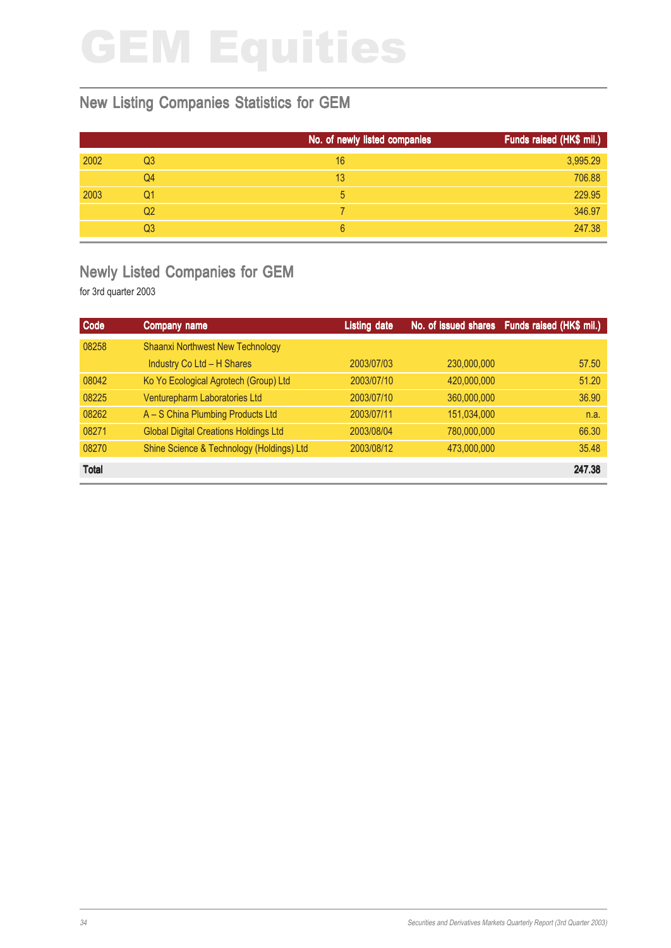### New Listing Companies Statistics for GEM

|      |    | No. of newly listed companies | Funds raised (HK\$ mil.) |
|------|----|-------------------------------|--------------------------|
| 2002 | Q3 | 16                            | 3,995.29                 |
|      | Q4 | 13                            | 706.88                   |
| 2003 | Q1 | 5                             | 229.95                   |
|      | Q2 |                               | 346.97                   |
|      | Q3 | 6                             | 247.38                   |

### Newly Listed Companies for GEM

| Code         | Company name                                 | <b>Listing date</b> |             | No. of issued shares Funds raised (HK\$ mil.) |
|--------------|----------------------------------------------|---------------------|-------------|-----------------------------------------------|
| 08258        | <b>Shaanxi Northwest New Technology</b>      |                     |             |                                               |
|              | Industry Co Ltd - H Shares                   | 2003/07/03          | 230,000,000 | 57.50                                         |
| 08042        | Ko Yo Ecological Agrotech (Group) Ltd        | 2003/07/10          | 420,000,000 | 51.20                                         |
| 08225        | Venturepharm Laboratories Ltd                | 2003/07/10          | 360,000,000 | 36.90                                         |
| 08262        | A - S China Plumbing Products Ltd            | 2003/07/11          | 151,034,000 | n.a.                                          |
| 08271        | <b>Global Digital Creations Holdings Ltd</b> | 2003/08/04          | 780,000,000 | 66.30                                         |
| 08270        | Shine Science & Technology (Holdings) Ltd    | 2003/08/12          | 473,000,000 | 35.48                                         |
| <b>Total</b> |                                              |                     |             | 247.38                                        |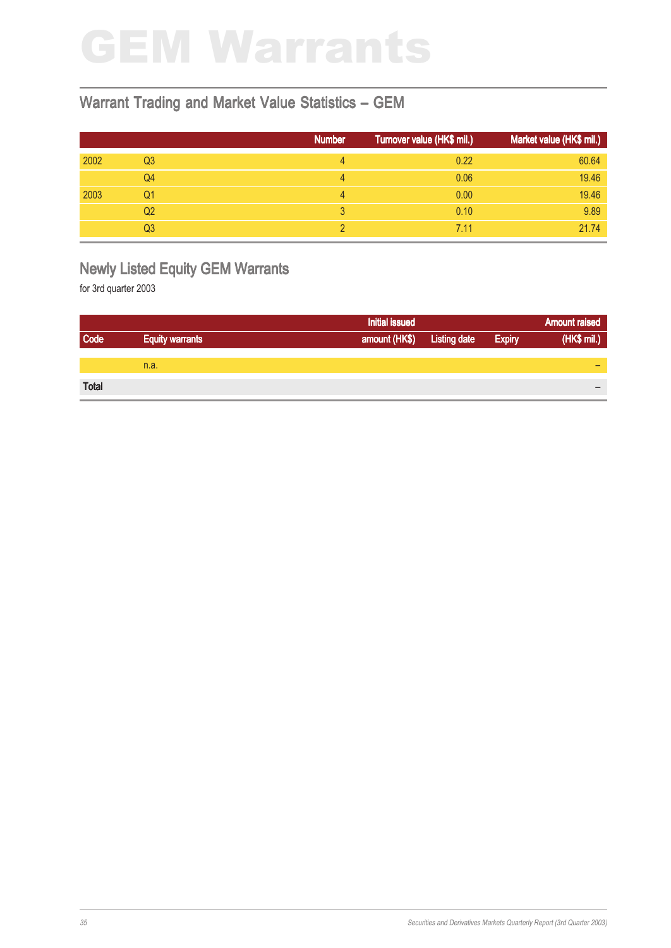# GEM Warrants

#### Warrant Trading and Market Value Statistics – GEM

|      |                | <b>Number</b> | Turnover value (HK\$ mil.) | Market value (HK\$ mil.) |
|------|----------------|---------------|----------------------------|--------------------------|
| 2002 | Q <sub>3</sub> | 4             | 0.22                       | 60.64                    |
|      | Q4             | 4             | 0.06                       | 19.46                    |
| 2003 | Q1             | Δ             | 0.00                       | 19.46                    |
|      | Q <sub>2</sub> |               | 0.10                       | 9.89                     |
|      | Q3             |               | 7.11                       | 21.74                    |

## Newly Listed Equity GEM Warrants

|              |                        | <b>Initial issued</b> |                     |               | <b>Amount raised</b> |
|--------------|------------------------|-----------------------|---------------------|---------------|----------------------|
| Code         | <b>Equity warrants</b> | amount (HK\$)         | <b>Listing date</b> | <b>Expiry</b> | (HK\$ mil.)          |
|              |                        |                       |                     |               |                      |
|              | n.a.                   |                       |                     |               | -                    |
|              |                        |                       |                     |               |                      |
| <b>Total</b> |                        |                       |                     |               | -                    |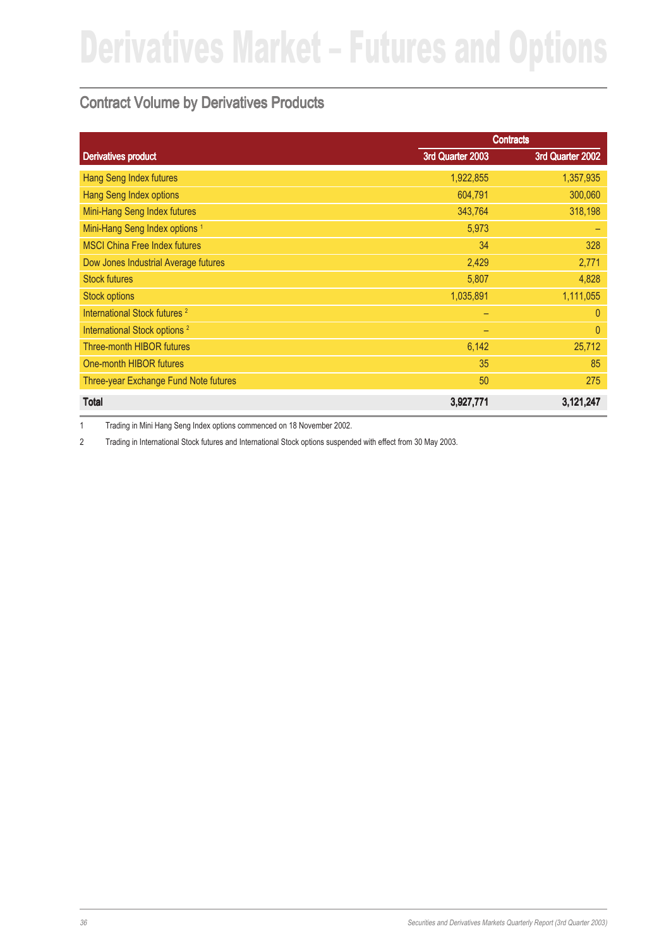### Contract Volume by Derivatives Products

|                                           |                  | <b>Contracts</b> |
|-------------------------------------------|------------------|------------------|
| <b>Derivatives product</b>                | 3rd Quarter 2003 | 3rd Quarter 2002 |
| <b>Hang Seng Index futures</b>            | 1,922,855        | 1,357,935        |
| <b>Hang Seng Index options</b>            | 604,791          | 300,060          |
| Mini-Hang Seng Index futures              | 343,764          | 318,198          |
| Mini-Hang Seng Index options <sup>1</sup> | 5,973            |                  |
| <b>MSCI China Free Index futures</b>      | 34               | 328              |
| Dow Jones Industrial Average futures      | 2,429            | 2,771            |
| <b>Stock futures</b>                      | 5,807            | 4,828            |
| <b>Stock options</b>                      | 1,035,891        | 1,111,055        |
| International Stock futures <sup>2</sup>  | -                | $\overline{0}$   |
| International Stock options <sup>2</sup>  |                  | $\overline{0}$   |
| <b>Three-month HIBOR futures</b>          | 6,142            | 25,712           |
| One-month HIBOR futures                   | 35               | 85               |
| Three-year Exchange Fund Note futures     | 50               | 275              |
| <b>Total</b>                              | 3,927,771        | 3,121,247        |

1 Trading in Mini Hang Seng Index options commenced on 18 November 2002.

2 Trading in International Stock futures and International Stock options suspended with effect from 30 May 2003.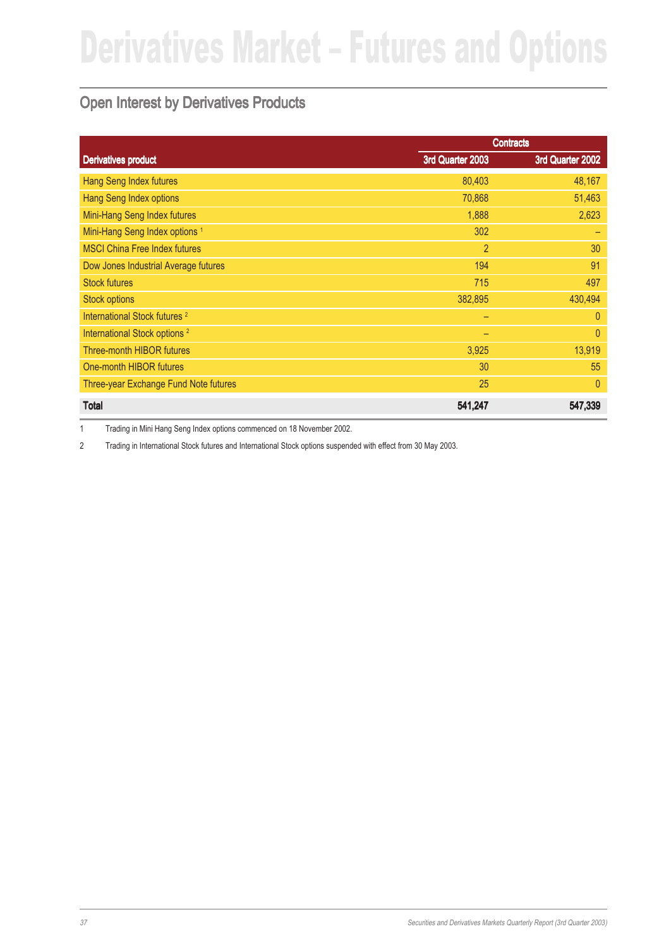### Open Interest by Derivatives Products

|                                           |                  | <b>Contracts</b> |
|-------------------------------------------|------------------|------------------|
| <b>Derivatives product</b>                | 3rd Quarter 2003 | 3rd Quarter 2002 |
| Hang Seng Index futures                   | 80,403           | 48,167           |
| Hang Seng Index options                   | 70,868           | 51,463           |
| Mini-Hang Seng Index futures              | 1,888            | 2,623            |
| Mini-Hang Seng Index options <sup>1</sup> | 302              | -                |
| <b>MSCI China Free Index futures</b>      | $\overline{2}$   | 30               |
| Dow Jones Industrial Average futures      | 194              | 91               |
| <b>Stock futures</b>                      | 715              | 497              |
| <b>Stock options</b>                      | 382,895          | 430,494          |
| International Stock futures <sup>2</sup>  | -                | $\theta$         |
| International Stock options <sup>2</sup>  |                  | $\overline{0}$   |
| <b>Three-month HIBOR futures</b>          | 3,925            | 13,919           |
| One-month HIBOR futures                   | 30               | 55               |
| Three-year Exchange Fund Note futures     | 25               | $\theta$         |
| <b>Total</b>                              | 541,247          | 547,339          |

1 Trading in Mini Hang Seng Index options commenced on 18 November 2002.

2 Trading in International Stock futures and International Stock options suspended with effect from 30 May 2003.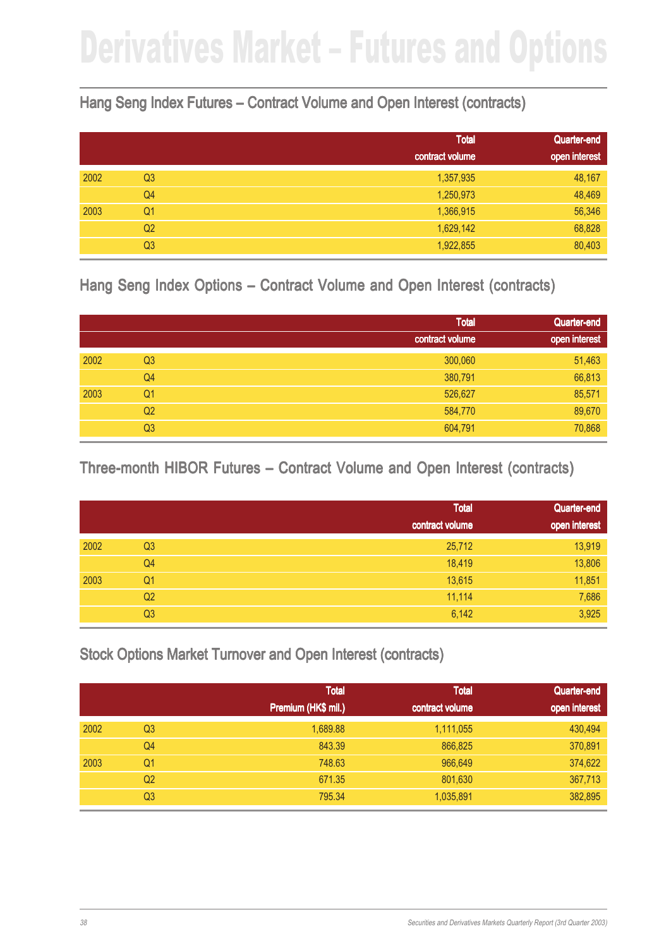### Hang Seng Index Futures – Contract Volume and Open Interest (contracts)

|      |                | <b>Total</b>    | Quarter-end   |
|------|----------------|-----------------|---------------|
|      |                | contract volume | open interest |
| 2002 | Q <sub>3</sub> | 1,357,935       | 48,167        |
|      | Q4             | 1,250,973       | 48,469        |
| 2003 | Q <sub>1</sub> | 1,366,915       | 56,346        |
|      | Q <sub>2</sub> | 1,629,142       | 68,828        |
|      | Q <sub>3</sub> | 1,922,855       | 80,403        |

### Hang Seng Index Options – Contract Volume and Open Interest (contracts)

|      |                | <b>Total</b>    | Quarter-end   |
|------|----------------|-----------------|---------------|
|      |                | contract volume | open interest |
| 2002 | Q <sub>3</sub> | 300,060         | 51,463        |
|      | Q4             | 380,791         | 66,813        |
| 2003 | Q <sub>1</sub> | 526,627         | 85,571        |
|      | Q <sub>2</sub> | 584,770         | 89,670        |
|      | Q <sub>3</sub> | 604,791         | 70,868        |

### Three-month HIBOR Futures – Contract Volume and Open Interest (contracts)

|      |                | <b>Total</b>    | Quarter-end   |
|------|----------------|-----------------|---------------|
|      |                | contract volume | open interest |
| 2002 | Q <sub>3</sub> | 25,712          | 13,919        |
|      | Q4             | 18,419          | 13,806        |
| 2003 | Q <sub>1</sub> | 13,615          | 11,851        |
|      | Q <sub>2</sub> | 11,114          | 7,686         |
|      | Q <sub>3</sub> | 6,142           | 3,925         |

Stock Options Market Turnover and Open Interest (contracts)

|      |                | <b>Total</b>        | <b>Total</b>    | Quarter-end   |
|------|----------------|---------------------|-----------------|---------------|
|      |                | Premium (HK\$ mil.) | contract volume | open interest |
| 2002 | Q <sub>3</sub> | 1,689.88            | 1,111,055       | 430,494       |
|      | Q <sub>4</sub> | 843.39              | 866,825         | 370,891       |
| 2003 | Q1             | 748.63              | 966,649         | 374,622       |
|      | Q <sub>2</sub> | 671.35              | 801,630         | 367,713       |
|      | Q <sub>3</sub> | 795.34              | 1,035,891       | 382,895       |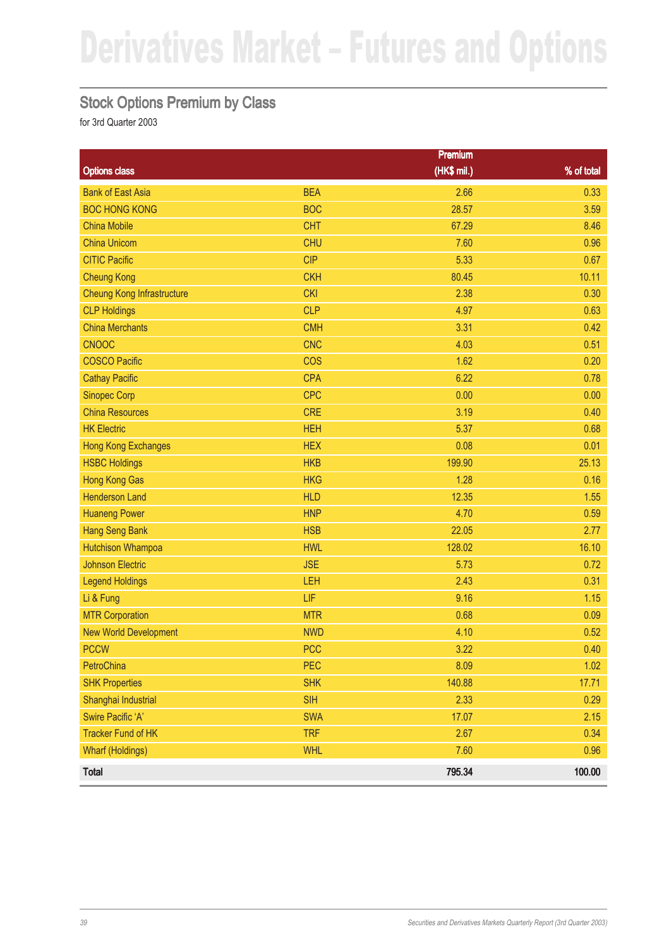### Stock Options Premium by Class

|                                   |            | <b>Premium</b> |            |
|-----------------------------------|------------|----------------|------------|
| <b>Options class</b>              |            | (HK\$ mil.)    | % of total |
| <b>Bank of East Asia</b>          | <b>BEA</b> | 2.66           | 0.33       |
| <b>BOC HONG KONG</b>              | <b>BOC</b> | 28.57          | 3.59       |
| <b>China Mobile</b>               | <b>CHT</b> | 67.29          | 8.46       |
| <b>China Unicom</b>               | <b>CHU</b> | 7.60           | 0.96       |
| <b>CITIC Pacific</b>              | <b>CIP</b> | 5.33           | 0.67       |
| <b>Cheung Kong</b>                | <b>CKH</b> | 80.45          | 10.11      |
| <b>Cheung Kong Infrastructure</b> | <b>CKI</b> | 2.38           | 0.30       |
| <b>CLP Holdings</b>               | <b>CLP</b> | 4.97           | 0.63       |
| <b>China Merchants</b>            | <b>CMH</b> | 3.31           | 0.42       |
| <b>CNOOC</b>                      | <b>CNC</b> | 4.03           | 0.51       |
| <b>COSCO Pacific</b>              | <b>COS</b> | 1.62           | 0.20       |
| <b>Cathay Pacific</b>             | <b>CPA</b> | 6.22           | 0.78       |
| <b>Sinopec Corp</b>               | <b>CPC</b> | 0.00           | 0.00       |
| <b>China Resources</b>            | <b>CRE</b> | 3.19           | 0.40       |
| <b>HK Electric</b>                | <b>HEH</b> | 5.37           | 0.68       |
| <b>Hong Kong Exchanges</b>        | <b>HEX</b> | 0.08           | 0.01       |
| <b>HSBC Holdings</b>              | <b>HKB</b> | 199.90         | 25.13      |
| <b>Hong Kong Gas</b>              | <b>HKG</b> | 1.28           | 0.16       |
| <b>Henderson Land</b>             | <b>HLD</b> | 12.35          | 1.55       |
| <b>Huaneng Power</b>              | <b>HNP</b> | 4.70           | 0.59       |
| Hang Seng Bank                    | <b>HSB</b> | 22.05          | 2.77       |
| <b>Hutchison Whampoa</b>          | <b>HWL</b> | 128.02         | 16.10      |
| <b>Johnson Electric</b>           | <b>JSE</b> | 5.73           | 0.72       |
| <b>Legend Holdings</b>            | LEH        | 2.43           | 0.31       |
| Li & Fung                         | LIF        | 9.16           | 1.15       |
| <b>MTR Corporation</b>            | <b>MTR</b> | 0.68           | 0.09       |
| <b>New World Development</b>      | <b>NWD</b> | 4.10           | 0.52       |
| <b>PCCW</b>                       | <b>PCC</b> | 3.22           | 0.40       |
| PetroChina                        | PEC        | 8.09           | 1.02       |
| <b>SHK Properties</b>             | <b>SHK</b> | 140.88         | 17.71      |
| Shanghai Industrial               | <b>SIH</b> | 2.33           | 0.29       |
| Swire Pacific 'A'                 | <b>SWA</b> | 17.07          | 2.15       |
| <b>Tracker Fund of HK</b>         | <b>TRF</b> | 2.67           | 0.34       |
| <b>Wharf (Holdings)</b>           | <b>WHL</b> | 7.60           | 0.96       |
| <b>Total</b>                      |            | 795.34         | 100.00     |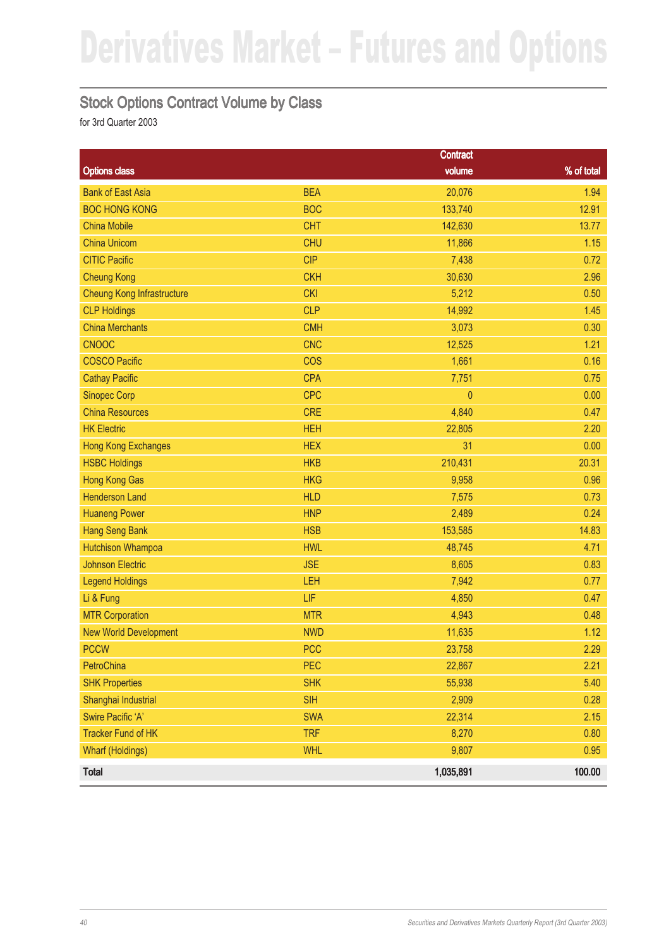#### Stock Options Contract Volume by Class

|                                   |            | <b>Contract</b> |            |
|-----------------------------------|------------|-----------------|------------|
| <b>Options class</b>              |            | volume          | % of total |
| <b>Bank of East Asia</b>          | <b>BEA</b> | 20,076          | 1.94       |
| <b>BOC HONG KONG</b>              | <b>BOC</b> | 133,740         | 12.91      |
| <b>China Mobile</b>               | <b>CHT</b> | 142,630         | 13.77      |
| <b>China Unicom</b>               | <b>CHU</b> | 11,866          | 1.15       |
| <b>CITIC Pacific</b>              | <b>CIP</b> | 7,438           | 0.72       |
| <b>Cheung Kong</b>                | <b>CKH</b> | 30,630          | 2.96       |
| <b>Cheung Kong Infrastructure</b> | <b>CKI</b> | 5,212           | 0.50       |
| <b>CLP Holdings</b>               | <b>CLP</b> | 14,992          | 1.45       |
| <b>China Merchants</b>            | <b>CMH</b> | 3,073           | 0.30       |
| <b>CNOOC</b>                      | <b>CNC</b> | 12,525          | 1.21       |
| <b>COSCO Pacific</b>              | <b>COS</b> | 1,661           | 0.16       |
| <b>Cathay Pacific</b>             | <b>CPA</b> | 7,751           | 0.75       |
| <b>Sinopec Corp</b>               | <b>CPC</b> | $\pmb{0}$       | 0.00       |
| <b>China Resources</b>            | <b>CRE</b> | 4,840           | 0.47       |
| <b>HK Electric</b>                | <b>HEH</b> | 22,805          | 2.20       |
| <b>Hong Kong Exchanges</b>        | <b>HEX</b> | 31              | 0.00       |
| <b>HSBC Holdings</b>              | <b>HKB</b> | 210,431         | 20.31      |
| <b>Hong Kong Gas</b>              | <b>HKG</b> | 9,958           | 0.96       |
| <b>Henderson Land</b>             | <b>HLD</b> | 7,575           | 0.73       |
| <b>Huaneng Power</b>              | <b>HNP</b> | 2,489           | 0.24       |
| <b>Hang Seng Bank</b>             | <b>HSB</b> | 153,585         | 14.83      |
| <b>Hutchison Whampoa</b>          | <b>HWL</b> | 48,745          | 4.71       |
| <b>Johnson Electric</b>           | <b>JSE</b> | 8,605           | 0.83       |
| <b>Legend Holdings</b>            | LEH        | 7,942           | 0.77       |
| Li & Fung                         | LIF        | 4,850           | 0.47       |
| <b>MTR Corporation</b>            | <b>MTR</b> | 4,943           | 0.48       |
| <b>New World Development</b>      | <b>NWD</b> | 11,635          | 1.12       |
| <b>PCCW</b>                       | <b>PCC</b> | 23,758          | 2.29       |
| PetroChina                        | PEC        | 22,867          | 2.21       |
| <b>SHK Properties</b>             | <b>SHK</b> | 55,938          | 5.40       |
| Shanghai Industrial               | <b>SIH</b> | 2,909           | 0.28       |
| Swire Pacific 'A'                 | <b>SWA</b> | 22,314          | 2.15       |
| <b>Tracker Fund of HK</b>         | <b>TRF</b> | 8,270           | 0.80       |
| <b>Wharf (Holdings)</b>           | <b>WHL</b> | 9,807           | 0.95       |
| Total                             |            | 1,035,891       | 100.00     |